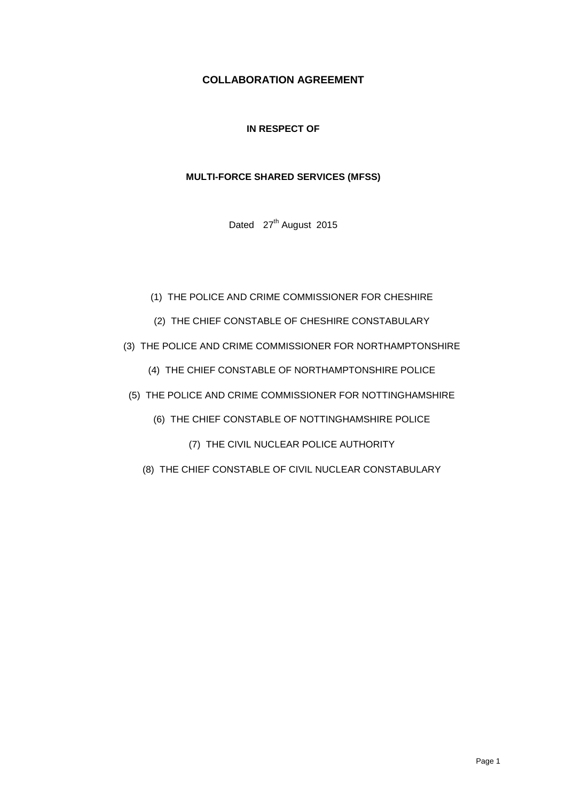# **COLLABORATION AGREEMENT**

# **IN RESPECT OF**

# **MULTI-FORCE SHARED SERVICES (MFSS)**

Dated 27<sup>th</sup> August 2015

- (1) THE POLICE AND CRIME COMMISSIONER FOR CHESHIRE
- (2) THE CHIEF CONSTABLE OF CHESHIRE CONSTABULARY
- (3) THE POLICE AND CRIME COMMISSIONER FOR NORTHAMPTONSHIRE
	- (4) THE CHIEF CONSTABLE OF NORTHAMPTONSHIRE POLICE
- (5) THE POLICE AND CRIME COMMISSIONER FOR NOTTINGHAMSHIRE
	- (6) THE CHIEF CONSTABLE OF NOTTINGHAMSHIRE POLICE
		- (7) THE CIVIL NUCLEAR POLICE AUTHORITY
	- (8) THE CHIEF CONSTABLE OF CIVIL NUCLEAR CONSTABULARY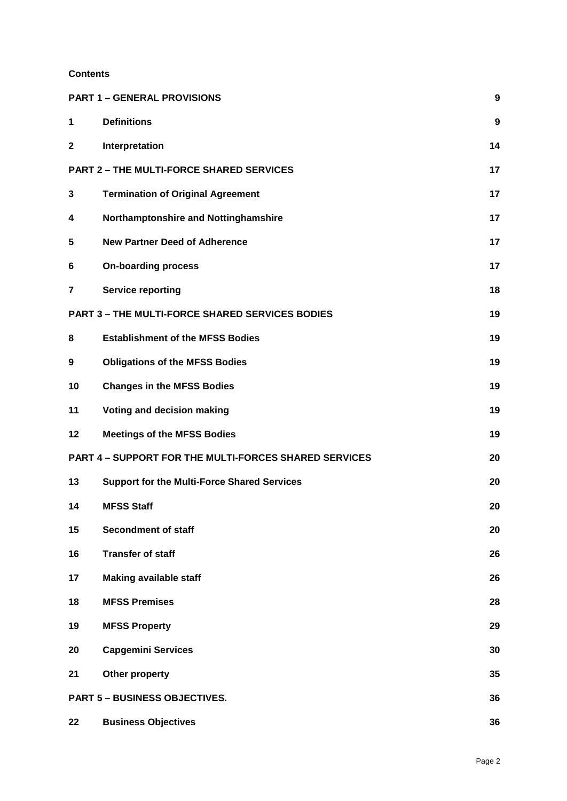# **Contents**

|              | <b>PART 1 - GENERAL PROVISIONS</b>                           | $\boldsymbol{9}$ |
|--------------|--------------------------------------------------------------|------------------|
| $\mathbf 1$  | <b>Definitions</b>                                           | 9                |
| $\mathbf{2}$ | Interpretation                                               | 14               |
|              | <b>PART 2 - THE MULTI-FORCE SHARED SERVICES</b>              | 17               |
| 3            | <b>Termination of Original Agreement</b>                     | 17               |
| 4            | Northamptonshire and Nottinghamshire                         | 17               |
| 5            | <b>New Partner Deed of Adherence</b>                         | 17               |
| 6            | <b>On-boarding process</b>                                   | 17               |
| 7            | <b>Service reporting</b>                                     | 18               |
|              | <b>PART 3 - THE MULTI-FORCE SHARED SERVICES BODIES</b>       | 19               |
| 8            | <b>Establishment of the MFSS Bodies</b>                      | 19               |
| 9            | <b>Obligations of the MFSS Bodies</b>                        | 19               |
| 10           | <b>Changes in the MFSS Bodies</b>                            | 19               |
| 11           | Voting and decision making                                   | 19               |
| 12           | <b>Meetings of the MFSS Bodies</b>                           | 19               |
|              | <b>PART 4 - SUPPORT FOR THE MULTI-FORCES SHARED SERVICES</b> | 20               |
| 13           | <b>Support for the Multi-Force Shared Services</b>           | 20               |
| 14           | <b>MFSS Staff</b>                                            | 20               |
| 15           | <b>Secondment of staff</b>                                   | 20               |
| 16           | <b>Transfer of staff</b>                                     | 26               |
| 17           | <b>Making available staff</b>                                | 26               |
| 18           | <b>MFSS Premises</b>                                         | 28               |
| 19           | <b>MFSS Property</b>                                         | 29               |
| 20           | <b>Capgemini Services</b>                                    | 30               |
| 21           | Other property                                               | 35               |
|              | <b>PART 5 - BUSINESS OBJECTIVES.</b>                         | 36               |
| 22           | <b>Business Objectives</b>                                   | 36               |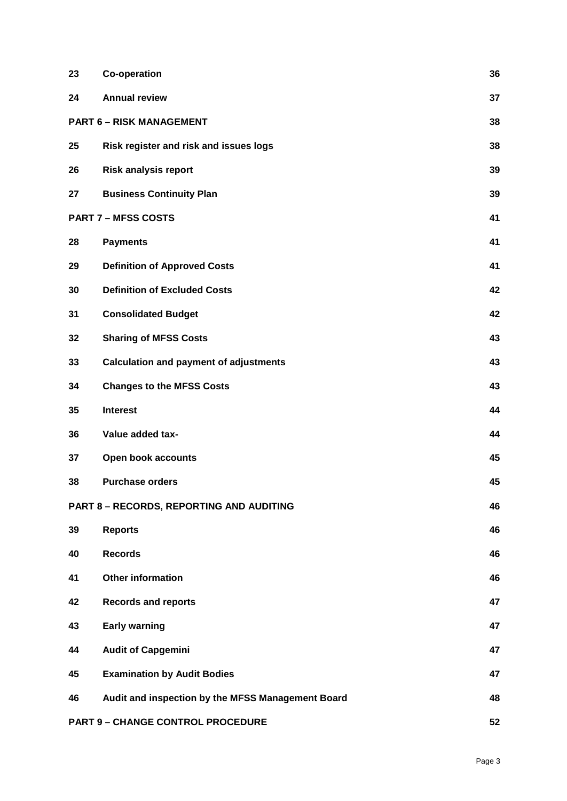| 23                                                    | <b>Co-operation</b>                               | 36 |
|-------------------------------------------------------|---------------------------------------------------|----|
| 24                                                    | <b>Annual review</b>                              | 37 |
| 38<br><b>PART 6 - RISK MANAGEMENT</b>                 |                                                   |    |
| 25                                                    | Risk register and risk and issues logs            | 38 |
| 26                                                    | <b>Risk analysis report</b>                       | 39 |
| 27                                                    | <b>Business Continuity Plan</b>                   | 39 |
|                                                       | <b>PART 7 - MFSS COSTS</b>                        | 41 |
| 28                                                    | <b>Payments</b>                                   | 41 |
| 29                                                    | <b>Definition of Approved Costs</b>               | 41 |
| 30                                                    | <b>Definition of Excluded Costs</b>               | 42 |
| 31                                                    | <b>Consolidated Budget</b>                        | 42 |
| 32                                                    | <b>Sharing of MFSS Costs</b>                      | 43 |
| 33                                                    | <b>Calculation and payment of adjustments</b>     | 43 |
| 34                                                    | <b>Changes to the MFSS Costs</b>                  | 43 |
| 35                                                    | <b>Interest</b>                                   | 44 |
| 36                                                    | Value added tax-                                  | 44 |
| 37                                                    | Open book accounts                                | 45 |
| 38                                                    | <b>Purchase orders</b>                            | 45 |
| 46<br><b>PART 8 - RECORDS, REPORTING AND AUDITING</b> |                                                   |    |
| 39                                                    | <b>Reports</b>                                    | 46 |
| 40                                                    | <b>Records</b>                                    | 46 |
| 41                                                    | <b>Other information</b>                          | 46 |
| 42                                                    | <b>Records and reports</b>                        | 47 |
| 43                                                    | <b>Early warning</b>                              | 47 |
| 44                                                    | <b>Audit of Capgemini</b>                         | 47 |
| 45                                                    | <b>Examination by Audit Bodies</b>                | 47 |
| 46                                                    | Audit and inspection by the MFSS Management Board | 48 |
|                                                       | <b>PART 9 - CHANGE CONTROL PROCEDURE</b>          | 52 |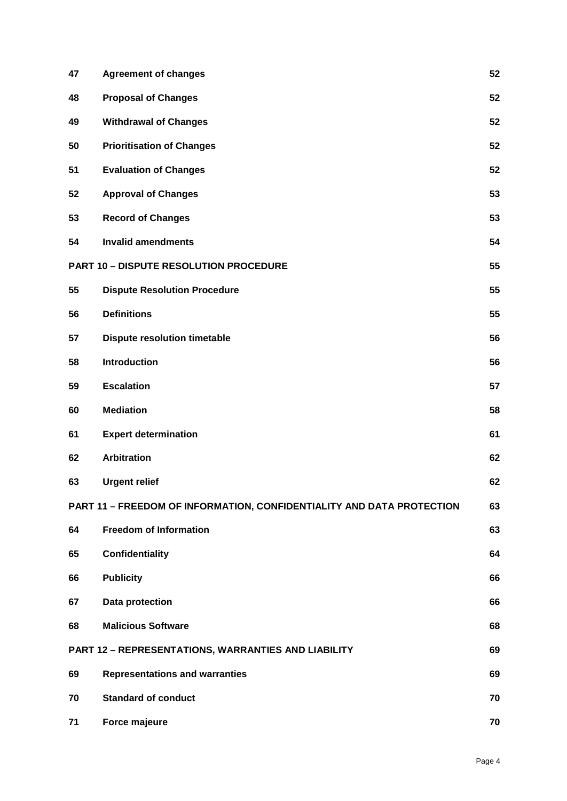| 47 | <b>Agreement of changes</b>                                           | 52 |
|----|-----------------------------------------------------------------------|----|
| 48 | <b>Proposal of Changes</b>                                            | 52 |
| 49 | <b>Withdrawal of Changes</b>                                          | 52 |
| 50 | <b>Prioritisation of Changes</b>                                      | 52 |
| 51 | <b>Evaluation of Changes</b>                                          | 52 |
| 52 | <b>Approval of Changes</b>                                            | 53 |
| 53 | <b>Record of Changes</b>                                              | 53 |
| 54 | <b>Invalid amendments</b>                                             | 54 |
|    | <b>PART 10 - DISPUTE RESOLUTION PROCEDURE</b>                         | 55 |
| 55 | <b>Dispute Resolution Procedure</b>                                   | 55 |
| 56 | <b>Definitions</b>                                                    | 55 |
| 57 | <b>Dispute resolution timetable</b>                                   | 56 |
| 58 | <b>Introduction</b>                                                   | 56 |
| 59 | <b>Escalation</b>                                                     | 57 |
| 60 | <b>Mediation</b>                                                      | 58 |
| 61 | <b>Expert determination</b>                                           | 61 |
| 62 | <b>Arbitration</b>                                                    | 62 |
| 63 | <b>Urgent relief</b>                                                  | 62 |
|    | PART 11 - FREEDOM OF INFORMATION, CONFIDENTIALITY AND DATA PROTECTION | 63 |
| 64 | <b>Freedom of Information</b>                                         | 63 |
| 65 | <b>Confidentiality</b>                                                | 64 |
| 66 | <b>Publicity</b>                                                      | 66 |
| 67 | Data protection                                                       | 66 |
| 68 | <b>Malicious Software</b>                                             | 68 |
|    | <b>PART 12 - REPRESENTATIONS, WARRANTIES AND LIABILITY</b>            | 69 |
| 69 | <b>Representations and warranties</b>                                 | 69 |
| 70 | <b>Standard of conduct</b>                                            | 70 |
| 71 | Force majeure                                                         | 70 |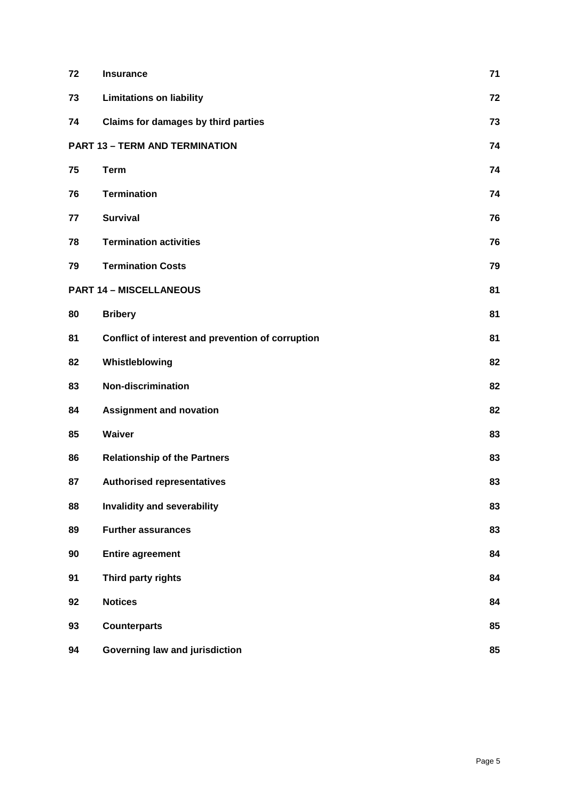| 72 | <b>Insurance</b>                                  | 71 |
|----|---------------------------------------------------|----|
| 73 | <b>Limitations on liability</b>                   | 72 |
| 74 | Claims for damages by third parties               | 73 |
|    | <b>PART 13 - TERM AND TERMINATION</b>             | 74 |
| 75 | <b>Term</b>                                       | 74 |
| 76 | <b>Termination</b>                                | 74 |
| 77 | <b>Survival</b>                                   | 76 |
| 78 | <b>Termination activities</b>                     | 76 |
| 79 | <b>Termination Costs</b>                          | 79 |
|    | <b>PART 14 - MISCELLANEOUS</b>                    | 81 |
| 80 | <b>Bribery</b>                                    | 81 |
| 81 | Conflict of interest and prevention of corruption | 81 |
| 82 | Whistleblowing                                    | 82 |
| 83 | <b>Non-discrimination</b>                         | 82 |
| 84 | <b>Assignment and novation</b>                    | 82 |
| 85 | Waiver                                            | 83 |
| 86 | <b>Relationship of the Partners</b>               | 83 |
| 87 | <b>Authorised representatives</b>                 | 83 |
| 88 | Invalidity and severability                       | 83 |
| 89 | <b>Further assurances</b>                         | 83 |
| 90 | <b>Entire agreement</b>                           | 84 |
| 91 | Third party rights                                | 84 |
| 92 | <b>Notices</b>                                    | 84 |
| 93 | <b>Counterparts</b>                               | 85 |
| 94 | <b>Governing law and jurisdiction</b>             | 85 |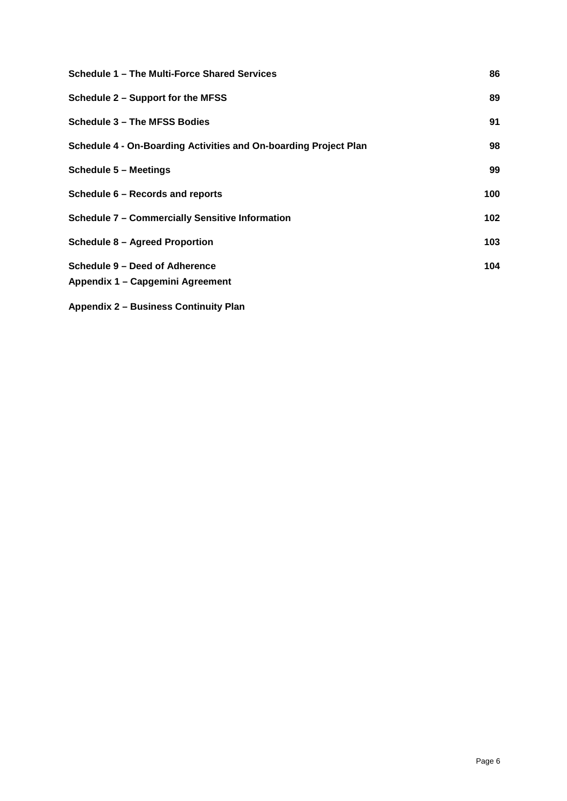| Schedule 1 - The Multi-Force Shared Services                     | 86  |
|------------------------------------------------------------------|-----|
| Schedule 2 – Support for the MFSS                                | 89  |
| <b>Schedule 3 - The MFSS Bodies</b>                              | 91  |
| Schedule 4 - On-Boarding Activities and On-boarding Project Plan | 98  |
| <b>Schedule 5 - Meetings</b>                                     | 99  |
| Schedule 6 - Records and reports                                 | 100 |
| <b>Schedule 7 - Commercially Sensitive Information</b>           | 102 |
| <b>Schedule 8 - Agreed Proportion</b>                            | 103 |
| Schedule 9 – Deed of Adherence                                   | 104 |
| Appendix 1 - Capgemini Agreement                                 |     |
| <b>Appendix 2 - Business Continuity Plan</b>                     |     |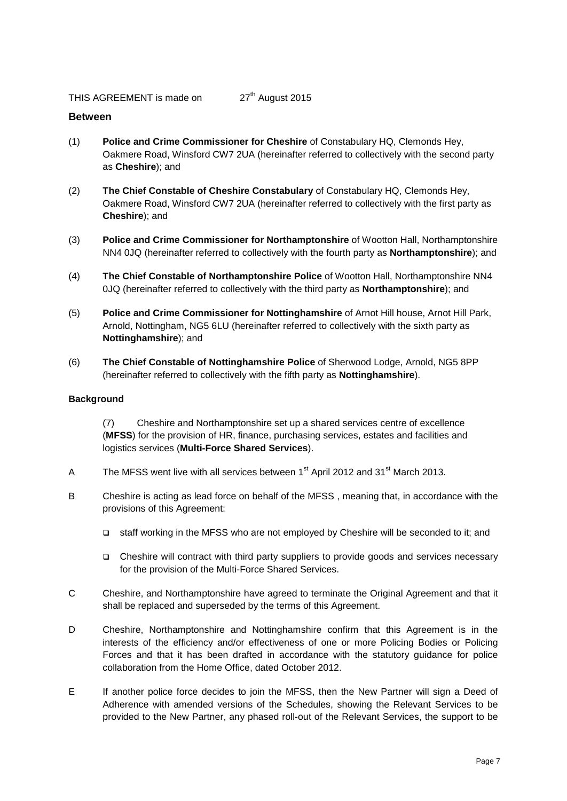#### **Between**

- (1) **Police and Crime Commissioner for Cheshire** of Constabulary HQ, Clemonds Hey, Oakmere Road, Winsford CW7 2UA (hereinafter referred to collectively with the second party as **Cheshire**); and
- (2) **The Chief Constable of Cheshire Constabulary** of Constabulary HQ, Clemonds Hey, Oakmere Road, Winsford CW7 2UA (hereinafter referred to collectively with the first party as **Cheshire**); and
- (3) **Police and Crime Commissioner for Northamptonshire** of Wootton Hall, Northamptonshire NN4 0JQ (hereinafter referred to collectively with the fourth party as **Northamptonshire**); and
- (4) **The Chief Constable of Northamptonshire Police** of Wootton Hall, Northamptonshire NN4 0JQ (hereinafter referred to collectively with the third party as **Northamptonshire**); and
- (5) **Police and Crime Commissioner for Nottinghamshire** of Arnot Hill house, Arnot Hill Park, Arnold, Nottingham, NG5 6LU (hereinafter referred to collectively with the sixth party as **Nottinghamshire**); and
- (6) **The Chief Constable of Nottinghamshire Police** of Sherwood Lodge, Arnold, NG5 8PP (hereinafter referred to collectively with the fifth party as **Nottinghamshire**).

#### **Background**

(7) Cheshire and Northamptonshire set up a shared services centre of excellence (**MFSS**) for the provision of HR, finance, purchasing services, estates and facilities and logistics services (**Multi-Force Shared Services**).

- A The MFSS went live with all services between  $1<sup>st</sup>$  April 2012 and 31 $<sup>st</sup>$  March 2013.</sup>
- B Cheshire is acting as lead force on behalf of the MFSS , meaning that, in accordance with the provisions of this Agreement:
	- staff working in the MFSS who are not employed by Cheshire will be seconded to it; and
	- Cheshire will contract with third party suppliers to provide goods and services necessary for the provision of the Multi-Force Shared Services.
- C Cheshire, and Northamptonshire have agreed to terminate the Original Agreement and that it shall be replaced and superseded by the terms of this Agreement.
- D Cheshire, Northamptonshire and Nottinghamshire confirm that this Agreement is in the interests of the efficiency and/or effectiveness of one or more Policing Bodies or Policing Forces and that it has been drafted in accordance with the statutory guidance for police collaboration from the Home Office, dated October 2012.
- E If another police force decides to join the MFSS, then the New Partner will sign a Deed of Adherence with amended versions of the Schedules, showing the Relevant Services to be provided to the New Partner, any phased roll-out of the Relevant Services, the support to be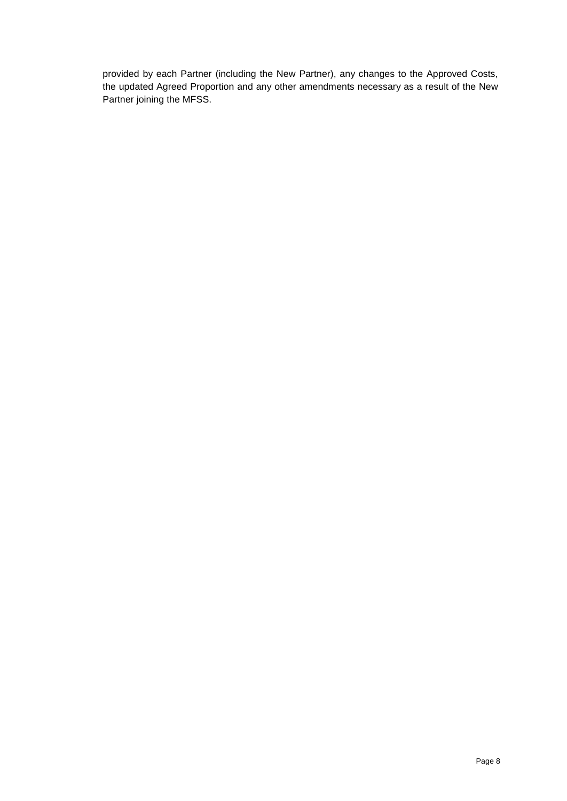provided by each Partner (including the New Partner), any changes to the Approved Costs, the updated Agreed Proportion and any other amendments necessary as a result of the New Partner joining the MFSS.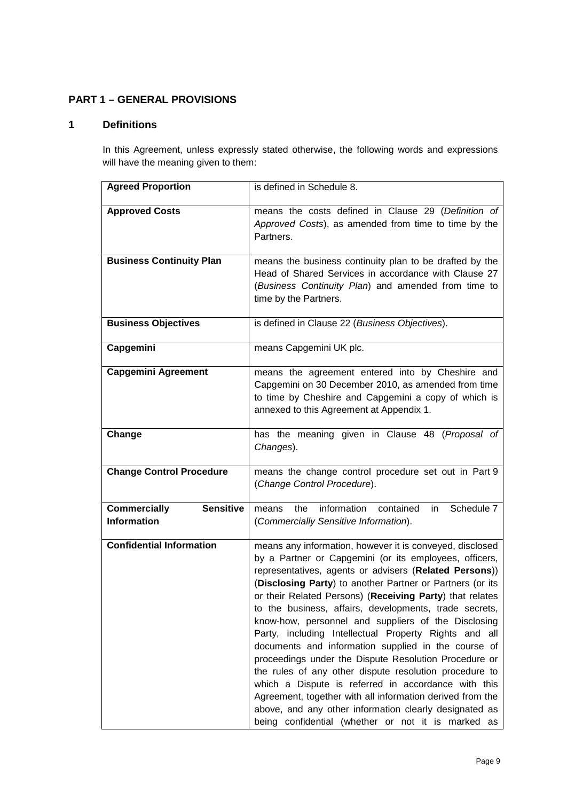# <span id="page-8-0"></span>**PART 1 – GENERAL PROVISIONS**

# <span id="page-8-1"></span>**1 Definitions**

In this Agreement, unless expressly stated otherwise, the following words and expressions will have the meaning given to them:

| <b>Agreed Proportion</b>                                      | is defined in Schedule 8.                                                                                                                                                                                                                                                                                                                                                                                                                                                                                                                                                                                                                                                                                                                                                                                                                                                                     |
|---------------------------------------------------------------|-----------------------------------------------------------------------------------------------------------------------------------------------------------------------------------------------------------------------------------------------------------------------------------------------------------------------------------------------------------------------------------------------------------------------------------------------------------------------------------------------------------------------------------------------------------------------------------------------------------------------------------------------------------------------------------------------------------------------------------------------------------------------------------------------------------------------------------------------------------------------------------------------|
| <b>Approved Costs</b>                                         | means the costs defined in Clause 29 (Definition of<br>Approved Costs), as amended from time to time by the<br>Partners.                                                                                                                                                                                                                                                                                                                                                                                                                                                                                                                                                                                                                                                                                                                                                                      |
| <b>Business Continuity Plan</b>                               | means the business continuity plan to be drafted by the<br>Head of Shared Services in accordance with Clause 27<br>(Business Continuity Plan) and amended from time to<br>time by the Partners.                                                                                                                                                                                                                                                                                                                                                                                                                                                                                                                                                                                                                                                                                               |
| <b>Business Objectives</b>                                    | is defined in Clause 22 (Business Objectives).                                                                                                                                                                                                                                                                                                                                                                                                                                                                                                                                                                                                                                                                                                                                                                                                                                                |
| Capgemini                                                     | means Capgemini UK plc.                                                                                                                                                                                                                                                                                                                                                                                                                                                                                                                                                                                                                                                                                                                                                                                                                                                                       |
| <b>Capgemini Agreement</b>                                    | means the agreement entered into by Cheshire and<br>Capgemini on 30 December 2010, as amended from time<br>to time by Cheshire and Capgemini a copy of which is<br>annexed to this Agreement at Appendix 1.                                                                                                                                                                                                                                                                                                                                                                                                                                                                                                                                                                                                                                                                                   |
| Change                                                        | has the meaning given in Clause 48 (Proposal of<br>Changes).                                                                                                                                                                                                                                                                                                                                                                                                                                                                                                                                                                                                                                                                                                                                                                                                                                  |
| <b>Change Control Procedure</b>                               | means the change control procedure set out in Part 9<br>(Change Control Procedure).                                                                                                                                                                                                                                                                                                                                                                                                                                                                                                                                                                                                                                                                                                                                                                                                           |
| <b>Sensitive</b><br><b>Commercially</b><br><b>Information</b> | information<br>Schedule 7<br>contained<br>in<br>the<br>means<br>(Commercially Sensitive Information).                                                                                                                                                                                                                                                                                                                                                                                                                                                                                                                                                                                                                                                                                                                                                                                         |
| <b>Confidential Information</b>                               | means any information, however it is conveyed, disclosed<br>by a Partner or Capgemini (or its employees, officers,<br>representatives, agents or advisers (Related Persons))<br>(Disclosing Party) to another Partner or Partners (or its<br>or their Related Persons) (Receiving Party) that relates<br>to the business, affairs, developments, trade secrets,<br>know-how, personnel and suppliers of the Disclosing<br>Party, including Intellectual Property Rights and all<br>documents and information supplied in the course of<br>proceedings under the Dispute Resolution Procedure or<br>the rules of any other dispute resolution procedure to<br>which a Dispute is referred in accordance with this<br>Agreement, together with all information derived from the<br>above, and any other information clearly designated as<br>being confidential (whether or not it is marked as |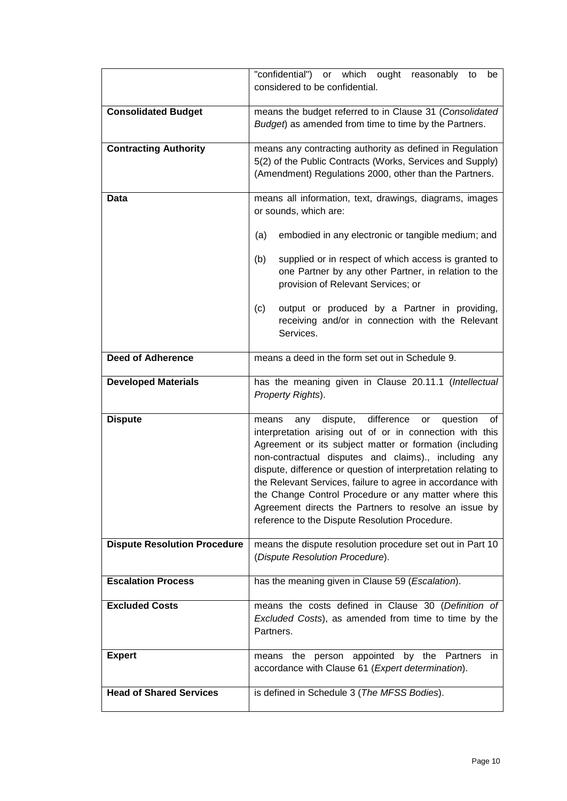|                                     | or which ought reasonably to<br>"confidential")<br>be<br>considered to be confidential.                                                                                                                                                                                                                                                                                                                                                                                                                                                       |
|-------------------------------------|-----------------------------------------------------------------------------------------------------------------------------------------------------------------------------------------------------------------------------------------------------------------------------------------------------------------------------------------------------------------------------------------------------------------------------------------------------------------------------------------------------------------------------------------------|
| <b>Consolidated Budget</b>          | means the budget referred to in Clause 31 (Consolidated<br>Budget) as amended from time to time by the Partners.                                                                                                                                                                                                                                                                                                                                                                                                                              |
| <b>Contracting Authority</b>        | means any contracting authority as defined in Regulation<br>5(2) of the Public Contracts (Works, Services and Supply)<br>(Amendment) Regulations 2000, other than the Partners.                                                                                                                                                                                                                                                                                                                                                               |
| Data                                | means all information, text, drawings, diagrams, images<br>or sounds, which are:                                                                                                                                                                                                                                                                                                                                                                                                                                                              |
|                                     | embodied in any electronic or tangible medium; and<br>(a)                                                                                                                                                                                                                                                                                                                                                                                                                                                                                     |
|                                     | supplied or in respect of which access is granted to<br>(b)<br>one Partner by any other Partner, in relation to the<br>provision of Relevant Services; or                                                                                                                                                                                                                                                                                                                                                                                     |
|                                     | output or produced by a Partner in providing,<br>(c)<br>receiving and/or in connection with the Relevant<br>Services.                                                                                                                                                                                                                                                                                                                                                                                                                         |
| <b>Deed of Adherence</b>            | means a deed in the form set out in Schedule 9.                                                                                                                                                                                                                                                                                                                                                                                                                                                                                               |
| <b>Developed Materials</b>          | has the meaning given in Clause 20.11.1 (Intellectual<br>Property Rights).                                                                                                                                                                                                                                                                                                                                                                                                                                                                    |
| <b>Dispute</b>                      | dispute, difference<br>or<br>question<br>0f<br>means<br>any<br>interpretation arising out of or in connection with this<br>Agreement or its subject matter or formation (including<br>non-contractual disputes and claims)., including any<br>dispute, difference or question of interpretation relating to<br>the Relevant Services, failure to agree in accordance with<br>the Change Control Procedure or any matter where this<br>Agreement directs the Partners to resolve an issue by<br>reference to the Dispute Resolution Procedure. |
| <b>Dispute Resolution Procedure</b> | means the dispute resolution procedure set out in Part 10<br>(Dispute Resolution Procedure).                                                                                                                                                                                                                                                                                                                                                                                                                                                  |
| <b>Escalation Process</b>           | has the meaning given in Clause 59 (Escalation).                                                                                                                                                                                                                                                                                                                                                                                                                                                                                              |
| <b>Excluded Costs</b>               | means the costs defined in Clause 30 (Definition of<br>Excluded Costs), as amended from time to time by the<br>Partners.                                                                                                                                                                                                                                                                                                                                                                                                                      |
| <b>Expert</b>                       | means the person appointed by the Partners<br>- in<br>accordance with Clause 61 (Expert determination).                                                                                                                                                                                                                                                                                                                                                                                                                                       |
| <b>Head of Shared Services</b>      | is defined in Schedule 3 (The MFSS Bodies).                                                                                                                                                                                                                                                                                                                                                                                                                                                                                                   |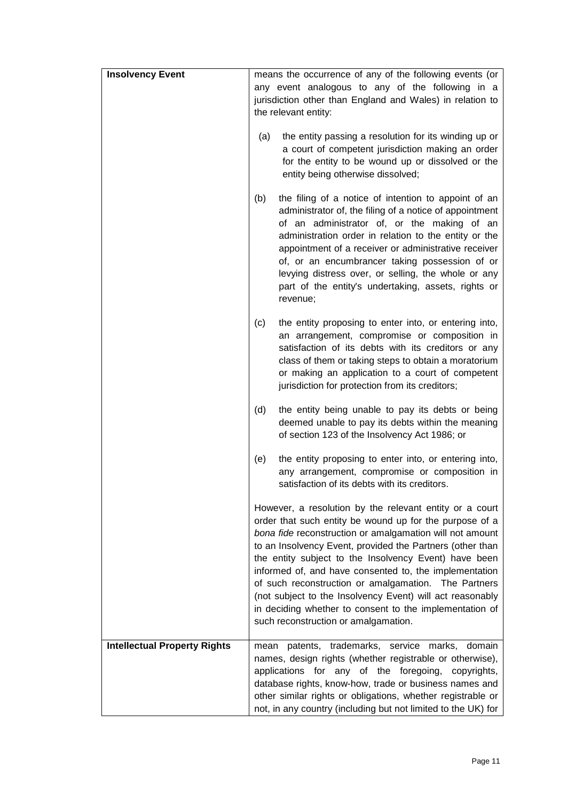| <b>Insolvency Event</b>             | means the occurrence of any of the following events (or<br>any event analogous to any of the following in a<br>jurisdiction other than England and Wales) in relation to                                                                                                                                                                                                                                                                                                                                                                                                               |
|-------------------------------------|----------------------------------------------------------------------------------------------------------------------------------------------------------------------------------------------------------------------------------------------------------------------------------------------------------------------------------------------------------------------------------------------------------------------------------------------------------------------------------------------------------------------------------------------------------------------------------------|
|                                     | the relevant entity:                                                                                                                                                                                                                                                                                                                                                                                                                                                                                                                                                                   |
|                                     | the entity passing a resolution for its winding up or<br>(a)<br>a court of competent jurisdiction making an order<br>for the entity to be wound up or dissolved or the<br>entity being otherwise dissolved;                                                                                                                                                                                                                                                                                                                                                                            |
|                                     | (b)<br>the filing of a notice of intention to appoint of an<br>administrator of, the filing of a notice of appointment<br>of an administrator of, or the making of an<br>administration order in relation to the entity or the<br>appointment of a receiver or administrative receiver<br>of, or an encumbrancer taking possession of or<br>levying distress over, or selling, the whole or any<br>part of the entity's undertaking, assets, rights or<br>revenue;                                                                                                                     |
|                                     | the entity proposing to enter into, or entering into,<br>(c)<br>an arrangement, compromise or composition in<br>satisfaction of its debts with its creditors or any<br>class of them or taking steps to obtain a moratorium<br>or making an application to a court of competent<br>jurisdiction for protection from its creditors;                                                                                                                                                                                                                                                     |
|                                     | (d)<br>the entity being unable to pay its debts or being<br>deemed unable to pay its debts within the meaning<br>of section 123 of the Insolvency Act 1986; or                                                                                                                                                                                                                                                                                                                                                                                                                         |
|                                     | the entity proposing to enter into, or entering into,<br>(e)<br>any arrangement, compromise or composition in<br>satisfaction of its debts with its creditors.                                                                                                                                                                                                                                                                                                                                                                                                                         |
|                                     | However, a resolution by the relevant entity or a court<br>order that such entity be wound up for the purpose of a<br>bona fide reconstruction or amalgamation will not amount<br>to an Insolvency Event, provided the Partners (other than<br>the entity subject to the Insolvency Event) have been<br>informed of, and have consented to, the implementation<br>of such reconstruction or amalgamation. The Partners<br>(not subject to the Insolvency Event) will act reasonably<br>in deciding whether to consent to the implementation of<br>such reconstruction or amalgamation. |
| <b>Intellectual Property Rights</b> | patents, trademarks, service marks, domain<br>mean<br>names, design rights (whether registrable or otherwise),<br>applications for any of the foregoing, copyrights,<br>database rights, know-how, trade or business names and<br>other similar rights or obligations, whether registrable or<br>not, in any country (including but not limited to the UK) for                                                                                                                                                                                                                         |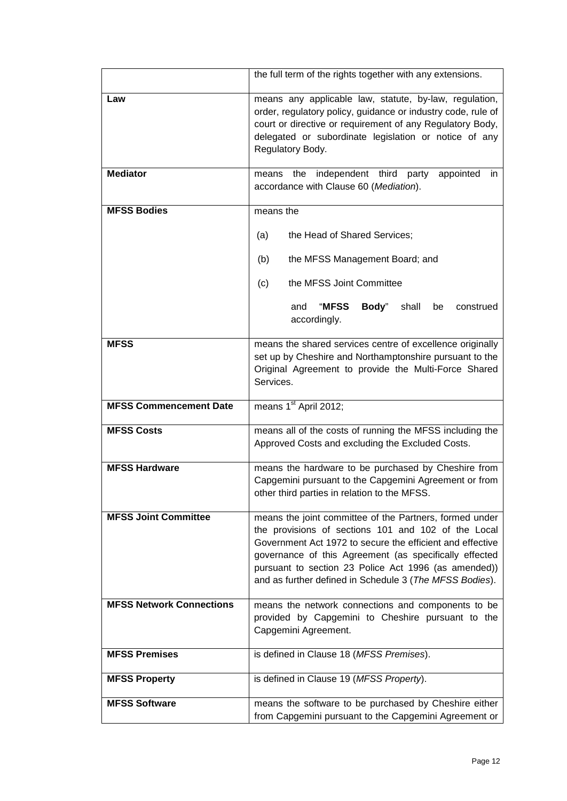|                                 | the full term of the rights together with any extensions.                                                                                                                                                                                                                                                                                                |
|---------------------------------|----------------------------------------------------------------------------------------------------------------------------------------------------------------------------------------------------------------------------------------------------------------------------------------------------------------------------------------------------------|
| Law                             | means any applicable law, statute, by-law, regulation,<br>order, regulatory policy, guidance or industry code, rule of<br>court or directive or requirement of any Regulatory Body,<br>delegated or subordinate legislation or notice of any<br>Regulatory Body.                                                                                         |
| <b>Mediator</b>                 | independent third<br>appointed<br>party<br>the<br>means<br>in.<br>accordance with Clause 60 (Mediation).                                                                                                                                                                                                                                                 |
| <b>MFSS Bodies</b>              | means the                                                                                                                                                                                                                                                                                                                                                |
|                                 | the Head of Shared Services;<br>(a)                                                                                                                                                                                                                                                                                                                      |
|                                 | the MFSS Management Board; and<br>(b)                                                                                                                                                                                                                                                                                                                    |
|                                 | the MFSS Joint Committee<br>(c)                                                                                                                                                                                                                                                                                                                          |
|                                 | "MFSS<br>Body"<br>shall<br>and<br>be<br>construed<br>accordingly.                                                                                                                                                                                                                                                                                        |
| <b>MFSS</b>                     | means the shared services centre of excellence originally<br>set up by Cheshire and Northamptonshire pursuant to the<br>Original Agreement to provide the Multi-Force Shared<br>Services.                                                                                                                                                                |
| <b>MFSS Commencement Date</b>   | means 1 <sup>st</sup> April 2012;                                                                                                                                                                                                                                                                                                                        |
| <b>MFSS Costs</b>               | means all of the costs of running the MFSS including the<br>Approved Costs and excluding the Excluded Costs.                                                                                                                                                                                                                                             |
| <b>MFSS Hardware</b>            | means the hardware to be purchased by Cheshire from<br>Capgemini pursuant to the Capgemini Agreement or from<br>other third parties in relation to the MFSS.                                                                                                                                                                                             |
| <b>MFSS Joint Committee</b>     | means the joint committee of the Partners, formed under<br>the provisions of sections 101 and 102 of the Local<br>Government Act 1972 to secure the efficient and effective<br>governance of this Agreement (as specifically effected<br>pursuant to section 23 Police Act 1996 (as amended))<br>and as further defined in Schedule 3 (The MFSS Bodies). |
| <b>MFSS Network Connections</b> | means the network connections and components to be<br>provided by Capgemini to Cheshire pursuant to the<br>Capgemini Agreement.                                                                                                                                                                                                                          |
| <b>MFSS Premises</b>            | is defined in Clause 18 (MFSS Premises).                                                                                                                                                                                                                                                                                                                 |
| <b>MFSS Property</b>            | is defined in Clause 19 (MFSS Property).                                                                                                                                                                                                                                                                                                                 |
| <b>MFSS Software</b>            | means the software to be purchased by Cheshire either<br>from Capgemini pursuant to the Capgemini Agreement or                                                                                                                                                                                                                                           |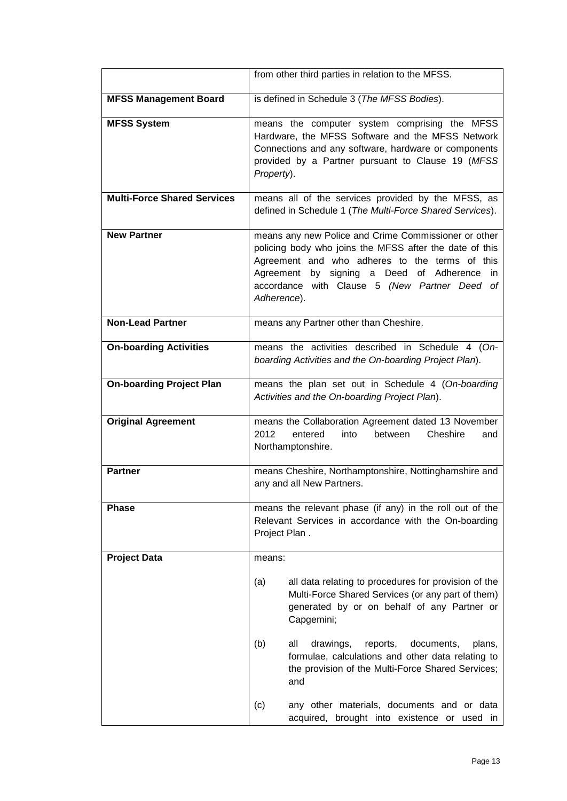|                                    | from other third parties in relation to the MFSS.                                                                                                                                                                                                                                       |
|------------------------------------|-----------------------------------------------------------------------------------------------------------------------------------------------------------------------------------------------------------------------------------------------------------------------------------------|
| <b>MFSS Management Board</b>       | is defined in Schedule 3 (The MFSS Bodies).                                                                                                                                                                                                                                             |
| <b>MFSS System</b>                 | means the computer system comprising the MFSS<br>Hardware, the MFSS Software and the MFSS Network<br>Connections and any software, hardware or components<br>provided by a Partner pursuant to Clause 19 (MFSS<br>Property).                                                            |
| <b>Multi-Force Shared Services</b> | means all of the services provided by the MFSS, as<br>defined in Schedule 1 (The Multi-Force Shared Services).                                                                                                                                                                          |
| <b>New Partner</b>                 | means any new Police and Crime Commissioner or other<br>policing body who joins the MFSS after the date of this<br>Agreement and who adheres to the terms of this<br>by signing a Deed of Adherence<br>Agreement<br>in.<br>accordance with Clause 5 (New Partner Deed of<br>Adherence). |
| <b>Non-Lead Partner</b>            | means any Partner other than Cheshire.                                                                                                                                                                                                                                                  |
| <b>On-boarding Activities</b>      | means the activities described in Schedule 4 (On-<br>boarding Activities and the On-boarding Project Plan).                                                                                                                                                                             |
| <b>On-boarding Project Plan</b>    | means the plan set out in Schedule 4 (On-boarding<br>Activities and the On-boarding Project Plan).                                                                                                                                                                                      |
| <b>Original Agreement</b>          | means the Collaboration Agreement dated 13 November<br>Cheshire<br>2012<br>entered<br>into<br>between<br>and<br>Northamptonshire.                                                                                                                                                       |
| <b>Partner</b>                     | means Cheshire, Northamptonshire, Nottinghamshire and<br>any and all New Partners.                                                                                                                                                                                                      |
| <b>Phase</b>                       | means the relevant phase (if any) in the roll out of the<br>Relevant Services in accordance with the On-boarding<br>Project Plan.                                                                                                                                                       |
| <b>Project Data</b>                | means:                                                                                                                                                                                                                                                                                  |
|                                    | all data relating to procedures for provision of the<br>(a)<br>Multi-Force Shared Services (or any part of them)<br>generated by or on behalf of any Partner or<br>Capgemini;                                                                                                           |
|                                    | (b)<br>all<br>drawings,<br>reports,<br>documents,<br>plans,<br>formulae, calculations and other data relating to<br>the provision of the Multi-Force Shared Services;<br>and                                                                                                            |
|                                    | (c)<br>any other materials, documents and or data<br>acquired, brought into existence or used in                                                                                                                                                                                        |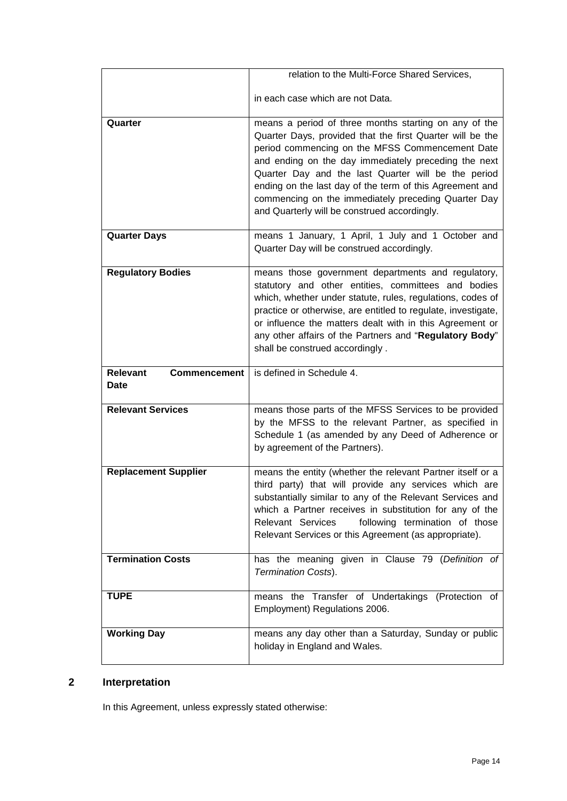|                                                | relation to the Multi-Force Shared Services,                                                                                                                                                                                                                                                                                                                                                                                                            |
|------------------------------------------------|---------------------------------------------------------------------------------------------------------------------------------------------------------------------------------------------------------------------------------------------------------------------------------------------------------------------------------------------------------------------------------------------------------------------------------------------------------|
|                                                | in each case which are not Data.                                                                                                                                                                                                                                                                                                                                                                                                                        |
| Quarter                                        | means a period of three months starting on any of the<br>Quarter Days, provided that the first Quarter will be the<br>period commencing on the MFSS Commencement Date<br>and ending on the day immediately preceding the next<br>Quarter Day and the last Quarter will be the period<br>ending on the last day of the term of this Agreement and<br>commencing on the immediately preceding Quarter Day<br>and Quarterly will be construed accordingly. |
| <b>Quarter Days</b>                            | means 1 January, 1 April, 1 July and 1 October and<br>Quarter Day will be construed accordingly.                                                                                                                                                                                                                                                                                                                                                        |
| <b>Regulatory Bodies</b>                       | means those government departments and regulatory,<br>statutory and other entities, committees and bodies<br>which, whether under statute, rules, regulations, codes of<br>practice or otherwise, are entitled to regulate, investigate,<br>or influence the matters dealt with in this Agreement or<br>any other affairs of the Partners and "Regulatory Body"<br>shall be construed accordingly.                                                      |
|                                                |                                                                                                                                                                                                                                                                                                                                                                                                                                                         |
| <b>Relevant</b><br><b>Commencement</b><br>Date | is defined in Schedule 4.                                                                                                                                                                                                                                                                                                                                                                                                                               |
| <b>Relevant Services</b>                       | means those parts of the MFSS Services to be provided<br>by the MFSS to the relevant Partner, as specified in<br>Schedule 1 (as amended by any Deed of Adherence or<br>by agreement of the Partners).                                                                                                                                                                                                                                                   |
| <b>Replacement Supplier</b>                    | means the entity (whether the relevant Partner itself or a<br>third party) that will provide any services which are<br>substantially similar to any of the Relevant Services and<br>which a Partner receives in substitution for any of the<br>Relevant Services<br>following termination of those<br>Relevant Services or this Agreement (as appropriate).                                                                                             |
| <b>Termination Costs</b>                       | has the meaning given in Clause 79 (Definition of<br>Termination Costs).                                                                                                                                                                                                                                                                                                                                                                                |
| <b>TUPE</b>                                    | means the Transfer of Undertakings (Protection of<br>Employment) Regulations 2006.                                                                                                                                                                                                                                                                                                                                                                      |

# <span id="page-13-0"></span>**2 Interpretation**

In this Agreement, unless expressly stated otherwise: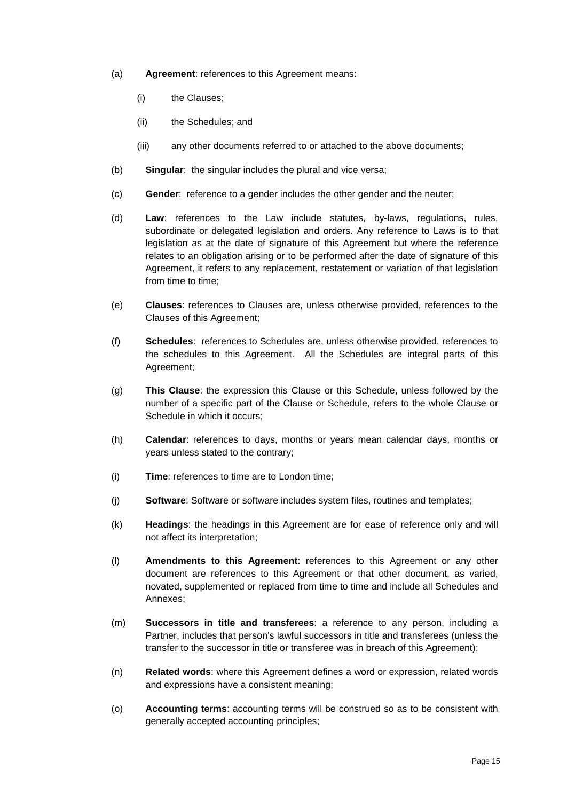- (a) **Agreement**: references to this Agreement means:
	- (i) the Clauses;
	- (ii) the Schedules; and
	- (iii) any other documents referred to or attached to the above documents;
- (b) **Singular**: the singular includes the plural and vice versa;
- (c) **Gender**: reference to a gender includes the other gender and the neuter;
- (d) **Law**: references to the Law include statutes, by-laws, regulations, rules, subordinate or delegated legislation and orders. Any reference to Laws is to that legislation as at the date of signature of this Agreement but where the reference relates to an obligation arising or to be performed after the date of signature of this Agreement, it refers to any replacement, restatement or variation of that legislation from time to time:
- (e) **Clauses**: references to Clauses are, unless otherwise provided, references to the Clauses of this Agreement;
- (f) **Schedules**: references to Schedules are, unless otherwise provided, references to the schedules to this Agreement. All the Schedules are integral parts of this Agreement;
- (g) **This Clause**: the expression this Clause or this Schedule, unless followed by the number of a specific part of the Clause or Schedule, refers to the whole Clause or Schedule in which it occurs;
- (h) **Calendar**: references to days, months or years mean calendar days, months or years unless stated to the contrary;
- (i) **Time**: references to time are to London time;
- (j) **Software**: Software or software includes system files, routines and templates;
- (k) **Headings**: the headings in this Agreement are for ease of reference only and will not affect its interpretation;
- (l) **Amendments to this Agreement**: references to this Agreement or any other document are references to this Agreement or that other document, as varied, novated, supplemented or replaced from time to time and include all Schedules and Annexes;
- (m) **Successors in title and transferees**: a reference to any person, including a Partner, includes that person's lawful successors in title and transferees (unless the transfer to the successor in title or transferee was in breach of this Agreement);
- (n) **Related words**: where this Agreement defines a word or expression, related words and expressions have a consistent meaning;
- (o) **Accounting terms**: accounting terms will be construed so as to be consistent with generally accepted accounting principles;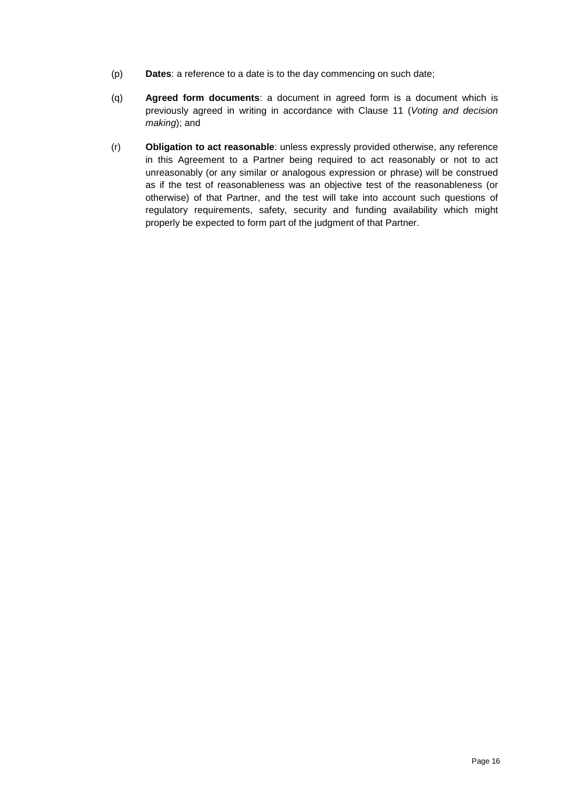- (p) **Dates**: a reference to a date is to the day commencing on such date;
- (q) **Agreed form documents**: a document in agreed form is a document which is previously agreed in writing in accordance with Clause [11](#page-18-4) (*Voting and decision making*); and
- (r) **Obligation to act reasonable**: unless expressly provided otherwise, any reference in this Agreement to a Partner being required to act reasonably or not to act unreasonably (or any similar or analogous expression or phrase) will be construed as if the test of reasonableness was an objective test of the reasonableness (or otherwise) of that Partner, and the test will take into account such questions of regulatory requirements, safety, security and funding availability which might properly be expected to form part of the judgment of that Partner.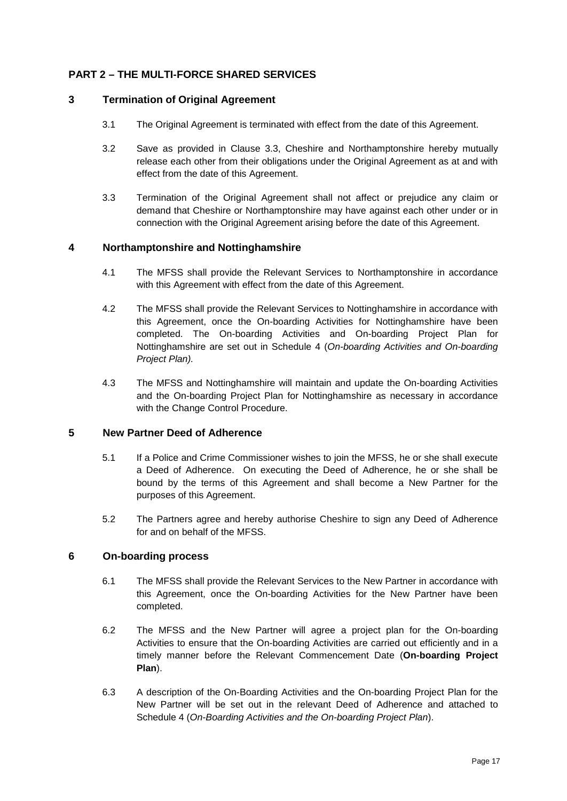# <span id="page-16-0"></span>**PART 2 – THE MULTI-FORCE SHARED SERVICES**

### <span id="page-16-1"></span>**3 Termination of Original Agreement**

- 3.1 The Original Agreement is terminated with effect from the date of this Agreement.
- 3.2 Save as provided in Clause 3.3, Cheshire and Northamptonshire hereby mutually release each other from their obligations under the Original Agreement as at and with effect from the date of this Agreement.
- 3.3 Termination of the Original Agreement shall not affect or prejudice any claim or demand that Cheshire or Northamptonshire may have against each other under or in connection with the Original Agreement arising before the date of this Agreement.

# <span id="page-16-2"></span>**4 Northamptonshire and Nottinghamshire**

- 4.1 The MFSS shall provide the Relevant Services to Northamptonshire in accordance with this Agreement with effect from the date of this Agreement.
- 4.2 The MFSS shall provide the Relevant Services to Nottinghamshire in accordance with this Agreement, once the On-boarding Activities for Nottinghamshire have been completed. The On-boarding Activities and On-boarding Project Plan for Nottinghamshire are set out in Schedule 4 (*On-boarding Activities and On-boarding Project Plan).*
- 4.3 The MFSS and Nottinghamshire will maintain and update the On-boarding Activities and the On-boarding Project Plan for Nottinghamshire as necessary in accordance with the Change Control Procedure.

# <span id="page-16-3"></span>**5 New Partner Deed of Adherence**

- 5.1 If a Police and Crime Commissioner wishes to join the MFSS, he or she shall execute a Deed of Adherence. On executing the Deed of Adherence, he or she shall be bound by the terms of this Agreement and shall become a New Partner for the purposes of this Agreement.
- 5.2 The Partners agree and hereby authorise Cheshire to sign any Deed of Adherence for and on behalf of the MFSS.

### <span id="page-16-4"></span>**6 On-boarding process**

- 6.1 The MFSS shall provide the Relevant Services to the New Partner in accordance with this Agreement, once the On-boarding Activities for the New Partner have been completed.
- 6.2 The MFSS and the New Partner will agree a project plan for the On-boarding Activities to ensure that the On-boarding Activities are carried out efficiently and in a timely manner before the Relevant Commencement Date (**On-boarding Project Plan**).
- 6.3 A description of the On-Boarding Activities and the On-boarding Project Plan for the New Partner will be set out in the relevant Deed of Adherence and attached to Schedule 4 (*On-Boarding Activities and the On-boarding Project Plan*).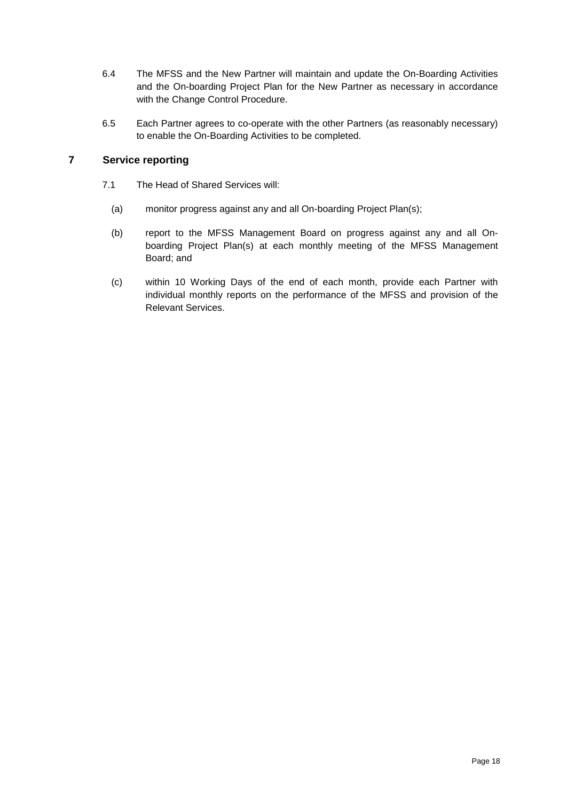- 6.4 The MFSS and the New Partner will maintain and update the On-Boarding Activities and the On-boarding Project Plan for the New Partner as necessary in accordance with the Change Control Procedure.
- 6.5 Each Partner agrees to co-operate with the other Partners (as reasonably necessary) to enable the On-Boarding Activities to be completed.

# <span id="page-17-0"></span>**7 Service reporting**

- 7.1 The Head of Shared Services will:
	- (a) monitor progress against any and all On-boarding Project Plan(s);
	- (b) report to the MFSS Management Board on progress against any and all Onboarding Project Plan(s) at each monthly meeting of the MFSS Management Board; and
	- (c) within 10 Working Days of the end of each month, provide each Partner with individual monthly reports on the performance of the MFSS and provision of the Relevant Services.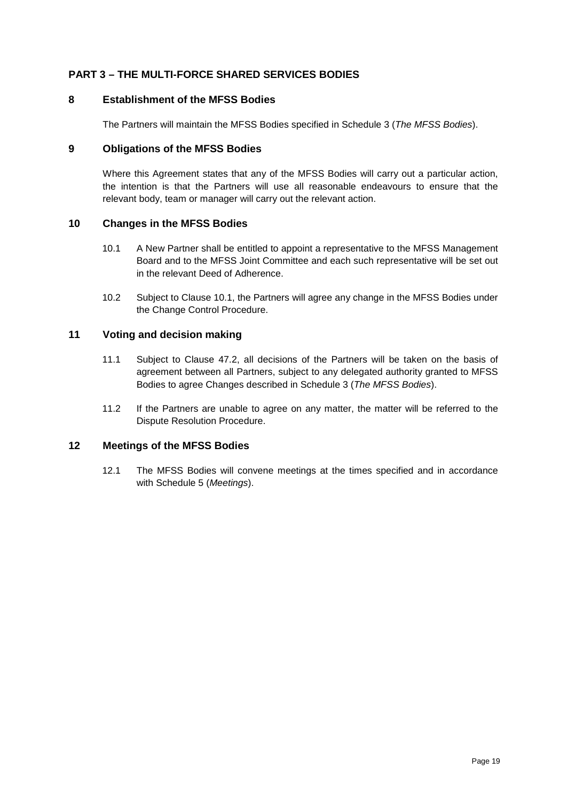# <span id="page-18-0"></span>**PART 3 – THE MULTI-FORCE SHARED SERVICES BODIES**

#### <span id="page-18-1"></span>**8 Establishment of the MFSS Bodies**

The Partners will maintain the MFSS Bodies specified in Schedule 3 (*The MFSS Bodies*).

### <span id="page-18-2"></span>**9 Obligations of the MFSS Bodies**

Where this Agreement states that any of the MFSS Bodies will carry out a particular action, the intention is that the Partners will use all reasonable endeavours to ensure that the relevant body, team or manager will carry out the relevant action.

### <span id="page-18-3"></span>**10 Changes in the MFSS Bodies**

- 10.1 A New Partner shall be entitled to appoint a representative to the MFSS Management Board and to the MFSS Joint Committee and each such representative will be set out in the relevant Deed of Adherence.
- 10.2 Subject to Clause 10.1, the Partners will agree any change in the MFSS Bodies under the Change Control Procedure.

#### <span id="page-18-4"></span>**11 Voting and decision making**

- 11.1 Subject to Clause 47.2, all decisions of the Partners will be taken on the basis of agreement between all Partners, subject to any delegated authority granted to MFSS Bodies to agree Changes described in Schedule 3 (*The MFSS Bodies*).
- 11.2 If the Partners are unable to agree on any matter, the matter will be referred to the Dispute Resolution Procedure.

### <span id="page-18-5"></span>**12 Meetings of the MFSS Bodies**

12.1 The MFSS Bodies will convene meetings at the times specified and in accordance with Schedule 5 (*Meetings*).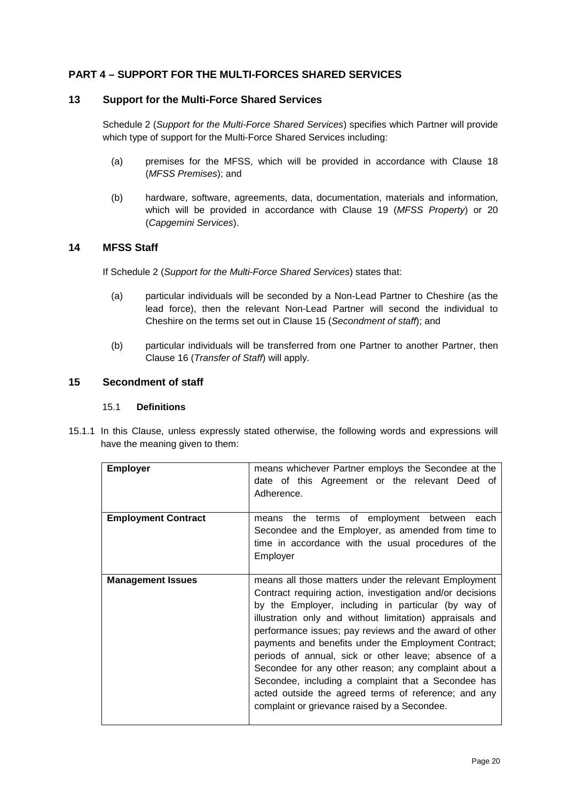# <span id="page-19-0"></span>**PART 4 – SUPPORT FOR THE MULTI-FORCES SHARED SERVICES**

### <span id="page-19-1"></span>**13 Support for the Multi-Force Shared Services**

[Schedule](#page-88-0) 2 (*Support for the Multi-Force Shared Services*) specifies which Partner will provide which type of support for the Multi-Force Shared Services including:

- (a) premises for the MFSS, which will be provided in accordance with Clause [18](#page-27-0) (*MFSS Premises*); and
- (b) hardware, software, agreements, data, documentation, materials and information, which will be provided in accordance with Clause [19](#page-28-0) (*MFSS Property*) or [20](#page-29-0) (*Capgemini Services*).

### <span id="page-19-2"></span>**14 MFSS Staff**

If [Schedule](#page-88-0) 2 (*Support for the Multi-Force Shared Services*) states that:

- (a) particular individuals will be seconded by a Non-Lead Partner to Cheshire (as the lead force), then the relevant Non-Lead Partner will second the individual to Cheshire on the terms set out in Clause [15](#page-19-3) (*Secondment of staff*); and
- (b) particular individuals will be transferred from one Partner to another Partner, then Clause [16](#page-25-0) (*Transfer of Staff*) will apply.

#### <span id="page-19-3"></span>**15 Secondment of staff**

#### 15.1 **Definitions**

15.1.1 In this Clause, unless expressly stated otherwise, the following words and expressions will have the meaning given to them:

| <b>Employer</b>            | means whichever Partner employs the Secondee at the<br>date of this Agreement or the relevant Deed of<br>Adherence.                                                                                                                                                                                                                                                                                                                                                                                                                                                                                                                    |
|----------------------------|----------------------------------------------------------------------------------------------------------------------------------------------------------------------------------------------------------------------------------------------------------------------------------------------------------------------------------------------------------------------------------------------------------------------------------------------------------------------------------------------------------------------------------------------------------------------------------------------------------------------------------------|
| <b>Employment Contract</b> | the terms of employment between each<br>means<br>Secondee and the Employer, as amended from time to<br>time in accordance with the usual procedures of the<br>Employer                                                                                                                                                                                                                                                                                                                                                                                                                                                                 |
| <b>Management Issues</b>   | means all those matters under the relevant Employment<br>Contract requiring action, investigation and/or decisions<br>by the Employer, including in particular (by way of<br>illustration only and without limitation) appraisals and<br>performance issues; pay reviews and the award of other<br>payments and benefits under the Employment Contract;<br>periods of annual, sick or other leave; absence of a<br>Secondee for any other reason; any complaint about a<br>Secondee, including a complaint that a Secondee has<br>acted outside the agreed terms of reference; and any<br>complaint or grievance raised by a Secondee. |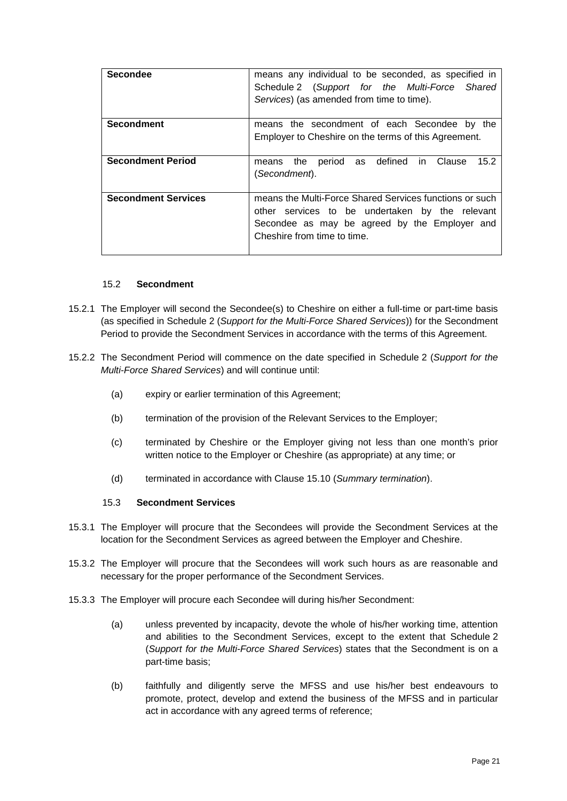| <b>Secondee</b>            | means any individual to be seconded, as specified in<br>Schedule 2 (Support for the Multi-Force Shared<br>Services) (as amended from time to time).                                        |
|----------------------------|--------------------------------------------------------------------------------------------------------------------------------------------------------------------------------------------|
| <b>Secondment</b>          | means the secondment of each Secondee by the<br>Employer to Cheshire on the terms of this Agreement.                                                                                       |
| <b>Secondment Period</b>   | defined in<br>15.2<br>period<br>as<br>Clause<br>the<br>means<br>(Secondment).                                                                                                              |
| <b>Secondment Services</b> | means the Multi-Force Shared Services functions or such<br>other services to be undertaken by the relevant<br>Secondee as may be agreed by the Employer and<br>Cheshire from time to time. |

#### 15.2 **Secondment**

- <span id="page-20-0"></span>15.2.1 The Employer will second the Secondee(s) to Cheshire on either a full-time or part-time basis (as specified in [Schedule](#page-88-0) 2 (*Support for the Multi-Force Shared Services*)) for the Secondment Period to provide the Secondment Services in accordance with the terms of this Agreement.
- 15.2.2 The Secondment Period will commence on the date specified in [Schedule](#page-88-0) 2 (*Support for the Multi-Force Shared Services*) and will continue until:
	- (a) expiry or earlier termination of this Agreement;
	- (b) termination of the provision of the Relevant Services to the Employer;
	- (c) terminated by Cheshire or the Employer giving not less than one month's prior written notice to the Employer or Cheshire (as appropriate) at any time; or
	- (d) terminated in accordance with Clause [15.10](#page-23-0) (*Summary termination*).

#### 15.3 **Secondment Services**

- 15.3.1 The Employer will procure that the Secondees will provide the Secondment Services at the location for the Secondment Services as agreed between the Employer and Cheshire.
- 15.3.2 The Employer will procure that the Secondees will work such hours as are reasonable and necessary for the proper performance of the Secondment Services.
- 15.3.3 The Employer will procure each Secondee will during his/her Secondment:
	- (a) unless prevented by incapacity, devote the whole of his/her working time, attention and abilities to the Secondment Services, except to the extent that [Schedule](#page-88-0) 2 (*Support for the Multi-Force Shared Services*) states that the Secondment is on a part-time basis;
	- (b) faithfully and diligently serve the MFSS and use his/her best endeavours to promote, protect, develop and extend the business of the MFSS and in particular act in accordance with any agreed terms of reference;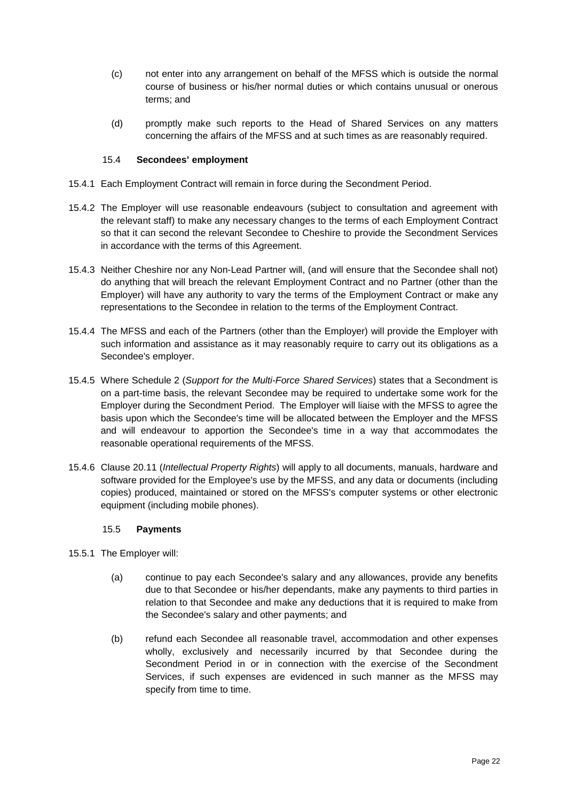- (c) not enter into any arrangement on behalf of the MFSS which is outside the normal course of business or his/her normal duties or which contains unusual or onerous terms; and
- (d) promptly make such reports to the Head of Shared Services on any matters concerning the affairs of the MFSS and at such times as are reasonably required.

### 15.4 **Secondees' employment**

- 15.4.1 Each Employment Contract will remain in force during the Secondment Period.
- 15.4.2 The Employer will use reasonable endeavours (subject to consultation and agreement with the relevant staff) to make any necessary changes to the terms of each Employment Contract so that it can second the relevant Secondee to Cheshire to provide the Secondment Services in accordance with the terms of this Agreement.
- 15.4.3 Neither Cheshire nor any Non-Lead Partner will, (and will ensure that the Secondee shall not) do anything that will breach the relevant Employment Contract and no Partner (other than the Employer) will have any authority to vary the terms of the Employment Contract or make any representations to the Secondee in relation to the terms of the Employment Contract.
- 15.4.4 The MFSS and each of the Partners (other than the Employer) will provide the Employer with such information and assistance as it may reasonably require to carry out its obligations as a Secondee's employer.
- 15.4.5 Where [Schedule](#page-88-0) 2 (*Support for the Multi-Force Shared Services*) states that a Secondment is on a part-time basis, the relevant Secondee may be required to undertake some work for the Employer during the Secondment Period. The Employer will liaise with the MFSS to agree the basis upon which the Secondee's time will be allocated between the Employer and the MFSS and will endeavour to apportion the Secondee's time in a way that accommodates the reasonable operational requirements of the MFSS.
- 15.4.6 Clause [20.11](#page-33-1) (*Intellectual Property Rights*) will apply to all documents, manuals, hardware and software provided for the Employee's use by the MFSS, and any data or documents (including copies) produced, maintained or stored on the MFSS's computer systems or other electronic equipment (including mobile phones).

### 15.5 **Payments**

- <span id="page-21-0"></span>15.5.1 The Employer will:
	- (a) continue to pay each Secondee's salary and any allowances, provide any benefits due to that Secondee or his/her dependants, make any payments to third parties in relation to that Secondee and make any deductions that it is required to make from the Secondee's salary and other payments; and
	- (b) refund each Secondee all reasonable travel, accommodation and other expenses wholly, exclusively and necessarily incurred by that Secondee during the Secondment Period in or in connection with the exercise of the Secondment Services, if such expenses are evidenced in such manner as the MFSS may specify from time to time.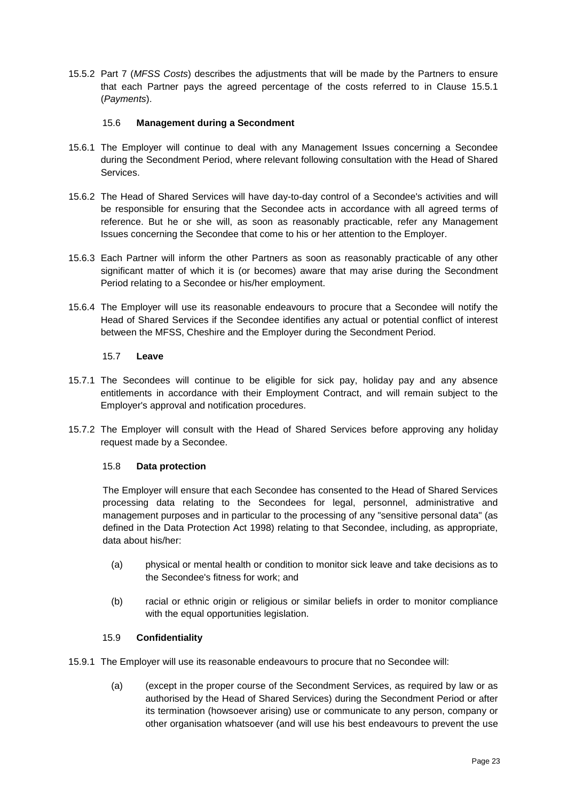15.5.2 Part 7 (*MFSS Costs*) describes the adjustments that will be made by the Partners to ensure that each Partner pays the agreed percentage of the costs referred to in Clause [15.5.1](#page-21-0) (*Payments*).

### 15.6 **Management during a Secondment**

- 15.6.1 The Employer will continue to deal with any Management Issues concerning a Secondee during the Secondment Period, where relevant following consultation with the Head of Shared Services.
- 15.6.2 The Head of Shared Services will have day-to-day control of a Secondee's activities and will be responsible for ensuring that the Secondee acts in accordance with all agreed terms of reference. But he or she will, as soon as reasonably practicable, refer any Management Issues concerning the Secondee that come to his or her attention to the Employer.
- 15.6.3 Each Partner will inform the other Partners as soon as reasonably practicable of any other significant matter of which it is (or becomes) aware that may arise during the Secondment Period relating to a Secondee or his/her employment.
- 15.6.4 The Employer will use its reasonable endeavours to procure that a Secondee will notify the Head of Shared Services if the Secondee identifies any actual or potential conflict of interest between the MFSS, Cheshire and the Employer during the Secondment Period.

# 15.7 **Leave**

- 15.7.1 The Secondees will continue to be eligible for sick pay, holiday pay and any absence entitlements in accordance with their Employment Contract, and will remain subject to the Employer's approval and notification procedures.
- 15.7.2 The Employer will consult with the Head of Shared Services before approving any holiday request made by a Secondee.

### 15.8 **Data protection**

The Employer will ensure that each Secondee has consented to the Head of Shared Services processing data relating to the Secondees for legal, personnel, administrative and management purposes and in particular to the processing of any "sensitive personal data" (as defined in the Data Protection Act 1998) relating to that Secondee, including, as appropriate, data about his/her:

- (a) physical or mental health or condition to monitor sick leave and take decisions as to the Secondee's fitness for work; and
- (b) racial or ethnic origin or religious or similar beliefs in order to monitor compliance with the equal opportunities legislation.

### 15.9 **Confidentiality**

- 15.9.1 The Employer will use its reasonable endeavours to procure that no Secondee will:
	- (a) (except in the proper course of the Secondment Services, as required by law or as authorised by the Head of Shared Services) during the Secondment Period or after its termination (howsoever arising) use or communicate to any person, company or other organisation whatsoever (and will use his best endeavours to prevent the use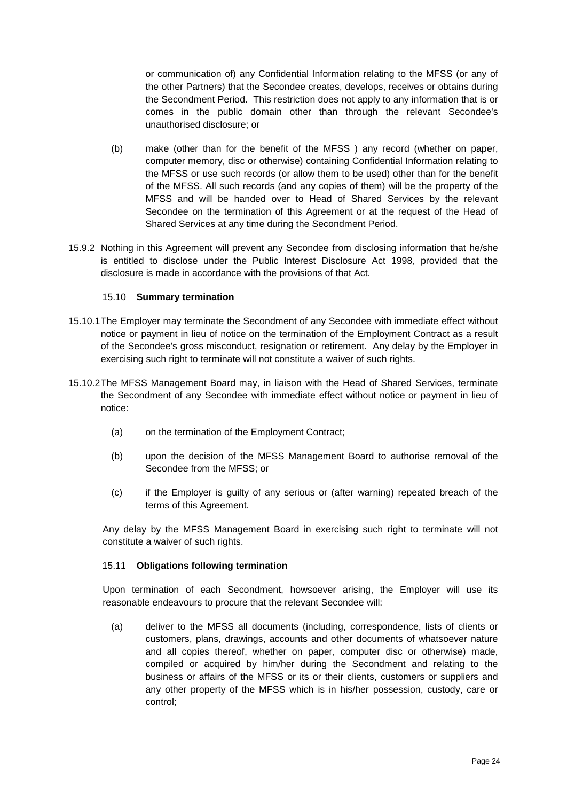or communication of) any Confidential Information relating to the MFSS (or any of the other Partners) that the Secondee creates, develops, receives or obtains during the Secondment Period. This restriction does not apply to any information that is or comes in the public domain other than through the relevant Secondee's unauthorised disclosure; or

- (b) make (other than for the benefit of the MFSS ) any record (whether on paper, computer memory, disc or otherwise) containing Confidential Information relating to the MFSS or use such records (or allow them to be used) other than for the benefit of the MFSS. All such records (and any copies of them) will be the property of the MFSS and will be handed over to Head of Shared Services by the relevant Secondee on the termination of this Agreement or at the request of the Head of Shared Services at any time during the Secondment Period.
- 15.9.2 Nothing in this Agreement will prevent any Secondee from disclosing information that he/she is entitled to disclose under the Public Interest Disclosure Act 1998, provided that the disclosure is made in accordance with the provisions of that Act.

### 15.10 **Summary termination**

- <span id="page-23-0"></span>15.10.1The Employer may terminate the Secondment of any Secondee with immediate effect without notice or payment in lieu of notice on the termination of the Employment Contract as a result of the Secondee's gross misconduct, resignation or retirement. Any delay by the Employer in exercising such right to terminate will not constitute a waiver of such rights.
- 15.10.2The MFSS Management Board may, in liaison with the Head of Shared Services, terminate the Secondment of any Secondee with immediate effect without notice or payment in lieu of notice:
	- (a) on the termination of the Employment Contract;
	- (b) upon the decision of the MFSS Management Board to authorise removal of the Secondee from the MFSS; or
	- (c) if the Employer is guilty of any serious or (after warning) repeated breach of the terms of this Agreement.

Any delay by the MFSS Management Board in exercising such right to terminate will not constitute a waiver of such rights.

### <span id="page-23-1"></span>15.11 **Obligations following termination**

Upon termination of each Secondment, howsoever arising, the Employer will use its reasonable endeavours to procure that the relevant Secondee will:

(a) deliver to the MFSS all documents (including, correspondence, lists of clients or customers, plans, drawings, accounts and other documents of whatsoever nature and all copies thereof, whether on paper, computer disc or otherwise) made, compiled or acquired by him/her during the Secondment and relating to the business or affairs of the MFSS or its or their clients, customers or suppliers and any other property of the MFSS which is in his/her possession, custody, care or control;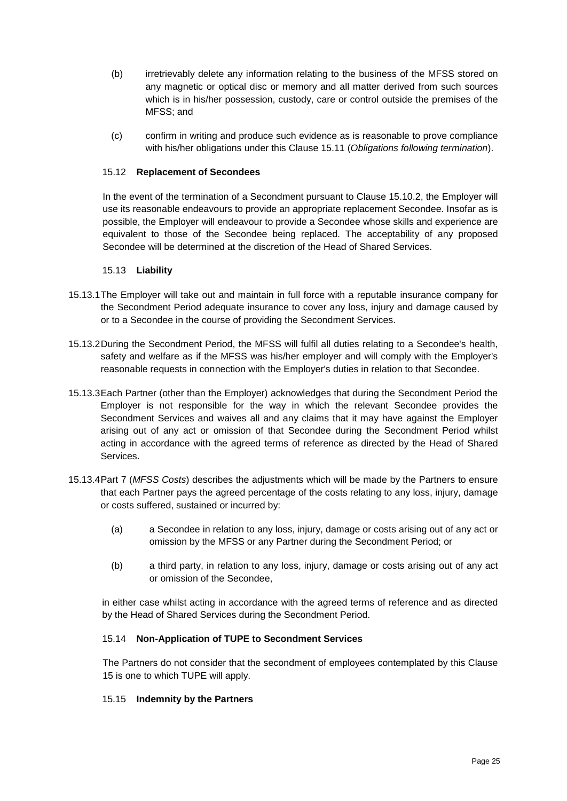- (b) irretrievably delete any information relating to the business of the MFSS stored on any magnetic or optical disc or memory and all matter derived from such sources which is in his/her possession, custody, care or control outside the premises of the MFSS; and
- (c) confirm in writing and produce such evidence as is reasonable to prove compliance with his/her obligations under this Clause [15.11](#page-23-1) (*Obligations following termination*).

### 15.12 **Replacement of Secondees**

In the event of the termination of a Secondment pursuant to Clause 15.10.2, the Employer will use its reasonable endeavours to provide an appropriate replacement Secondee. Insofar as is possible, the Employer will endeavour to provide a Secondee whose skills and experience are equivalent to those of the Secondee being replaced. The acceptability of any proposed Secondee will be determined at the discretion of the Head of Shared Services.

#### 15.13 **Liability**

- 15.13.1The Employer will take out and maintain in full force with a reputable insurance company for the Secondment Period adequate insurance to cover any loss, injury and damage caused by or to a Secondee in the course of providing the Secondment Services.
- 15.13.2During the Secondment Period, the MFSS will fulfil all duties relating to a Secondee's health, safety and welfare as if the MFSS was his/her employer and will comply with the Employer's reasonable requests in connection with the Employer's duties in relation to that Secondee.
- 15.13.3Each Partner (other than the Employer) acknowledges that during the Secondment Period the Employer is not responsible for the way in which the relevant Secondee provides the Secondment Services and waives all and any claims that it may have against the Employer arising out of any act or omission of that Secondee during the Secondment Period whilst acting in accordance with the agreed terms of reference as directed by the Head of Shared Services.
- 15.13.4Part 7 (*MFSS Costs*) describes the adjustments which will be made by the Partners to ensure that each Partner pays the agreed percentage of the costs relating to any loss, injury, damage or costs suffered, sustained or incurred by:
	- (a) a Secondee in relation to any loss, injury, damage or costs arising out of any act or omission by the MFSS or any Partner during the Secondment Period; or
	- (b) a third party, in relation to any loss, injury, damage or costs arising out of any act or omission of the Secondee,

in either case whilst acting in accordance with the agreed terms of reference and as directed by the Head of Shared Services during the Secondment Period.

#### 15.14 **Non-Application of TUPE to Secondment Services**

The Partners do not consider that the secondment of employees contemplated by this Clause 15 is one to which TUPE will apply.

#### 15.15 **Indemnity by the Partners**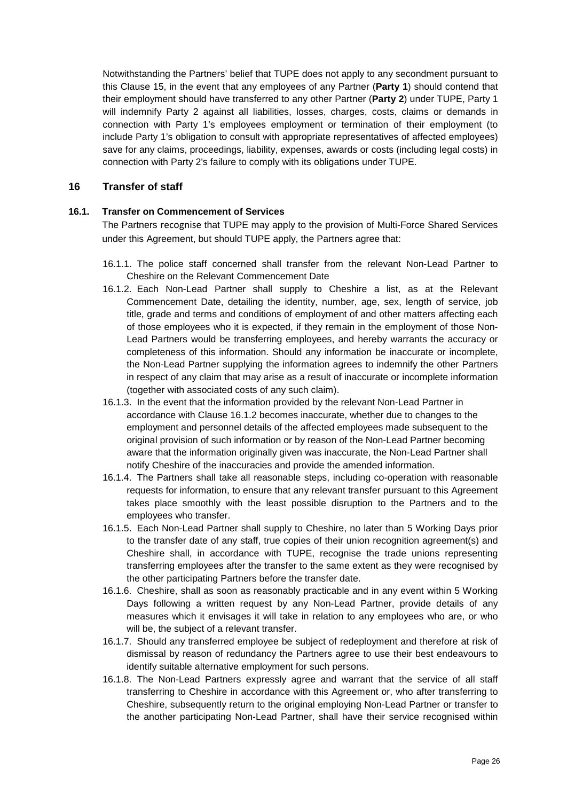Notwithstanding the Partners' belief that TUPE does not apply to any secondment pursuant to this Clause 15, in the event that any employees of any Partner (**Party 1**) should contend that their employment should have transferred to any other Partner (**Party 2**) under TUPE, Party 1 will indemnify Party 2 against all liabilities, losses, charges, costs, claims or demands in connection with Party 1's employees employment or termination of their employment (to include Party 1's obligation to consult with appropriate representatives of affected employees) save for any claims, proceedings, liability, expenses, awards or costs (including legal costs) in connection with Party 2's failure to comply with its obligations under TUPE.

# <span id="page-25-0"></span>**16 Transfer of staff**

# <span id="page-25-1"></span>**16.1. Transfer on Commencement of Services**

The Partners recognise that TUPE may apply to the provision of Multi-Force Shared Services under this Agreement, but should TUPE apply, the Partners agree that:

- 16.1.1. The police staff concerned shall transfer from the relevant Non-Lead Partner to Cheshire on the Relevant Commencement Date
- 16.1.2. Each Non-Lead Partner shall supply to Cheshire a list, as at the Relevant Commencement Date, detailing the identity, number, age, sex, length of service, job title, grade and terms and conditions of employment of and other matters affecting each of those employees who it is expected, if they remain in the employment of those Non-Lead Partners would be transferring employees, and hereby warrants the accuracy or completeness of this information. Should any information be inaccurate or incomplete, the Non-Lead Partner supplying the information agrees to indemnify the other Partners in respect of any claim that may arise as a result of inaccurate or incomplete information (together with associated costs of any such claim).
- 16.1.3. In the event that the information provided by the relevant Non-Lead Partner in accordance with Clause 16.1.2 becomes inaccurate, whether due to changes to the employment and personnel details of the affected employees made subsequent to the original provision of such information or by reason of the Non-Lead Partner becoming aware that the information originally given was inaccurate, the Non-Lead Partner shall notify Cheshire of the inaccuracies and provide the amended information.
- 16.1.4. The Partners shall take all reasonable steps, including co-operation with reasonable requests for information, to ensure that any relevant transfer pursuant to this Agreement takes place smoothly with the least possible disruption to the Partners and to the employees who transfer.
- 16.1.5. Each Non-Lead Partner shall supply to Cheshire, no later than 5 Working Days prior to the transfer date of any staff, true copies of their union recognition agreement(s) and Cheshire shall, in accordance with TUPE, recognise the trade unions representing transferring employees after the transfer to the same extent as they were recognised by the other participating Partners before the transfer date.
- 16.1.6. Cheshire, shall as soon as reasonably practicable and in any event within 5 Working Days following a written request by any Non-Lead Partner, provide details of any measures which it envisages it will take in relation to any employees who are, or who will be, the subject of a relevant transfer.
- 16.1.7. Should any transferred employee be subject of redeployment and therefore at risk of dismissal by reason of redundancy the Partners agree to use their best endeavours to identify suitable alternative employment for such persons.
- 16.1.8. The Non-Lead Partners expressly agree and warrant that the service of all staff transferring to Cheshire in accordance with this Agreement or, who after transferring to Cheshire, subsequently return to the original employing Non-Lead Partner or transfer to the another participating Non-Lead Partner, shall have their service recognised within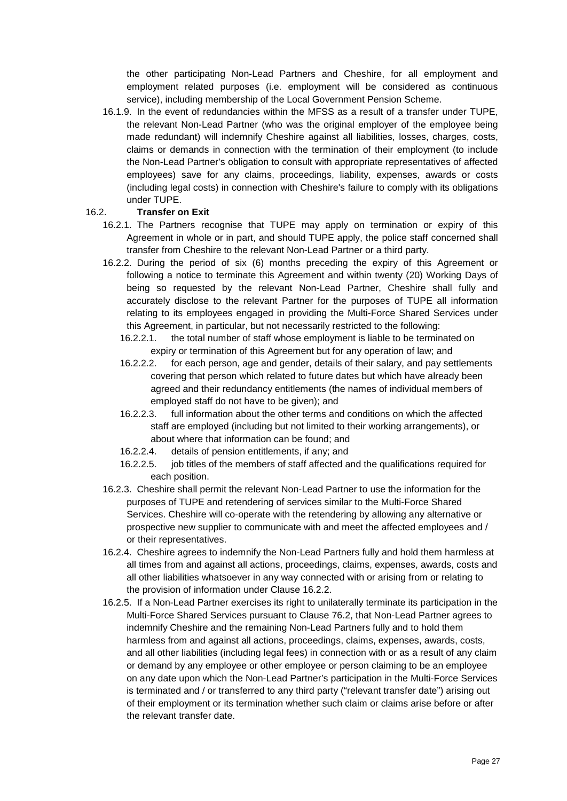the other participating Non-Lead Partners and Cheshire, for all employment and employment related purposes (i.e. employment will be considered as continuous service), including membership of the Local Government Pension Scheme.

16.1.9. In the event of redundancies within the MFSS as a result of a transfer under TUPE, the relevant Non-Lead Partner (who was the original employer of the employee being made redundant) will indemnify Cheshire against all liabilities, losses, charges, costs, claims or demands in connection with the termination of their employment (to include the Non-Lead Partner's obligation to consult with appropriate representatives of affected employees) save for any claims, proceedings, liability, expenses, awards or costs (including legal costs) in connection with Cheshire's failure to comply with its obligations under TUPE.

### 16.2. **Transfer on Exit**

- 16.2.1. The Partners recognise that TUPE may apply on termination or expiry of this Agreement in whole or in part, and should TUPE apply, the police staff concerned shall transfer from Cheshire to the relevant Non-Lead Partner or a third party.
- 16.2.2. During the period of six (6) months preceding the expiry of this Agreement or following a notice to terminate this Agreement and within twenty (20) Working Days of being so requested by the relevant Non-Lead Partner, Cheshire shall fully and accurately disclose to the relevant Partner for the purposes of TUPE all information relating to its employees engaged in providing the Multi-Force Shared Services under this Agreement, in particular, but not necessarily restricted to the following:
	- 16.2.2.1. the total number of staff whose employment is liable to be terminated on expiry or termination of this Agreement but for any operation of law; and
	- 16.2.2.2. for each person, age and gender, details of their salary, and pay settlements covering that person which related to future dates but which have already been agreed and their redundancy entitlements (the names of individual members of employed staff do not have to be given); and
	- 16.2.2.3. full information about the other terms and conditions on which the affected staff are employed (including but not limited to their working arrangements), or about where that information can be found; and
	- 16.2.2.4. details of pension entitlements, if any; and
	- 16.2.2.5. job titles of the members of staff affected and the qualifications required for each position.
- 16.2.3. Cheshire shall permit the relevant Non-Lead Partner to use the information for the purposes of TUPE and retendering of services similar to the Multi-Force Shared Services. Cheshire will co-operate with the retendering by allowing any alternative or prospective new supplier to communicate with and meet the affected employees and / or their representatives.
- 16.2.4. Cheshire agrees to indemnify the Non-Lead Partners fully and hold them harmless at all times from and against all actions, proceedings, claims, expenses, awards, costs and all other liabilities whatsoever in any way connected with or arising from or relating to the provision of information under Clause 16.2.2.
- 16.2.5. If a Non-Lead Partner exercises its right to unilaterally terminate its participation in the Multi-Force Shared Services pursuant to Clause 76.2, that Non-Lead Partner agrees to indemnify Cheshire and the remaining Non-Lead Partners fully and to hold them harmless from and against all actions, proceedings, claims, expenses, awards, costs, and all other liabilities (including legal fees) in connection with or as a result of any claim or demand by any employee or other employee or person claiming to be an employee on any date upon which the Non-Lead Partner's participation in the Multi-Force Services is terminated and / or transferred to any third party ("relevant transfer date") arising out of their employment or its termination whether such claim or claims arise before or after the relevant transfer date.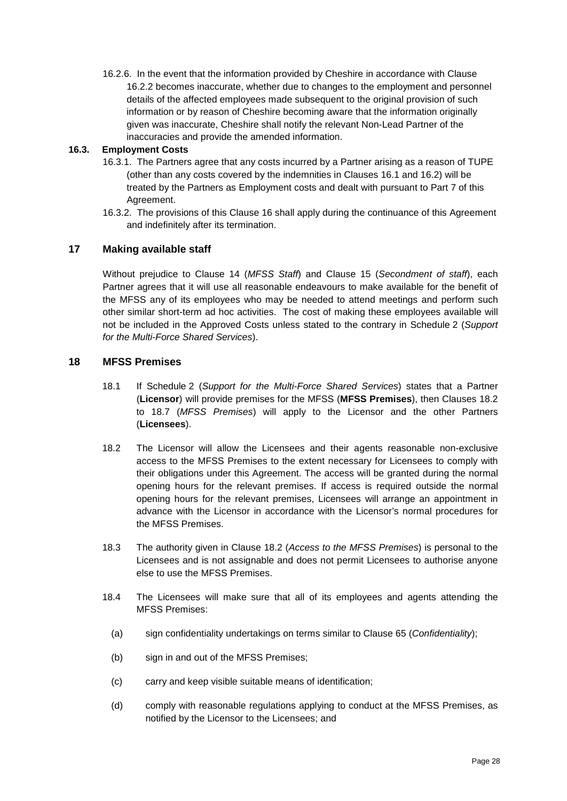16.2.6. In the event that the information provided by Cheshire in accordance with Clause 16.2.2 becomes inaccurate, whether due to changes to the employment and personnel details of the affected employees made subsequent to the original provision of such information or by reason of Cheshire becoming aware that the information originally given was inaccurate, Cheshire shall notify the relevant Non-Lead Partner of the inaccuracies and provide the amended information.

### **16.3. Employment Costs**

- 16.3.1. The Partners agree that any costs incurred by a Partner arising as a reason of TUPE (other than any costs covered by the indemnities in Clauses 16.1 and 16.2) will be treated by the Partners as Employment costs and dealt with pursuant to Part 7 of this Agreement.
- 16.3.2. The provisions of this Clause 16 shall apply during the continuance of this Agreement and indefinitely after its termination.

# **17 Making available staff**

Without prejudice to Clause [14](#page-19-2) (*MFSS Staff*) and Clause [15](#page-19-3) (*Secondment of staff*), each Partner agrees that it will use all reasonable endeavours to make available for the benefit of the MFSS any of its employees who may be needed to attend meetings and perform such other similar short-term ad hoc activities. The cost of making these employees available will not be included in the Approved Costs unless stated to the contrary in [Schedule](#page-88-0) 2 (*Support for the Multi-Force Shared Services*).

# <span id="page-27-0"></span>**18 MFSS Premises**

- 18.1 If [Schedule](#page-88-0) 2 (*Support for the Multi-Force Shared Services*) states that a Partner (**Licensor**) will provide premises for the MFSS (**MFSS Premises**), then Clauses [18.2](#page-27-1) to [18.7](#page-28-1) (*MFSS Premises*) will apply to the Licensor and the other Partners (**Licensees**).
- <span id="page-27-1"></span>18.2 The Licensor will allow the Licensees and their agents reasonable non-exclusive access to the MFSS Premises to the extent necessary for Licensees to comply with their obligations under this Agreement. The access will be granted during the normal opening hours for the relevant premises. If access is required outside the normal opening hours for the relevant premises, Licensees will arrange an appointment in advance with the Licensor in accordance with the Licensor's normal procedures for the MFSS Premises.
- 18.3 The authority given in Clause [18.2](#page-27-1) (*Access to the MFSS Premises*) is personal to the Licensees and is not assignable and does not permit Licensees to authorise anyone else to use the MFSS Premises.
- 18.4 The Licensees will make sure that all of its employees and agents attending the MFSS Premises:
	- (a) sign confidentiality undertakings on terms similar to Clause [65](#page-63-0) (*Confidentiality*);
	- (b) sign in and out of the MFSS Premises;
	- (c) carry and keep visible suitable means of identification;
	- (d) comply with reasonable regulations applying to conduct at the MFSS Premises, as notified by the Licensor to the Licensees; and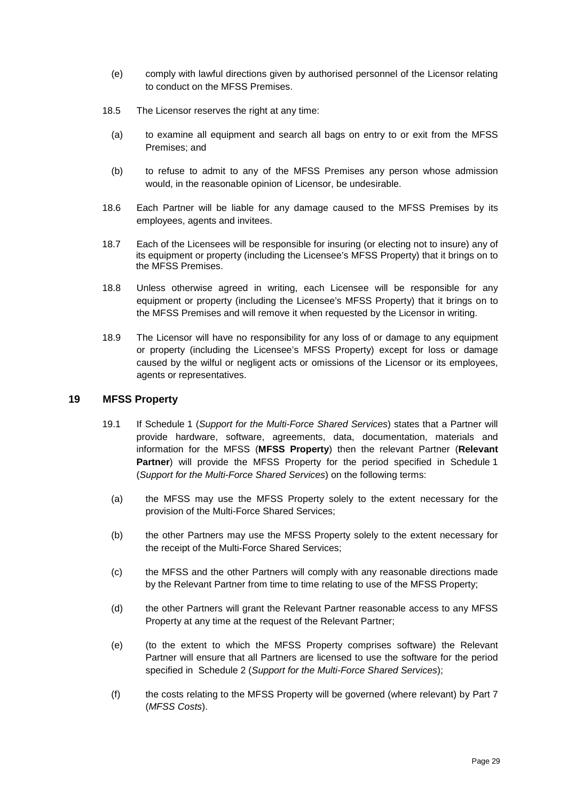- (e) comply with lawful directions given by authorised personnel of the Licensor relating to conduct on the MFSS Premises.
- 18.5 The Licensor reserves the right at any time:
	- (a) to examine all equipment and search all bags on entry to or exit from the MFSS Premises; and
	- (b) to refuse to admit to any of the MFSS Premises any person whose admission would, in the reasonable opinion of Licensor, be undesirable.
- 18.6 Each Partner will be liable for any damage caused to the MFSS Premises by its employees, agents and invitees.
- <span id="page-28-1"></span>18.7 Each of the Licensees will be responsible for insuring (or electing not to insure) any of its equipment or property (including the Licensee's MFSS Property) that it brings on to the MFSS Premises.
- 18.8 Unless otherwise agreed in writing, each Licensee will be responsible for any equipment or property (including the Licensee's MFSS Property) that it brings on to the MFSS Premises and will remove it when requested by the Licensor in writing.
- 18.9 The Licensor will have no responsibility for any loss of or damage to any equipment or property (including the Licensee's MFSS Property) except for loss or damage caused by the wilful or negligent acts or omissions of the Licensor or its employees, agents or representatives.

### <span id="page-28-0"></span>**19 MFSS Property**

- 19.1 If [Schedule](#page-85-0) 1 (*Support for the Multi-Force Shared Services*) states that a Partner will provide hardware, software, agreements, data, documentation, materials and information for the MFSS (**MFSS Property**) then the relevant Partner (**Relevant Partner**) will provide the MFSS Property for the period specified in [Schedule](#page-85-0) 1 (*Support for the Multi-Force Shared Services*) on the following terms:
	- (a) the MFSS may use the MFSS Property solely to the extent necessary for the provision of the Multi-Force Shared Services;
	- (b) the other Partners may use the MFSS Property solely to the extent necessary for the receipt of the Multi-Force Shared Services;
	- (c) the MFSS and the other Partners will comply with any reasonable directions made by the Relevant Partner from time to time relating to use of the MFSS Property;
	- (d) the other Partners will grant the Relevant Partner reasonable access to any MFSS Property at any time at the request of the Relevant Partner;
	- (e) (to the extent to which the MFSS Property comprises software) the Relevant Partner will ensure that all Partners are licensed to use the software for the period specified in [Schedule](#page-88-0) 2 (*Support for the Multi-Force Shared Services*);
	- (f) the costs relating to the MFSS Property will be governed (where relevant) by [Part](#page-40-0) 7 (*MFSS Costs*).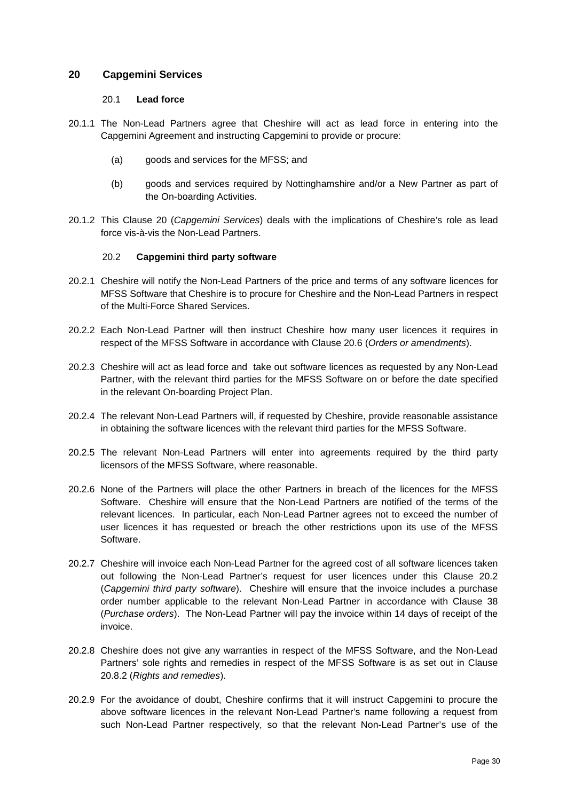### <span id="page-29-0"></span>**20 Capgemini Services**

#### 20.1 **Lead force**

- 20.1.1 The Non-Lead Partners agree that Cheshire will act as lead force in entering into the Capgemini Agreement and instructing Capgemini to provide or procure:
	- (a) goods and services for the MFSS; and
	- (b) goods and services required by Nottinghamshire and/or a New Partner as part of the On-boarding Activities.
- 20.1.2 This Clause [20](#page-29-0) (*Capgemini Services*) deals with the implications of Cheshire's role as lead force vis-à-vis the Non-Lead Partners.

# 20.2 **Capgemini third party software**

- <span id="page-29-1"></span>20.2.1 Cheshire will notify the Non-Lead Partners of the price and terms of any software licences for MFSS Software that Cheshire is to procure for Cheshire and the Non-Lead Partners in respect of the Multi-Force Shared Services.
- 20.2.2 Each Non-Lead Partner will then instruct Cheshire how many user licences it requires in respect of the MFSS Software in accordance with Clause [20.6](#page-31-0) (*Orders or amendments*).
- 20.2.3 Cheshire will act as lead force and take out software licences as requested by any Non-Lead Partner, with the relevant third parties for the MFSS Software on or before the date specified in the relevant On-boarding Project Plan.
- 20.2.4 The relevant Non-Lead Partners will, if requested by Cheshire, provide reasonable assistance in obtaining the software licences with the relevant third parties for the MFSS Software.
- 20.2.5 The relevant Non-Lead Partners will enter into agreements required by the third party licensors of the MFSS Software, where reasonable.
- 20.2.6 None of the Partners will place the other Partners in breach of the licences for the MFSS Software. Cheshire will ensure that the Non-Lead Partners are notified of the terms of the relevant licences. In particular, each Non-Lead Partner agrees not to exceed the number of user licences it has requested or breach the other restrictions upon its use of the MFSS Software.
- 20.2.7 Cheshire will invoice each Non-Lead Partner for the agreed cost of all software licences taken out following the Non-Lead Partner's request for user licences under this Clause [20.2](#page-29-1) (*Capgemini third party software*). Cheshire will ensure that the invoice includes a purchase order number applicable to the relevant Non-Lead Partner in accordance with Clause [38](#page-44-1) (*Purchase orders*). The Non-Lead Partner will pay the invoice within 14 days of receipt of the invoice.
- 20.2.8 Cheshire does not give any warranties in respect of the MFSS Software, and the Non-Lead Partners' sole rights and remedies in respect of the MFSS Software is as set out in Clause [20.8.2](#page-31-1) (*Rights and remedies*).
- 20.2.9 For the avoidance of doubt, Cheshire confirms that it will instruct Capgemini to procure the above software licences in the relevant Non-Lead Partner's name following a request from such Non-Lead Partner respectively, so that the relevant Non-Lead Partner's use of the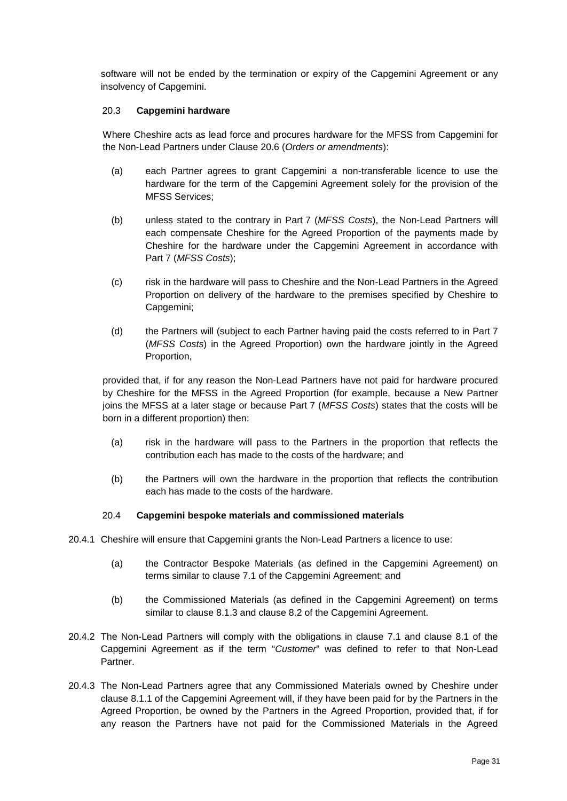software will not be ended by the termination or expiry of the Capgemini Agreement or any insolvency of Capgemini.

### 20.3 **Capgemini hardware**

Where Cheshire acts as lead force and procures hardware for the MFSS from Capgemini for the Non-Lead Partners under Clause [20.6](#page-31-0) (*Orders or amendments*):

- (a) each Partner agrees to grant Capgemini a non-transferable licence to use the hardware for the term of the Capgemini Agreement solely for the provision of the MFSS Services;
- (b) unless stated to the contrary in [Part](#page-40-0) 7 (*MFSS Costs*), the Non-Lead Partners will each compensate Cheshire for the Agreed Proportion of the payments made by Cheshire for the hardware under the Capgemini Agreement in accordance with [Part](#page-40-0) 7 (*MFSS Costs*);
- (c) risk in the hardware will pass to Cheshire and the Non-Lead Partners in the Agreed Proportion on delivery of the hardware to the premises specified by Cheshire to Capgemini;
- (d) the Partners will (subject to each Partner having paid the costs referred to in [Part](#page-40-0) 7 (*MFSS Costs*) in the Agreed Proportion) own the hardware jointly in the Agreed Proportion,

provided that, if for any reason the Non-Lead Partners have not paid for hardware procured by Cheshire for the MFSS in the Agreed Proportion (for example, because a New Partner joins the MFSS at a later stage or because [Part](#page-40-0) 7 (*MFSS Costs*) states that the costs will be born in a different proportion) then:

- (a) risk in the hardware will pass to the Partners in the proportion that reflects the contribution each has made to the costs of the hardware; and
- (b) the Partners will own the hardware in the proportion that reflects the contribution each has made to the costs of the hardware.

### 20.4 **Capgemini bespoke materials and commissioned materials**

- <span id="page-30-0"></span>20.4.1 Cheshire will ensure that Capgemini grants the Non-Lead Partners a licence to use:
	- (a) the Contractor Bespoke Materials (as defined in the Capgemini Agreement) on terms similar to clause 7.1 of the Capgemini Agreement; and
	- (b) the Commissioned Materials (as defined in the Capgemini Agreement) on terms similar to clause 8.1.3 and clause 8.2 of the Capgemini Agreement.
- 20.4.2 The Non-Lead Partners will comply with the obligations in clause 7.1 and clause 8.1 of the Capgemini Agreement as if the term "*Customer*" was defined to refer to that Non-Lead Partner.
- 20.4.3 The Non-Lead Partners agree that any Commissioned Materials owned by Cheshire under clause 8.1.1 of the Capgemini Agreement will, if they have been paid for by the Partners in the Agreed Proportion, be owned by the Partners in the Agreed Proportion, provided that, if for any reason the Partners have not paid for the Commissioned Materials in the Agreed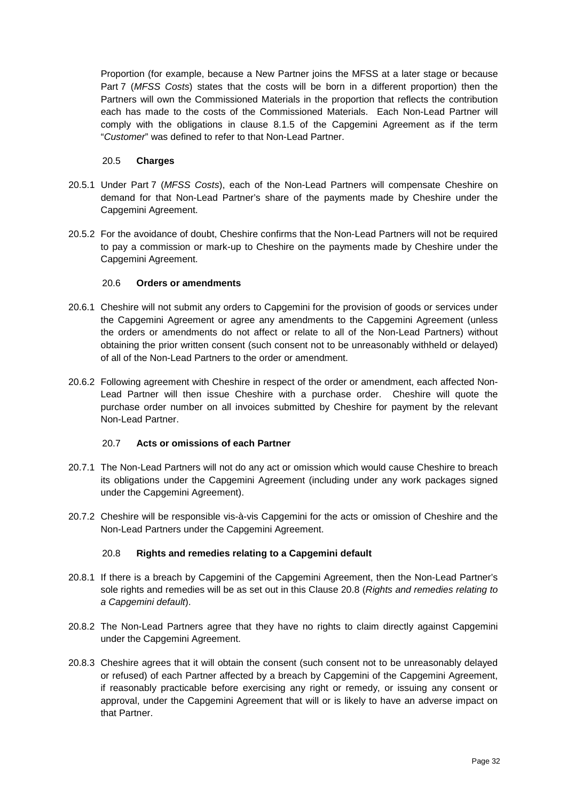Proportion (for example, because a New Partner joins the MFSS at a later stage or because [Part](#page-40-0) 7 (*MFSS Costs*) states that the costs will be born in a different proportion) then the Partners will own the Commissioned Materials in the proportion that reflects the contribution each has made to the costs of the Commissioned Materials. Each Non-Lead Partner will comply with the obligations in clause 8.1.5 of the Capgemini Agreement as if the term "*Customer*" was defined to refer to that Non-Lead Partner.

### 20.5 **Charges**

- 20.5.1 Under [Part](#page-40-0) 7 (*MFSS Costs*), each of the Non-Lead Partners will compensate Cheshire on demand for that Non-Lead Partner's share of the payments made by Cheshire under the Capgemini Agreement.
- 20.5.2 For the avoidance of doubt, Cheshire confirms that the Non-Lead Partners will not be required to pay a commission or mark-up to Cheshire on the payments made by Cheshire under the Capgemini Agreement.

# 20.6 **Orders or amendments**

- <span id="page-31-0"></span>20.6.1 Cheshire will not submit any orders to Capgemini for the provision of goods or services under the Capgemini Agreement or agree any amendments to the Capgemini Agreement (unless the orders or amendments do not affect or relate to all of the Non-Lead Partners) without obtaining the prior written consent (such consent not to be unreasonably withheld or delayed) of all of the Non-Lead Partners to the order or amendment.
- 20.6.2 Following agreement with Cheshire in respect of the order or amendment, each affected Non-Lead Partner will then issue Cheshire with a purchase order. Cheshire will quote the purchase order number on all invoices submitted by Cheshire for payment by the relevant Non-Lead Partner.

# 20.7 **Acts or omissions of each Partner**

- 20.7.1 The Non-Lead Partners will not do any act or omission which would cause Cheshire to breach its obligations under the Capgemini Agreement (including under any work packages signed under the Capgemini Agreement).
- 20.7.2 Cheshire will be responsible vis-à-vis Capgemini for the acts or omission of Cheshire and the Non-Lead Partners under the Capgemini Agreement.

# 20.8 **Rights and remedies relating to a Capgemini default**

- <span id="page-31-2"></span>20.8.1 If there is a breach by Capgemini of the Capgemini Agreement, then the Non-Lead Partner's sole rights and remedies will be as set out in this Clause [20.8](#page-31-2) (*Rights and remedies relating to a Capgemini default*).
- <span id="page-31-1"></span>20.8.2 The Non-Lead Partners agree that they have no rights to claim directly against Capgemini under the Capgemini Agreement.
- 20.8.3 Cheshire agrees that it will obtain the consent (such consent not to be unreasonably delayed or refused) of each Partner affected by a breach by Capgemini of the Capgemini Agreement, if reasonably practicable before exercising any right or remedy, or issuing any consent or approval, under the Capgemini Agreement that will or is likely to have an adverse impact on that Partner.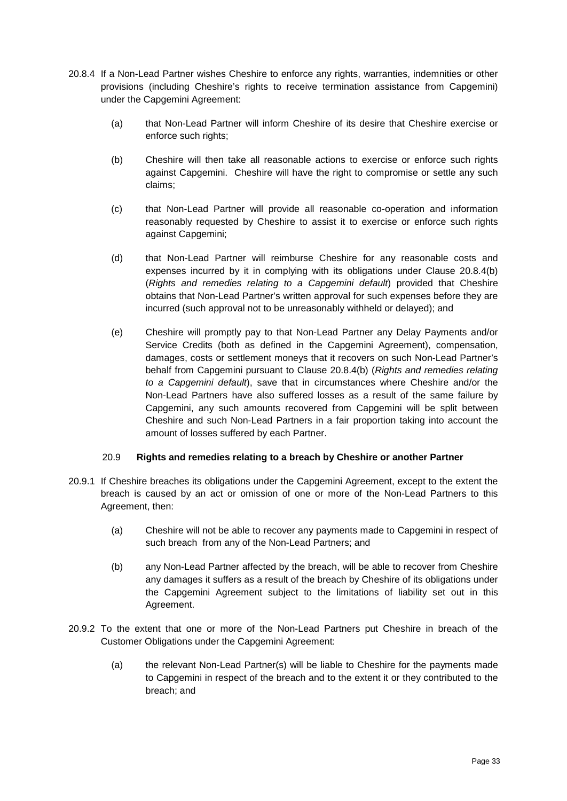- <span id="page-32-0"></span>20.8.4 If a Non-Lead Partner wishes Cheshire to enforce any rights, warranties, indemnities or other provisions (including Cheshire's rights to receive termination assistance from Capgemini) under the Capgemini Agreement:
	- (a) that Non-Lead Partner will inform Cheshire of its desire that Cheshire exercise or enforce such rights;
	- (b) Cheshire will then take all reasonable actions to exercise or enforce such rights against Capgemini. Cheshire will have the right to compromise or settle any such claims;
	- (c) that Non-Lead Partner will provide all reasonable co-operation and information reasonably requested by Cheshire to assist it to exercise or enforce such rights against Capgemini;
	- (d) that Non-Lead Partner will reimburse Cheshire for any reasonable costs and expenses incurred by it in complying with its obligations under Clause [20.8.4\(b\)](#page-32-0) (*Rights and remedies relating to a Capgemini default*) provided that Cheshire obtains that Non-Lead Partner's written approval for such expenses before they are incurred (such approval not to be unreasonably withheld or delayed); and
	- (e) Cheshire will promptly pay to that Non-Lead Partner any Delay Payments and/or Service Credits (both as defined in the Capgemini Agreement), compensation, damages, costs or settlement moneys that it recovers on such Non-Lead Partner's behalf from Capgemini pursuant to Clause [20.8.4\(b\)](#page-32-0) (*Rights and remedies relating to a Capgemini default*), save that in circumstances where Cheshire and/or the Non-Lead Partners have also suffered losses as a result of the same failure by Capgemini, any such amounts recovered from Capgemini will be split between Cheshire and such Non-Lead Partners in a fair proportion taking into account the amount of losses suffered by each Partner.

### 20.9 **Rights and remedies relating to a breach by Cheshire or another Partner**

- 20.9.1 If Cheshire breaches its obligations under the Capgemini Agreement, except to the extent the breach is caused by an act or omission of one or more of the Non-Lead Partners to this Agreement, then:
	- (a) Cheshire will not be able to recover any payments made to Capgemini in respect of such breach from any of the Non-Lead Partners; and
	- (b) any Non-Lead Partner affected by the breach, will be able to recover from Cheshire any damages it suffers as a result of the breach by Cheshire of its obligations under the Capgemini Agreement subject to the limitations of liability set out in this Agreement.
- 20.9.2 To the extent that one or more of the Non-Lead Partners put Cheshire in breach of the Customer Obligations under the Capgemini Agreement:
	- (a) the relevant Non-Lead Partner(s) will be liable to Cheshire for the payments made to Capgemini in respect of the breach and to the extent it or they contributed to the breach; and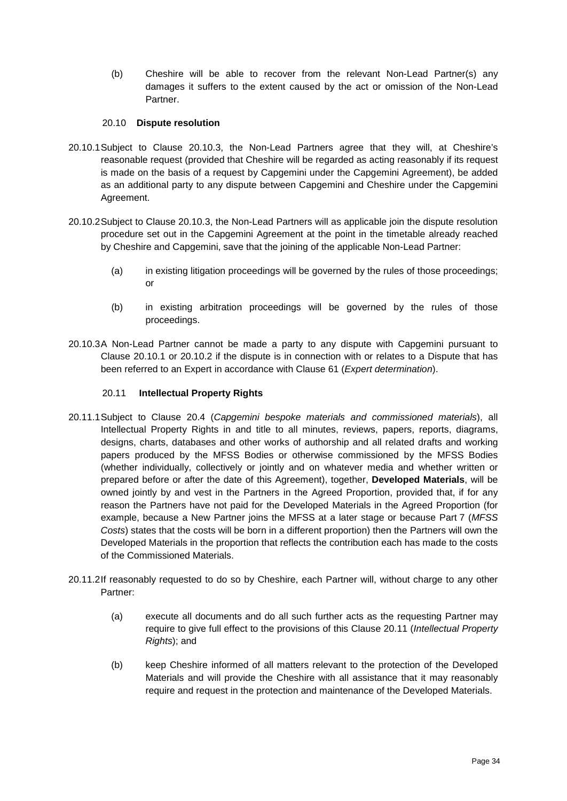(b) Cheshire will be able to recover from the relevant Non-Lead Partner(s) any damages it suffers to the extent caused by the act or omission of the Non-Lead Partner.

### 20.10 **Dispute resolution**

- 20.10.1Subject to Clause 20.10.3, the Non-Lead Partners agree that they will, at Cheshire's reasonable request (provided that Cheshire will be regarded as acting reasonably if its request is made on the basis of a request by Capgemini under the Capgemini Agreement), be added as an additional party to any dispute between Capgemini and Cheshire under the Capgemini Agreement.
- 20.10.2Subject to Clause 20.10.3, the Non-Lead Partners will as applicable join the dispute resolution procedure set out in the Capgemini Agreement at the point in the timetable already reached by Cheshire and Capgemini, save that the joining of the applicable Non-Lead Partner:
	- (a) in existing litigation proceedings will be governed by the rules of those proceedings; or
	- (b) in existing arbitration proceedings will be governed by the rules of those proceedings.
- 20.10.3A Non-Lead Partner cannot be made a party to any dispute with Capgemini pursuant to Clause 20.10.1 or 20.10.2 if the dispute is in connection with or relates to a Dispute that has been referred to an Expert in accordance with Clause [61](#page-60-0) (*Expert determination*).

### <span id="page-33-1"></span>20.11 **Intellectual Property Rights**

- <span id="page-33-0"></span>20.11.1Subject to Clause [20.4](#page-30-0) (*Capgemini bespoke materials and commissioned materials*), all Intellectual Property Rights in and title to all minutes, reviews, papers, reports, diagrams, designs, charts, databases and other works of authorship and all related drafts and working papers produced by the MFSS Bodies or otherwise commissioned by the MFSS Bodies (whether individually, collectively or jointly and on whatever media and whether written or prepared before or after the date of this Agreement), together, **Developed Materials**, will be owned jointly by and vest in the Partners in the Agreed Proportion, provided that, if for any reason the Partners have not paid for the Developed Materials in the Agreed Proportion (for example, because a New Partner joins the MFSS at a later stage or because [Part](#page-40-0) 7 (*MFSS Costs*) states that the costs will be born in a different proportion) then the Partners will own the Developed Materials in the proportion that reflects the contribution each has made to the costs of the Commissioned Materials.
- 20.11.2If reasonably requested to do so by Cheshire, each Partner will, without charge to any other Partner:
	- (a) execute all documents and do all such further acts as the requesting Partner may require to give full effect to the provisions of this Clause [20.11](#page-33-1) (*Intellectual Property Rights*); and
	- (b) keep Cheshire informed of all matters relevant to the protection of the Developed Materials and will provide the Cheshire with all assistance that it may reasonably require and request in the protection and maintenance of the Developed Materials.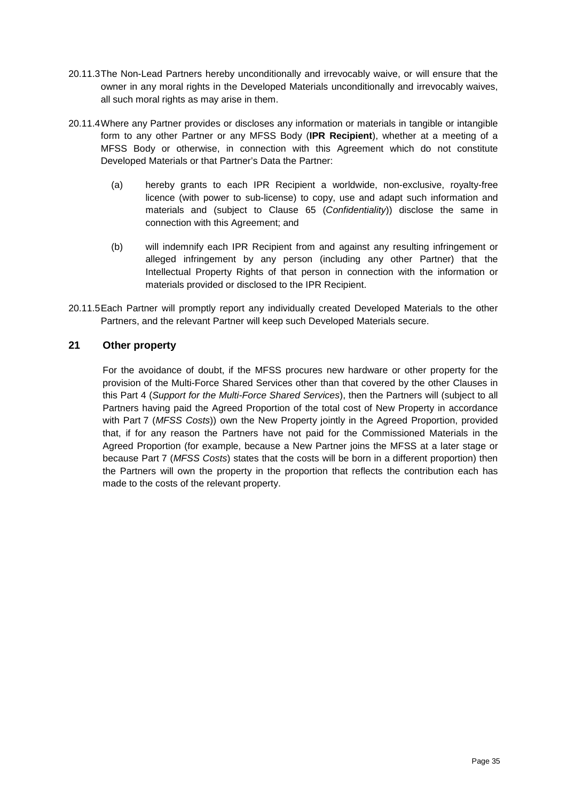- 20.11.3The Non-Lead Partners hereby unconditionally and irrevocably waive, or will ensure that the owner in any moral rights in the Developed Materials unconditionally and irrevocably waives, all such moral rights as may arise in them.
- 20.11.4Where any Partner provides or discloses any information or materials in tangible or intangible form to any other Partner or any MFSS Body (**IPR Recipient**), whether at a meeting of a MFSS Body or otherwise, in connection with this Agreement which do not constitute Developed Materials or that Partner's Data the Partner:
	- (a) hereby grants to each IPR Recipient a worldwide, non-exclusive, royalty-free licence (with power to sub-license) to copy, use and adapt such information and materials and (subject to Clause [65](#page-63-0) (*Confidentiality*)) disclose the same in connection with this Agreement; and
	- (b) will indemnify each IPR Recipient from and against any resulting infringement or alleged infringement by any person (including any other Partner) that the Intellectual Property Rights of that person in connection with the information or materials provided or disclosed to the IPR Recipient.
- 20.11.5Each Partner will promptly report any individually created Developed Materials to the other Partners, and the relevant Partner will keep such Developed Materials secure.

# <span id="page-34-0"></span>**21 Other property**

For the avoidance of doubt, if the MFSS procures new hardware or other property for the provision of the Multi-Force Shared Services other than that covered by the other Clauses in this Part 4 (*Support for the Multi-Force Shared Services*), then the Partners will (subject to all Partners having paid the Agreed Proportion of the total cost of New Property in accordance with [Part](#page-40-0) 7 (*MFSS Costs*)) own the New Property jointly in the Agreed Proportion, provided that, if for any reason the Partners have not paid for the Commissioned Materials in the Agreed Proportion (for example, because a New Partner joins the MFSS at a later stage or because [Part](#page-40-0) 7 (*MFSS Costs*) states that the costs will be born in a different proportion) then the Partners will own the property in the proportion that reflects the contribution each has made to the costs of the relevant property.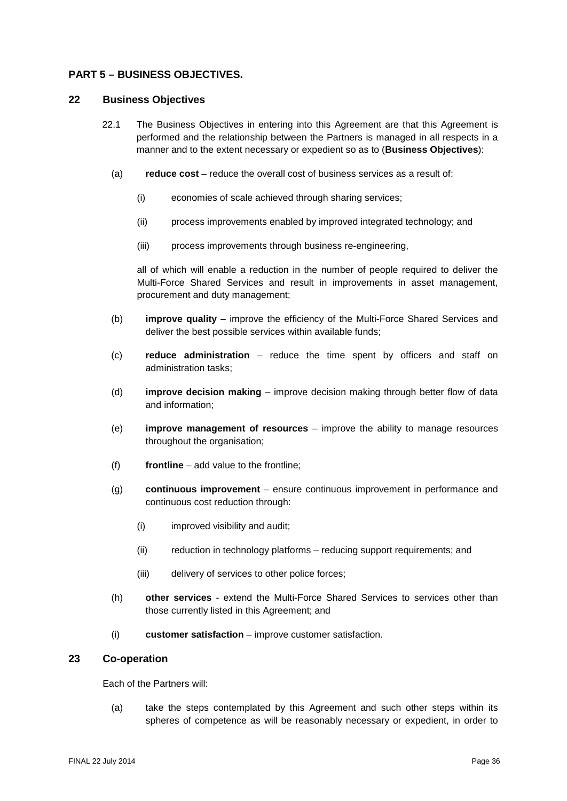# <span id="page-35-0"></span>**PART 5 – BUSINESS OBJECTIVES.**

#### <span id="page-35-1"></span>**22 Business Objectives**

- 22.1 The Business Objectives in entering into this Agreement are that this Agreement is performed and the relationship between the Partners is managed in all respects in a manner and to the extent necessary or expedient so as to (**Business Objectives**):
	- (a) **reduce cost**  reduce the overall cost of business services as a result of:
		- (i) economies of scale achieved through sharing services;
		- (ii) process improvements enabled by improved integrated technology; and
		- (iii) process improvements through business re-engineering,

all of which will enable a reduction in the number of people required to deliver the Multi-Force Shared Services and result in improvements in asset management, procurement and duty management;

- (b) **improve quality** improve the efficiency of the Multi-Force Shared Services and deliver the best possible services within available funds;
- (c) **reduce administration** reduce the time spent by officers and staff on administration tasks;
- (d) **improve decision making** improve decision making through better flow of data and information;
- (e) **improve management of resources** improve the ability to manage resources throughout the organisation;
- (f) **frontline** add value to the frontline;
- (g) **continuous improvement** ensure continuous improvement in performance and continuous cost reduction through:
	- (i) improved visibility and audit;
	- (ii) reduction in technology platforms reducing support requirements; and
	- (iii) delivery of services to other police forces;
- (h) **other services** extend the Multi-Force Shared Services to services other than those currently listed in this Agreement; and
- (i) **customer satisfaction** improve customer satisfaction.

#### <span id="page-35-2"></span>**23 Co-operation**

Each of the Partners will:

(a) take the steps contemplated by this Agreement and such other steps within its spheres of competence as will be reasonably necessary or expedient, in order to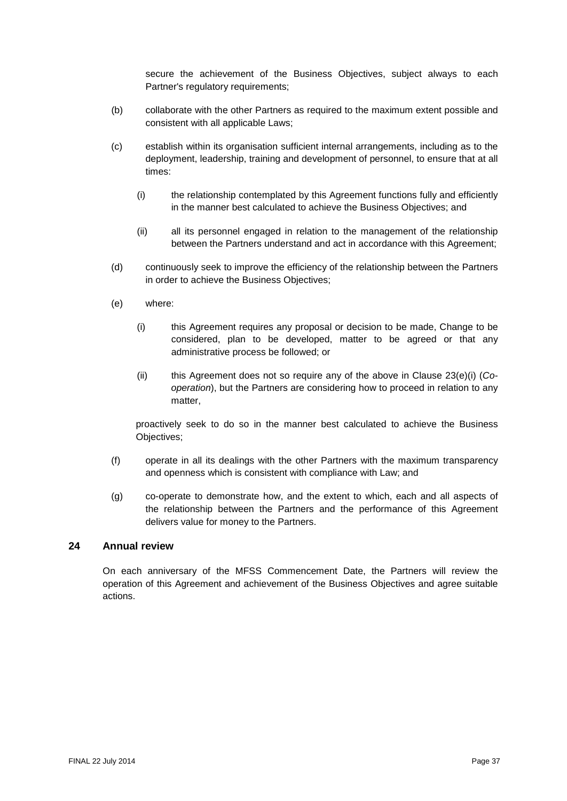secure the achievement of the Business Objectives, subject always to each Partner's regulatory requirements;

- (b) collaborate with the other Partners as required to the maximum extent possible and consistent with all applicable Laws;
- (c) establish within its organisation sufficient internal arrangements, including as to the deployment, leadership, training and development of personnel, to ensure that at all times:
	- (i) the relationship contemplated by this Agreement functions fully and efficiently in the manner best calculated to achieve the Business Objectives; and
	- (ii) all its personnel engaged in relation to the management of the relationship between the Partners understand and act in accordance with this Agreement;
- (d) continuously seek to improve the efficiency of the relationship between the Partners in order to achieve the Business Objectives;
- <span id="page-36-0"></span>(e) where:
	- (i) this Agreement requires any proposal or decision to be made, Change to be considered, plan to be developed, matter to be agreed or that any administrative process be followed; or
	- (ii) this Agreement does not so require any of the above in Clause [23\(e\)](#page-35-0)[\(i\)](#page-36-0) (*Cooperation*), but the Partners are considering how to proceed in relation to any matter,

proactively seek to do so in the manner best calculated to achieve the Business Objectives;

- (f) operate in all its dealings with the other Partners with the maximum transparency and openness which is consistent with compliance with Law; and
- (g) co-operate to demonstrate how, and the extent to which, each and all aspects of the relationship between the Partners and the performance of this Agreement delivers value for money to the Partners.

# **24 Annual review**

On each anniversary of the MFSS Commencement Date, the Partners will review the operation of this Agreement and achievement of the Business Objectives and agree suitable actions.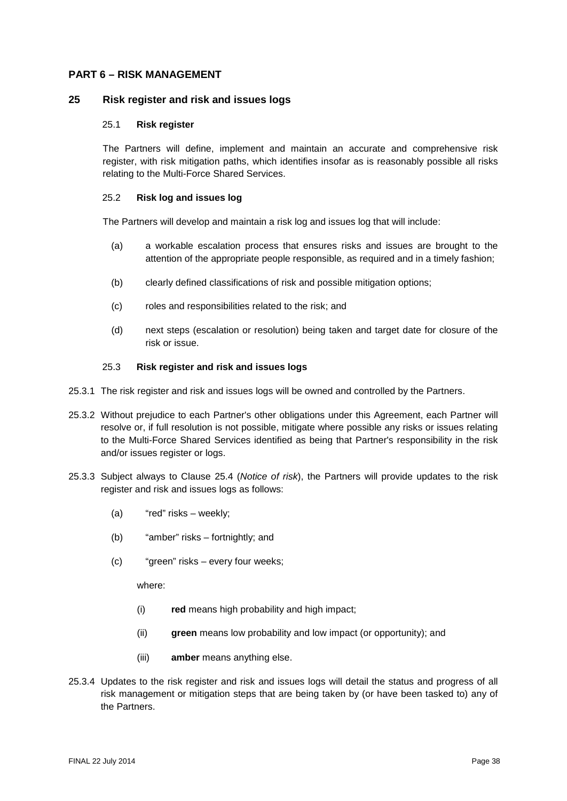## <span id="page-37-1"></span>**PART 6 – RISK MANAGEMENT**

#### **25 Risk register and risk and issues logs**

#### 25.1 **Risk register**

The Partners will define, implement and maintain an accurate and comprehensive risk register, with risk mitigation paths, which identifies insofar as is reasonably possible all risks relating to the Multi-Force Shared Services.

#### 25.2 **Risk log and issues log**

The Partners will develop and maintain a risk log and issues log that will include:

- (a) a workable escalation process that ensures risks and issues are brought to the attention of the appropriate people responsible, as required and in a timely fashion;
- (b) clearly defined classifications of risk and possible mitigation options;
- (c) roles and responsibilities related to the risk; and
- (d) next steps (escalation or resolution) being taken and target date for closure of the risk or issue.

#### 25.3 **Risk register and risk and issues logs**

- <span id="page-37-0"></span>25.3.1 The risk register and risk and issues logs will be owned and controlled by the Partners.
- 25.3.2 Without prejudice to each Partner's other obligations under this Agreement, each Partner will resolve or, if full resolution is not possible, mitigate where possible any risks or issues relating to the Multi-Force Shared Services identified as being that Partner's responsibility in the risk and/or issues register or logs.
- 25.3.3 Subject always to Clause [25.4](#page-38-0) (*Notice of risk*), the Partners will provide updates to the risk register and risk and issues logs as follows:
	- (a) "red" risks weekly;
	- (b) "amber" risks fortnightly; and
	- (c) "green" risks every four weeks;

where:

- (i) **red** means high probability and high impact;
- (ii) **green** means low probability and low impact (or opportunity); and
- (iii) **amber** means anything else.
- 25.3.4 Updates to the risk register and risk and issues logs will detail the status and progress of all risk management or mitigation steps that are being taken by (or have been tasked to) any of the Partners.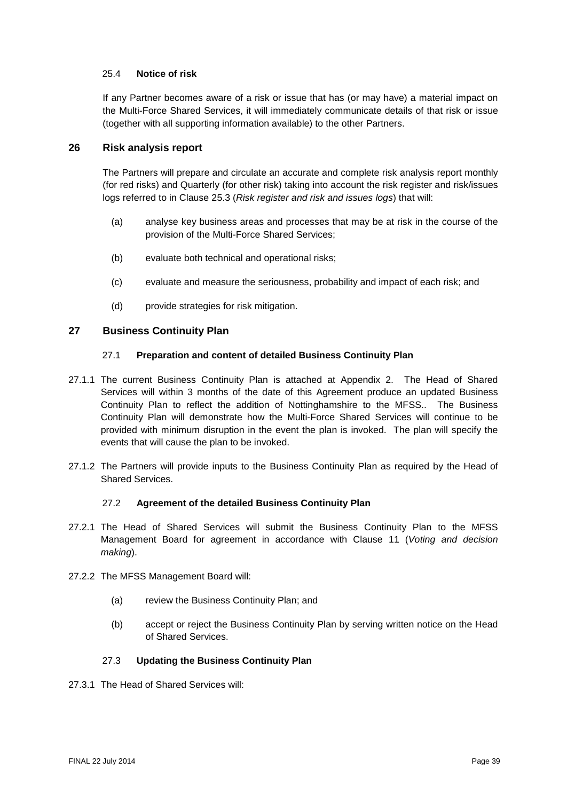## <span id="page-38-0"></span>25.4 **Notice of risk**

If any Partner becomes aware of a risk or issue that has (or may have) a material impact on the Multi-Force Shared Services, it will immediately communicate details of that risk or issue (together with all supporting information available) to the other Partners.

## **26 Risk analysis report**

The Partners will prepare and circulate an accurate and complete risk analysis report monthly (for red risks) and Quarterly (for other risk) taking into account the risk register and risk/issues logs referred to in Clause [25.3](#page-37-0) (*Risk register and risk and issues logs*) that will:

- (a) analyse key business areas and processes that may be at risk in the course of the provision of the Multi-Force Shared Services;
- (b) evaluate both technical and operational risks;
- (c) evaluate and measure the seriousness, probability and impact of each risk; and
- (d) provide strategies for risk mitigation.

# **27 Business Continuity Plan**

## 27.1 **Preparation and content of detailed Business Continuity Plan**

- 27.1.1 The current Business Continuity Plan is attached at Appendix 2. The Head of Shared Services will within 3 months of the date of this Agreement produce an updated Business Continuity Plan to reflect the addition of Nottinghamshire to the MFSS.. The Business Continuity Plan will demonstrate how the Multi-Force Shared Services will continue to be provided with minimum disruption in the event the plan is invoked. The plan will specify the events that will cause the plan to be invoked.
- 27.1.2 The Partners will provide inputs to the Business Continuity Plan as required by the Head of Shared Services.

## 27.2 **Agreement of the detailed Business Continuity Plan**

- 27.2.1 The Head of Shared Services will submit the Business Continuity Plan to the MFSS Management Board for agreement in accordance with Clause [11](#page-18-0) (*Voting and decision making*).
- 27.2.2 The MFSS Management Board will:
	- (a) review the Business Continuity Plan; and
	- (b) accept or reject the Business Continuity Plan by serving written notice on the Head of Shared Services.

# 27.3 **Updating the Business Continuity Plan**

27.3.1 The Head of Shared Services will: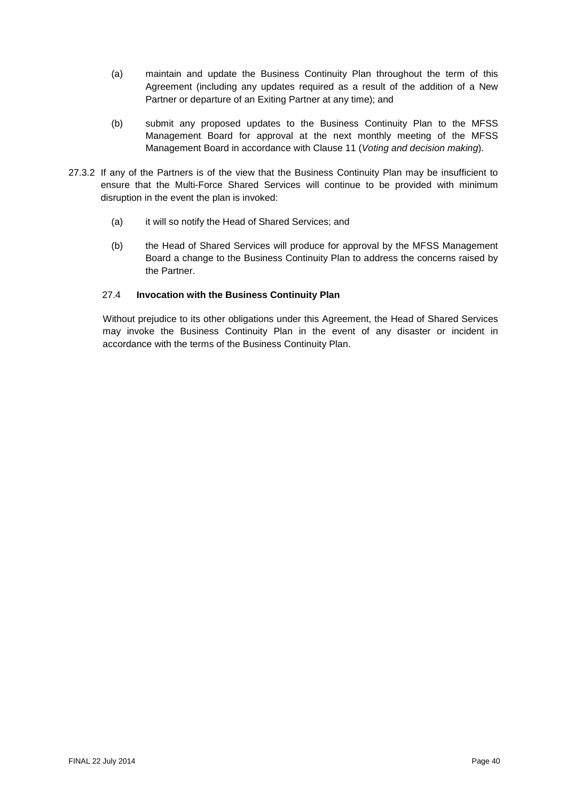- (a) maintain and update the Business Continuity Plan throughout the term of this Agreement (including any updates required as a result of the addition of a New Partner or departure of an Exiting Partner at any time); and
- (b) submit any proposed updates to the Business Continuity Plan to the MFSS Management Board for approval at the next monthly meeting of the MFSS Management Board in accordance with Clause [11](#page-18-0) (*Voting and decision making*).
- 27.3.2 If any of the Partners is of the view that the Business Continuity Plan may be insufficient to ensure that the Multi-Force Shared Services will continue to be provided with minimum disruption in the event the plan is invoked:
	- (a) it will so notify the Head of Shared Services; and
	- (b) the Head of Shared Services will produce for approval by the MFSS Management Board a change to the Business Continuity Plan to address the concerns raised by the Partner.

# 27.4 **Invocation with the Business Continuity Plan**

Without prejudice to its other obligations under this Agreement, the Head of Shared Services may invoke the Business Continuity Plan in the event of any disaster or incident in accordance with the terms of the Business Continuity Plan.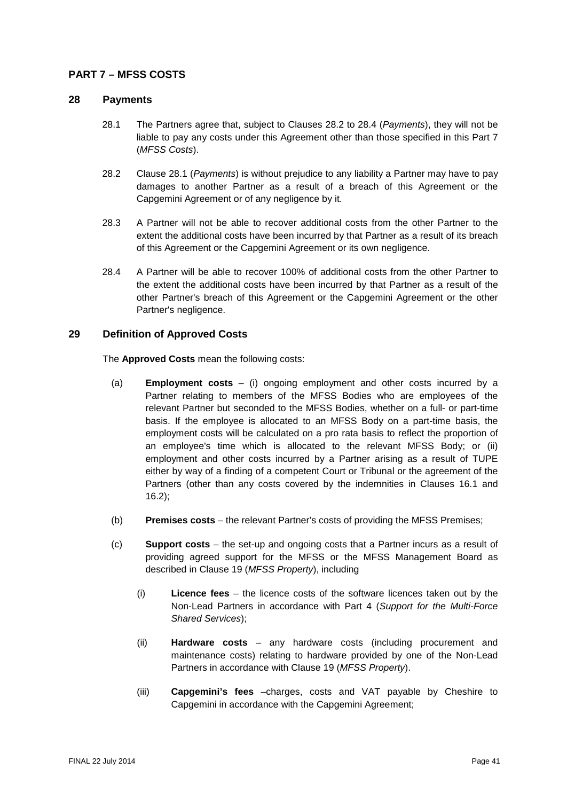# <span id="page-40-4"></span>**PART 7 – MFSS COSTS**

## <span id="page-40-2"></span>**28 Payments**

- 28.1 The Partners agree that, subject to Clauses [28.2](#page-40-0) to [28.4](#page-40-1) (*Payments*), they will not be liable to pay any costs under this Agreement other than those specified in this Part 7 (*MFSS Costs*).
- <span id="page-40-0"></span>28.2 Clause [28.1](#page-40-2) (*Payments*) is without prejudice to any liability a Partner may have to pay damages to another Partner as a result of a breach of this Agreement or the Capgemini Agreement or of any negligence by it.
- <span id="page-40-3"></span>28.3 A Partner will not be able to recover additional costs from the other Partner to the extent the additional costs have been incurred by that Partner as a result of its breach of this Agreement or the Capgemini Agreement or its own negligence.
- <span id="page-40-1"></span>28.4 A Partner will be able to recover 100% of additional costs from the other Partner to the extent the additional costs have been incurred by that Partner as a result of the other Partner's breach of this Agreement or the Capgemini Agreement or the other Partner's negligence.

# **29 Definition of Approved Costs**

The **Approved Costs** mean the following costs:

- (a) **Employment costs** (i) ongoing employment and other costs incurred by a Partner relating to members of the MFSS Bodies who are employees of the relevant Partner but seconded to the MFSS Bodies, whether on a full- or part-time basis. If the employee is allocated to an MFSS Body on a part-time basis, the employment costs will be calculated on a pro rata basis to reflect the proportion of an employee's time which is allocated to the relevant MFSS Body; or (ii) employment and other costs incurred by a Partner arising as a result of TUPE either by way of a finding of a competent Court or Tribunal or the agreement of the Partners (other than any costs covered by the indemnities in Clauses 16.1 and 16.2);
- (b) **Premises costs** the relevant Partner's costs of providing the MFSS Premises;
- (c) **Support costs** the set-up and ongoing costs that a Partner incurs as a result of providing agreed support for the MFSS or the MFSS Management Board as described in Clause [19](#page-28-0) (*MFSS Property*), including
	- (i) **Licence fees** the licence costs of the software licences taken out by the Non-Lead Partners in accordance with Part 4 (*Support for the Multi-Force Shared Services*);
	- (ii) **Hardware costs** any hardware costs (including procurement and maintenance costs) relating to hardware provided by one of the Non-Lead Partners in accordance with Clause [19](#page-28-0) (*MFSS Property*).
	- (iii) **Capgemini's fees** –charges, costs and VAT payable by Cheshire to Capgemini in accordance with the Capgemini Agreement;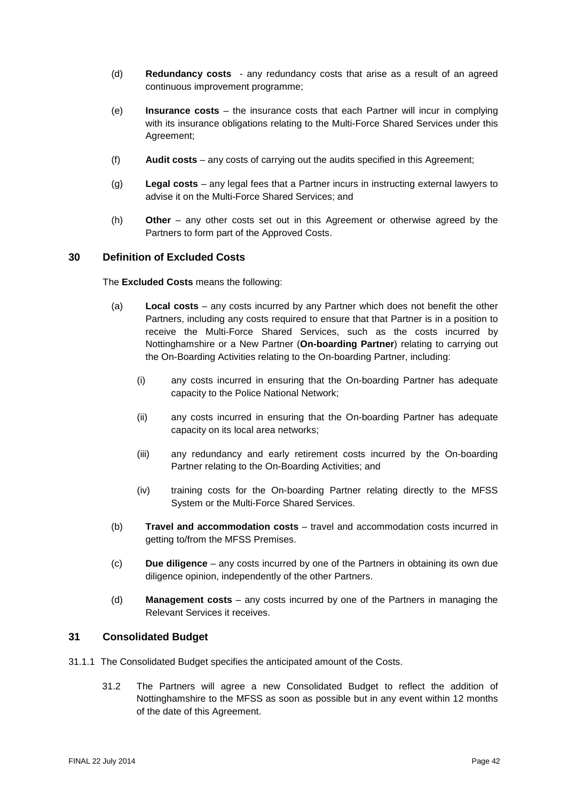- (d) **Redundancy costs** any redundancy costs that arise as a result of an agreed continuous improvement programme;
- (e) **Insurance costs** the insurance costs that each Partner will incur in complying with its insurance obligations relating to the Multi-Force Shared Services under this Agreement;
- (f) **Audit costs** any costs of carrying out the audits specified in this Agreement;
- (g) **Legal costs** any legal fees that a Partner incurs in instructing external lawyers to advise it on the Multi-Force Shared Services; and
- (h) **Other**  any other costs set out in this Agreement or otherwise agreed by the Partners to form part of the Approved Costs.

# **30 Definition of Excluded Costs**

The **Excluded Costs** means the following:

- (a) **Local costs** any costs incurred by any Partner which does not benefit the other Partners, including any costs required to ensure that that Partner is in a position to receive the Multi-Force Shared Services, such as the costs incurred by Nottinghamshire or a New Partner (**On-boarding Partner**) relating to carrying out the On-Boarding Activities relating to the On-boarding Partner, including:
	- (i) any costs incurred in ensuring that the On-boarding Partner has adequate capacity to the Police National Network;
	- (ii) any costs incurred in ensuring that the On-boarding Partner has adequate capacity on its local area networks;
	- (iii) any redundancy and early retirement costs incurred by the On-boarding Partner relating to the On-Boarding Activities; and
	- (iv) training costs for the On-boarding Partner relating directly to the MFSS System or the Multi-Force Shared Services.
- (b) **Travel and accommodation costs** travel and accommodation costs incurred in getting to/from the MFSS Premises.
- (c) **Due diligence**  any costs incurred by one of the Partners in obtaining its own due diligence opinion, independently of the other Partners.
- (d) **Management costs**  any costs incurred by one of the Partners in managing the Relevant Services it receives.

## **31 Consolidated Budget**

- 31.1.1 The Consolidated Budget specifies the anticipated amount of the Costs.
	- 31.2 The Partners will agree a new Consolidated Budget to reflect the addition of Nottinghamshire to the MFSS as soon as possible but in any event within 12 months of the date of this Agreement.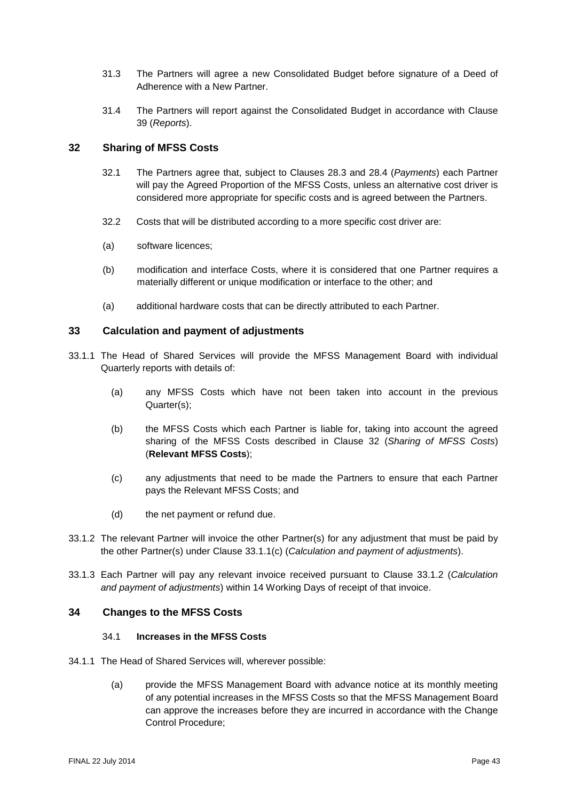- 31.3 The Partners will agree a new Consolidated Budget before signature of a Deed of Adherence with a New Partner.
- 31.4 The Partners will report against the Consolidated Budget in accordance with Clause [39](#page-45-0) (*Reports*).

# <span id="page-42-0"></span>**32 Sharing of MFSS Costs**

- 32.1 The Partners agree that, subject to Clauses [28.3](#page-40-3) and [28.4](#page-40-1) (*Payments*) each Partner will pay the Agreed Proportion of the MFSS Costs, unless an alternative cost driver is considered more appropriate for specific costs and is agreed between the Partners.
- 32.2 Costs that will be distributed according to a more specific cost driver are:
- (a) software licences;
- (b) modification and interface Costs, where it is considered that one Partner requires a materially different or unique modification or interface to the other; and
- (a) additional hardware costs that can be directly attributed to each Partner.

## **33 Calculation and payment of adjustments**

- 33.1.1 The Head of Shared Services will provide the MFSS Management Board with individual Quarterly reports with details of:
	- (a) any MFSS Costs which have not been taken into account in the previous Quarter(s);
	- (b) the MFSS Costs which each Partner is liable for, taking into account the agreed sharing of the MFSS Costs described in Clause [32](#page-42-0) (*Sharing of MFSS Costs*) (**Relevant MFSS Costs**);
	- (c) any adjustments that need to be made the Partners to ensure that each Partner pays the Relevant MFSS Costs; and
	- (d) the net payment or refund due.
- <span id="page-42-2"></span><span id="page-42-1"></span>33.1.2 The relevant Partner will invoice the other Partner(s) for any adjustment that must be paid by the other Partner(s) under Clause [33.1.1\(c\)](#page-42-1) (*Calculation and payment of adjustments*).
- 33.1.3 Each Partner will pay any relevant invoice received pursuant to Clause [33.1.2](#page-42-2) (*Calculation and payment of adjustments*) within 14 Working Days of receipt of that invoice.

#### **34 Changes to the MFSS Costs**

#### 34.1 **Increases in the MFSS Costs**

- 34.1.1 The Head of Shared Services will, wherever possible:
	- (a) provide the MFSS Management Board with advance notice at its monthly meeting of any potential increases in the MFSS Costs so that the MFSS Management Board can approve the increases before they are incurred in accordance with the Change Control Procedure;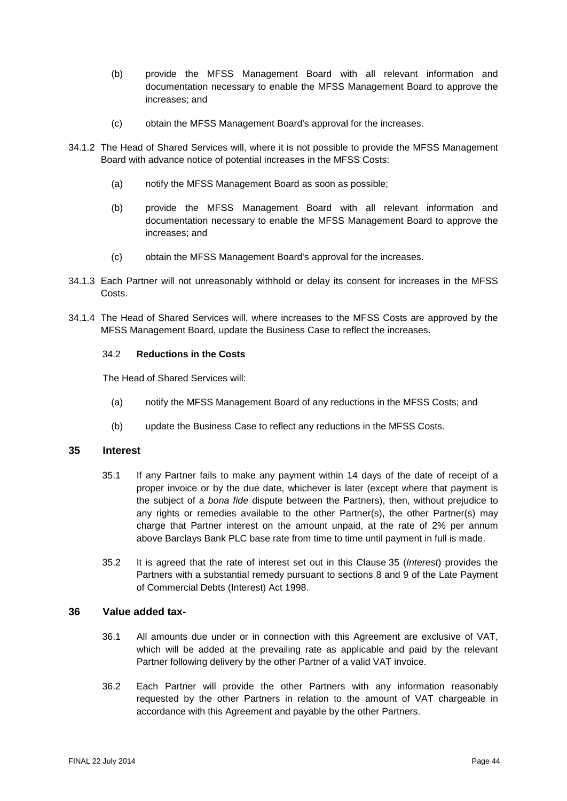- (b) provide the MFSS Management Board with all relevant information and documentation necessary to enable the MFSS Management Board to approve the increases; and
- (c) obtain the MFSS Management Board's approval for the increases.
- 34.1.2 The Head of Shared Services will, where it is not possible to provide the MFSS Management Board with advance notice of potential increases in the MFSS Costs:
	- (a) notify the MFSS Management Board as soon as possible;
	- (b) provide the MFSS Management Board with all relevant information and documentation necessary to enable the MFSS Management Board to approve the increases; and
	- (c) obtain the MFSS Management Board's approval for the increases.
- 34.1.3 Each Partner will not unreasonably withhold or delay its consent for increases in the MFSS Costs.
- 34.1.4 The Head of Shared Services will, where increases to the MFSS Costs are approved by the MFSS Management Board, update the Business Case to reflect the increases.

#### 34.2 **Reductions in the Costs**

The Head of Shared Services will:

- (a) notify the MFSS Management Board of any reductions in the MFSS Costs; and
- (b) update the Business Case to reflect any reductions in the MFSS Costs.

#### <span id="page-43-0"></span>**35 Interest**

- 35.1 If any Partner fails to make any payment within 14 days of the date of receipt of a proper invoice or by the due date, whichever is later (except where that payment is the subject of a *bona fide* dispute between the Partners), then, without prejudice to any rights or remedies available to the other Partner(s), the other Partner(s) may charge that Partner interest on the amount unpaid, at the rate of 2% per annum above Barclays Bank PLC base rate from time to time until payment in full is made.
- 35.2 It is agreed that the rate of interest set out in this Clause [35](#page-43-0) (*Interest*) provides the Partners with a substantial remedy pursuant to sections 8 and 9 of the Late Payment of Commercial Debts (Interest) Act 1998.

## **36 Value added tax-**

- 36.1 All amounts due under or in connection with this Agreement are exclusive of VAT, which will be added at the prevailing rate as applicable and paid by the relevant Partner following delivery by the other Partner of a valid VAT invoice.
- 36.2 Each Partner will provide the other Partners with any information reasonably requested by the other Partners in relation to the amount of VAT chargeable in accordance with this Agreement and payable by the other Partners.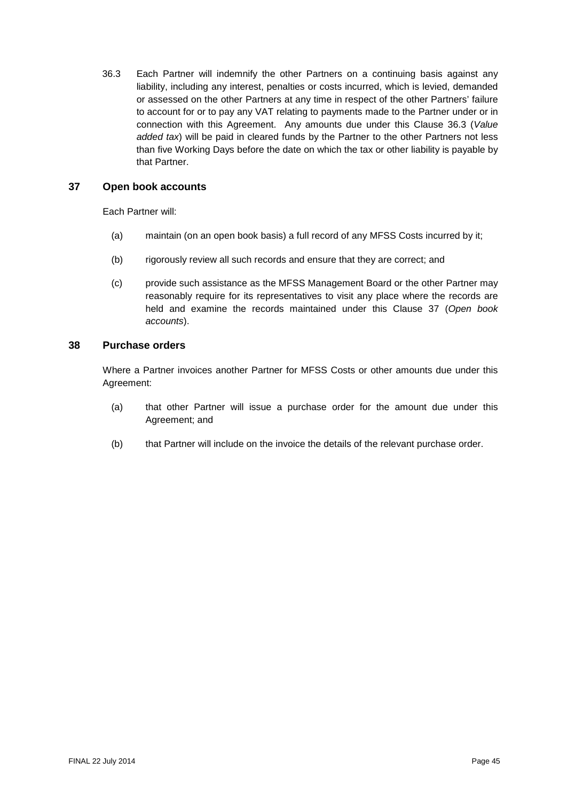<span id="page-44-0"></span>36.3 Each Partner will indemnify the other Partners on a continuing basis against any liability, including any interest, penalties or costs incurred, which is levied, demanded or assessed on the other Partners at any time in respect of the other Partners' failure to account for or to pay any VAT relating to payments made to the Partner under or in connection with this Agreement. Any amounts due under this Clause [36.3](#page-44-0) (*Value added tax*) will be paid in cleared funds by the Partner to the other Partners not less than five Working Days before the date on which the tax or other liability is payable by that Partner.

# <span id="page-44-1"></span>**37 Open book accounts**

Each Partner will:

- (a) maintain (on an open book basis) a full record of any MFSS Costs incurred by it;
- (b) rigorously review all such records and ensure that they are correct; and
- (c) provide such assistance as the MFSS Management Board or the other Partner may reasonably require for its representatives to visit any place where the records are held and examine the records maintained under this Clause [37](#page-44-1) (*Open book accounts*).

## **38 Purchase orders**

Where a Partner invoices another Partner for MFSS Costs or other amounts due under this Agreement:

- (a) that other Partner will issue a purchase order for the amount due under this Agreement; and
- (b) that Partner will include on the invoice the details of the relevant purchase order.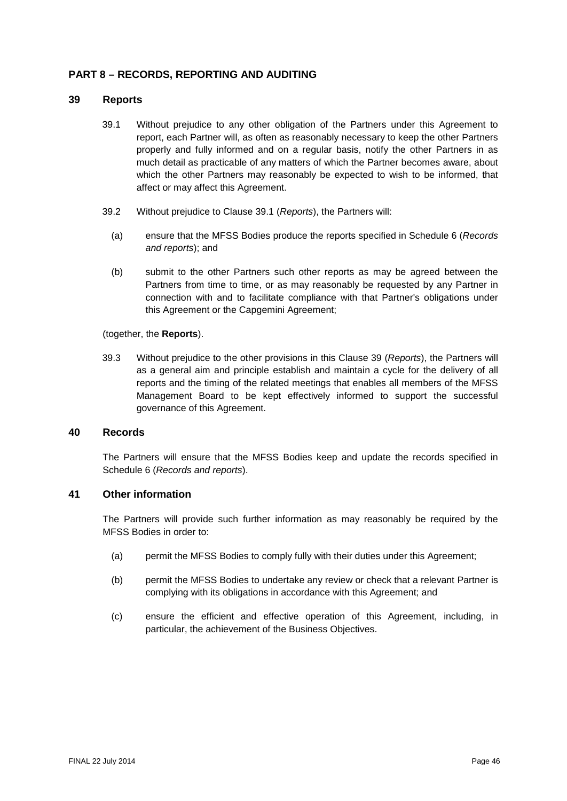# **PART 8 – RECORDS, REPORTING AND AUDITING**

#### <span id="page-45-1"></span><span id="page-45-0"></span>**39 Reports**

- 39.1 Without prejudice to any other obligation of the Partners under this Agreement to report, each Partner will, as often as reasonably necessary to keep the other Partners properly and fully informed and on a regular basis, notify the other Partners in as much detail as practicable of any matters of which the Partner becomes aware, about which the other Partners may reasonably be expected to wish to be informed, that affect or may affect this Agreement.
- 39.2 Without prejudice to Clause [39.1](#page-45-1) (*Reports*), the Partners will:
	- (a) ensure that the MFSS Bodies produce the reports specified in [Schedule](#page-99-0) 6 (*Records and reports*); and
	- (b) submit to the other Partners such other reports as may be agreed between the Partners from time to time, or as may reasonably be requested by any Partner in connection with and to facilitate compliance with that Partner's obligations under this Agreement or the Capgemini Agreement;

#### (together, the **Reports**).

39.3 Without prejudice to the other provisions in this Clause [39](#page-45-0) (*Reports*), the Partners will as a general aim and principle establish and maintain a cycle for the delivery of all reports and the timing of the related meetings that enables all members of the MFSS Management Board to be kept effectively informed to support the successful governance of this Agreement.

## <span id="page-45-2"></span>**40 Records**

The Partners will ensure that the MFSS Bodies keep and update the records specified in [Schedule](#page-99-0) 6 (*Records and reports*).

## **41 Other information**

The Partners will provide such further information as may reasonably be required by the MFSS Bodies in order to:

- (a) permit the MFSS Bodies to comply fully with their duties under this Agreement;
- (b) permit the MFSS Bodies to undertake any review or check that a relevant Partner is complying with its obligations in accordance with this Agreement; and
- (c) ensure the efficient and effective operation of this Agreement, including, in particular, the achievement of the Business Objectives.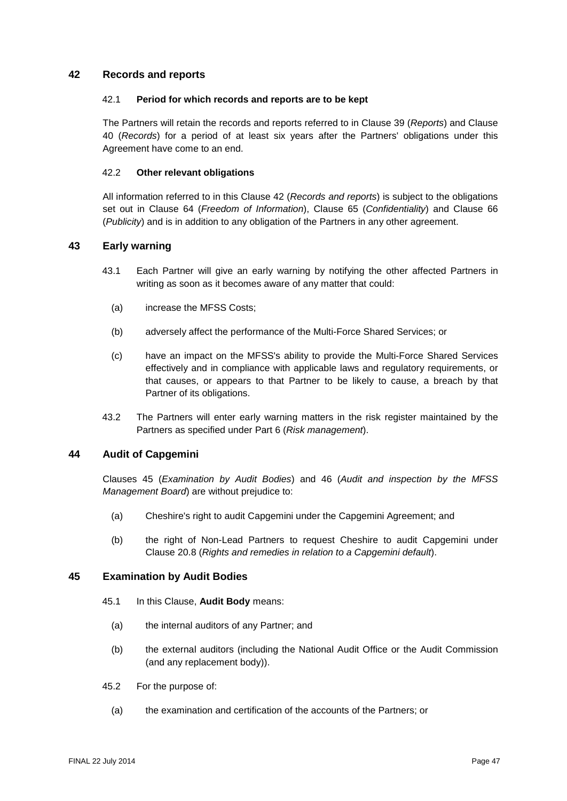## <span id="page-46-0"></span>**42 Records and reports**

#### 42.1 **Period for which records and reports are to be kept**

The Partners will retain the records and reports referred to in Clause [39](#page-45-0) (*Reports*) and Clause [40](#page-45-2) (*Records*) for a period of at least six years after the Partners' obligations under this Agreement have come to an end.

#### 42.2 **Other relevant obligations**

All information referred to in this Clause [42](#page-46-0) (*Records and reports*) is subject to the obligations set out in Clause [64](#page-62-0) (*Freedom of Information*), Clause [65](#page-63-0) (*Confidentiality*) and Clause [66](#page-65-0) (*Publicity*) and is in addition to any obligation of the Partners in any other agreement.

## **43 Early warning**

- 43.1 Each Partner will give an early warning by notifying the other affected Partners in writing as soon as it becomes aware of any matter that could:
	- (a) increase the MFSS Costs;
	- (b) adversely affect the performance of the Multi-Force Shared Services; or
	- (c) have an impact on the MFSS's ability to provide the Multi-Force Shared Services effectively and in compliance with applicable laws and regulatory requirements, or that causes, or appears to that Partner to be likely to cause, a breach by that Partner of its obligations.
- 43.2 The Partners will enter early warning matters in the risk register maintained by the Partners as specified under [Part](#page-37-1) 6 (*Risk management*).

# **44 Audit of Capgemini**

Clauses [45](#page-46-1) (*Examination by Audit Bodies*) and [46](#page-47-0) (*Audit and inspection by the MFSS Management Board*) are without prejudice to:

- (a) Cheshire's right to audit Capgemini under the Capgemini Agreement; and
- (b) the right of Non-Lead Partners to request Cheshire to audit Capgemini under Clause [20.8](#page-31-0) (*Rights and remedies in relation to a Capgemini default*).

## <span id="page-46-1"></span>**45 Examination by Audit Bodies**

- 45.1 In this Clause, **Audit Body** means:
	- (a) the internal auditors of any Partner; and
	- (b) the external auditors (including the National Audit Office or the Audit Commission (and any replacement body)).
- 45.2 For the purpose of:
	- (a) the examination and certification of the accounts of the Partners; or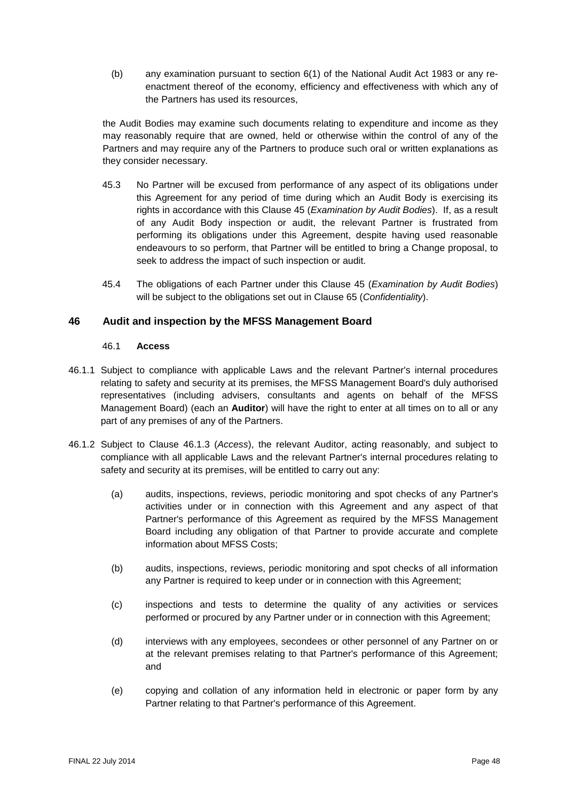(b) any examination pursuant to section 6(1) of the National Audit Act 1983 or any reenactment thereof of the economy, efficiency and effectiveness with which any of the Partners has used its resources,

the Audit Bodies may examine such documents relating to expenditure and income as they may reasonably require that are owned, held or otherwise within the control of any of the Partners and may require any of the Partners to produce such oral or written explanations as they consider necessary.

- 45.3 No Partner will be excused from performance of any aspect of its obligations under this Agreement for any period of time during which an Audit Body is exercising its rights in accordance with this Clause [45](#page-46-1) (*Examination by Audit Bodies*). If, as a result of any Audit Body inspection or audit, the relevant Partner is frustrated from performing its obligations under this Agreement, despite having used reasonable endeavours to so perform, that Partner will be entitled to bring a Change proposal, to seek to address the impact of such inspection or audit.
- 45.4 The obligations of each Partner under this Clause [45](#page-46-1) (*Examination by Audit Bodies*) will be subject to the obligations set out in Clause [65](#page-63-0) (*Confidentiality*).

# <span id="page-47-0"></span>**46 Audit and inspection by the MFSS Management Board**

#### 46.1 **Access**

- 46.1.1 Subject to compliance with applicable Laws and the relevant Partner's internal procedures relating to safety and security at its premises, the MFSS Management Board's duly authorised representatives (including advisers, consultants and agents on behalf of the MFSS Management Board) (each an **Auditor**) will have the right to enter at all times on to all or any part of any premises of any of the Partners.
- <span id="page-47-1"></span>46.1.2 Subject to Clause [46.1.3](#page-48-0) (*Access*), the relevant Auditor, acting reasonably, and subject to compliance with all applicable Laws and the relevant Partner's internal procedures relating to safety and security at its premises, will be entitled to carry out any:
	- (a) audits, inspections, reviews, periodic monitoring and spot checks of any Partner's activities under or in connection with this Agreement and any aspect of that Partner's performance of this Agreement as required by the MFSS Management Board including any obligation of that Partner to provide accurate and complete information about MFSS Costs;
	- (b) audits, inspections, reviews, periodic monitoring and spot checks of all information any Partner is required to keep under or in connection with this Agreement;
	- (c) inspections and tests to determine the quality of any activities or services performed or procured by any Partner under or in connection with this Agreement;
	- (d) interviews with any employees, secondees or other personnel of any Partner on or at the relevant premises relating to that Partner's performance of this Agreement; and
	- (e) copying and collation of any information held in electronic or paper form by any Partner relating to that Partner's performance of this Agreement.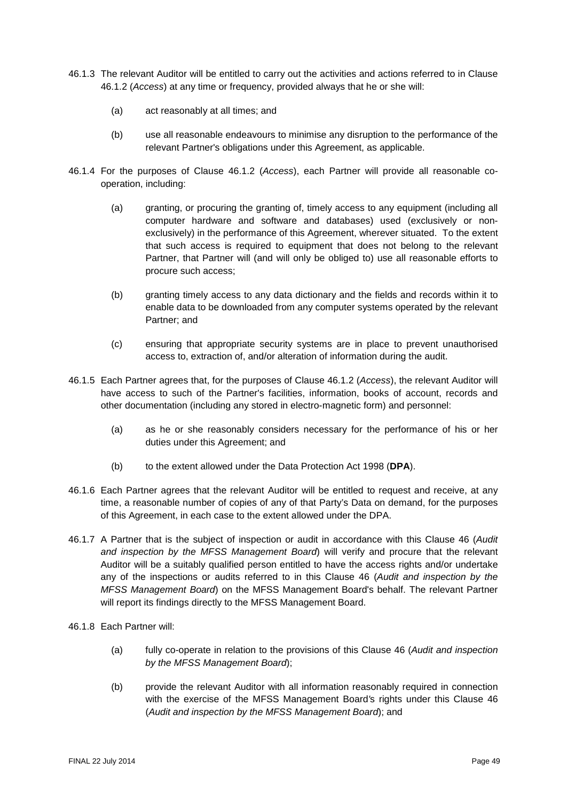- <span id="page-48-0"></span>46.1.3 The relevant Auditor will be entitled to carry out the activities and actions referred to in Clause [46.1.2](#page-47-1) (*Access*) at any time or frequency, provided always that he or she will:
	- (a) act reasonably at all times; and
	- (b) use all reasonable endeavours to minimise any disruption to the performance of the relevant Partner's obligations under this Agreement, as applicable.
- 46.1.4 For the purposes of Clause [46.1.2](#page-47-1) (*Access*), each Partner will provide all reasonable cooperation, including:
	- (a) granting, or procuring the granting of, timely access to any equipment (including all computer hardware and software and databases) used (exclusively or nonexclusively) in the performance of this Agreement, wherever situated. To the extent that such access is required to equipment that does not belong to the relevant Partner, that Partner will (and will only be obliged to) use all reasonable efforts to procure such access;
	- (b) granting timely access to any data dictionary and the fields and records within it to enable data to be downloaded from any computer systems operated by the relevant Partner; and
	- (c) ensuring that appropriate security systems are in place to prevent unauthorised access to, extraction of, and/or alteration of information during the audit.
- 46.1.5 Each Partner agrees that, for the purposes of Clause [46.1.2](#page-47-1) (*Access*), the relevant Auditor will have access to such of the Partner's facilities, information, books of account, records and other documentation (including any stored in electro-magnetic form) and personnel:
	- (a) as he or she reasonably considers necessary for the performance of his or her duties under this Agreement; and
	- (b) to the extent allowed under the Data Protection Act 1998 (**DPA**).
- 46.1.6 Each Partner agrees that the relevant Auditor will be entitled to request and receive, at any time, a reasonable number of copies of any of that Party's Data on demand, for the purposes of this Agreement, in each case to the extent allowed under the DPA.
- 46.1.7 A Partner that is the subject of inspection or audit in accordance with this Clause [46](#page-47-0) (*Audit and inspection by the MFSS Management Board*) will verify and procure that the relevant Auditor will be a suitably qualified person entitled to have the access rights and/or undertake any of the inspections or audits referred to in this Clause [46](#page-47-0) (*Audit and inspection by the MFSS Management Board*) on the MFSS Management Board's behalf. The relevant Partner will report its findings directly to the MFSS Management Board.
- 46.1.8 Each Partner will:
	- (a) fully co-operate in relation to the provisions of this Clause [46](#page-47-0) (*Audit and inspection by the MFSS Management Board*);
	- (b) provide the relevant Auditor with all information reasonably required in connection with the exercise of the MFSS Management Board*'*s rights under this Clause [46](#page-47-0) (*Audit and inspection by the MFSS Management Board*); and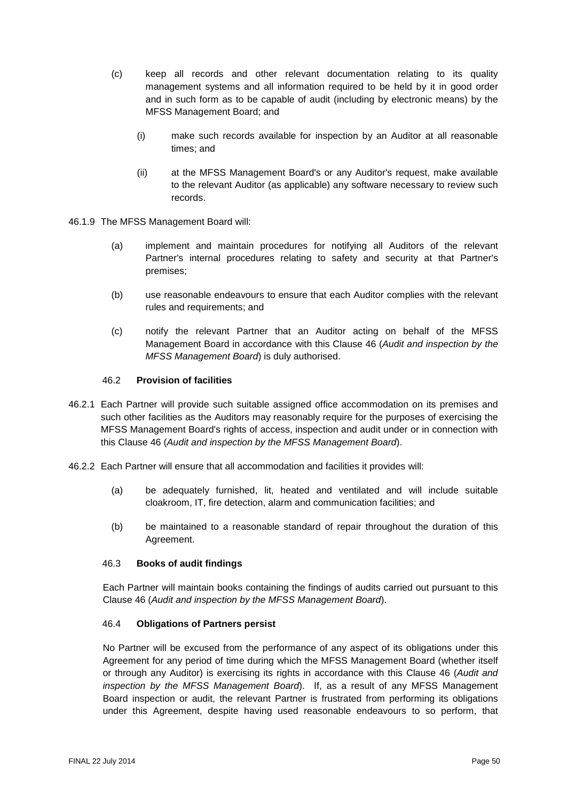- (c) keep all records and other relevant documentation relating to its quality management systems and all information required to be held by it in good order and in such form as to be capable of audit (including by electronic means) by the MFSS Management Board; and
	- (i) make such records available for inspection by an Auditor at all reasonable times; and
	- (ii) at the MFSS Management Board's or any Auditor's request, make available to the relevant Auditor (as applicable) any software necessary to review such records.
- 46.1.9 The MFSS Management Board will:
	- (a) implement and maintain procedures for notifying all Auditors of the relevant Partner's internal procedures relating to safety and security at that Partner's premises;
	- (b) use reasonable endeavours to ensure that each Auditor complies with the relevant rules and requirements; and
	- (c) notify the relevant Partner that an Auditor acting on behalf of the MFSS Management Board in accordance with this Clause [46](#page-47-0) (*Audit and inspection by the MFSS Management Board*) is duly authorised.

#### 46.2 **Provision of facilities**

- 46.2.1 Each Partner will provide such suitable assigned office accommodation on its premises and such other facilities as the Auditors may reasonably require for the purposes of exercising the MFSS Management Board's rights of access, inspection and audit under or in connection with this Clause [46](#page-47-0) (*Audit and inspection by the MFSS Management Board*).
- 46.2.2 Each Partner will ensure that all accommodation and facilities it provides will:
	- (a) be adequately furnished, lit, heated and ventilated and will include suitable cloakroom, IT, fire detection, alarm and communication facilities; and
	- (b) be maintained to a reasonable standard of repair throughout the duration of this Agreement.

## 46.3 **Books of audit findings**

Each Partner will maintain books containing the findings of audits carried out pursuant to this Clause [46](#page-47-0) (*Audit and inspection by the MFSS Management Board*).

## 46.4 **Obligations of Partners persist**

No Partner will be excused from the performance of any aspect of its obligations under this Agreement for any period of time during which the MFSS Management Board (whether itself or through any Auditor) is exercising its rights in accordance with this Clause [46](#page-47-0) (*Audit and inspection by the MFSS Management Board*). If, as a result of any MFSS Management Board inspection or audit, the relevant Partner is frustrated from performing its obligations under this Agreement, despite having used reasonable endeavours to so perform, that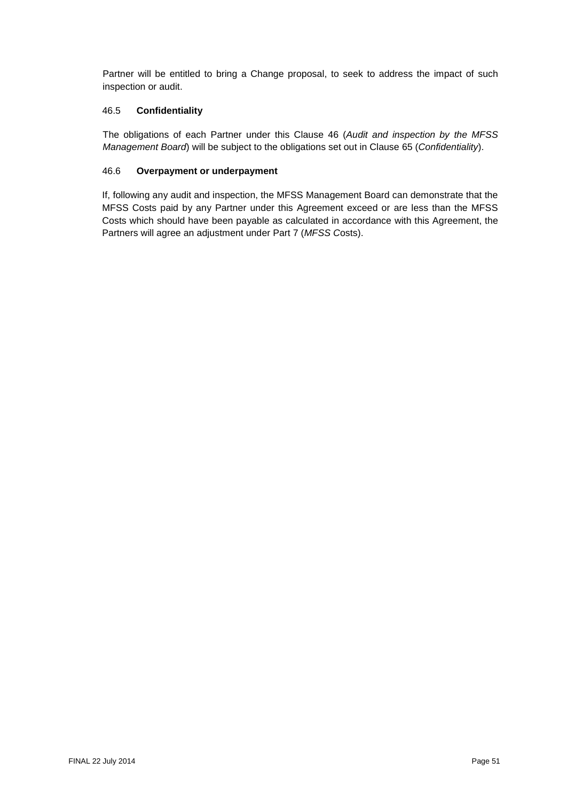Partner will be entitled to bring a Change proposal, to seek to address the impact of such inspection or audit.

# 46.5 **Confidentiality**

The obligations of each Partner under this Clause [46](#page-47-0) (*Audit and inspection by the MFSS Management Board*) will be subject to the obligations set out in Clause [65](#page-63-0) (*Confidentiality*).

# 46.6 **Overpayment or underpayment**

If, following any audit and inspection, the MFSS Management Board can demonstrate that the MFSS Costs paid by any Partner under this Agreement exceed or are less than the MFSS Costs which should have been payable as calculated in accordance with this Agreement, the Partners will agree an adjustment under [Part](#page-40-4) 7 (*MFSS C*osts).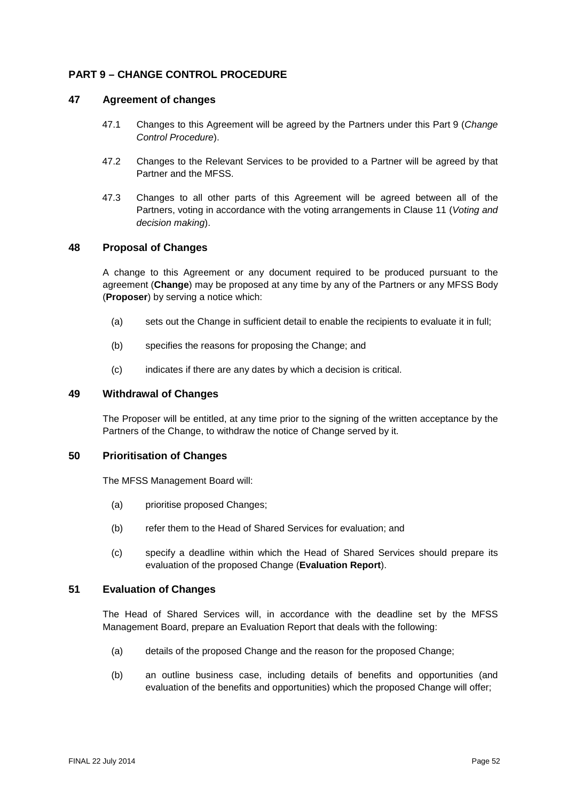# <span id="page-51-0"></span>**PART 9 – CHANGE CONTROL PROCEDURE**

#### **47 Agreement of changes**

- 47.1 Changes to this Agreement will be agreed by the Partners under this [Part](#page-51-0) 9 (*Change Control Procedure*).
- 47.2 Changes to the Relevant Services to be provided to a Partner will be agreed by that Partner and the MFSS.
- 47.3 Changes to all other parts of this Agreement will be agreed between all of the Partners, voting in accordance with the voting arrangements in Clause [11](#page-18-0) (*Voting and decision making*).

# **48 Proposal of Changes**

A change to this Agreement or any document required to be produced pursuant to the agreement (**Change**) may be proposed at any time by any of the Partners or any MFSS Body (**Proposer**) by serving a notice which:

- (a) sets out the Change in sufficient detail to enable the recipients to evaluate it in full;
- (b) specifies the reasons for proposing the Change; and
- (c) indicates if there are any dates by which a decision is critical.

# **49 Withdrawal of Changes**

The Proposer will be entitled, at any time prior to the signing of the written acceptance by the Partners of the Change, to withdraw the notice of Change served by it.

# **50 Prioritisation of Changes**

The MFSS Management Board will:

- (a) prioritise proposed Changes;
- (b) refer them to the Head of Shared Services for evaluation; and
- (c) specify a deadline within which the Head of Shared Services should prepare its evaluation of the proposed Change (**Evaluation Report**).

#### **51 Evaluation of Changes**

The Head of Shared Services will, in accordance with the deadline set by the MFSS Management Board, prepare an Evaluation Report that deals with the following:

- (a) details of the proposed Change and the reason for the proposed Change;
- (b) an outline business case, including details of benefits and opportunities (and evaluation of the benefits and opportunities) which the proposed Change will offer;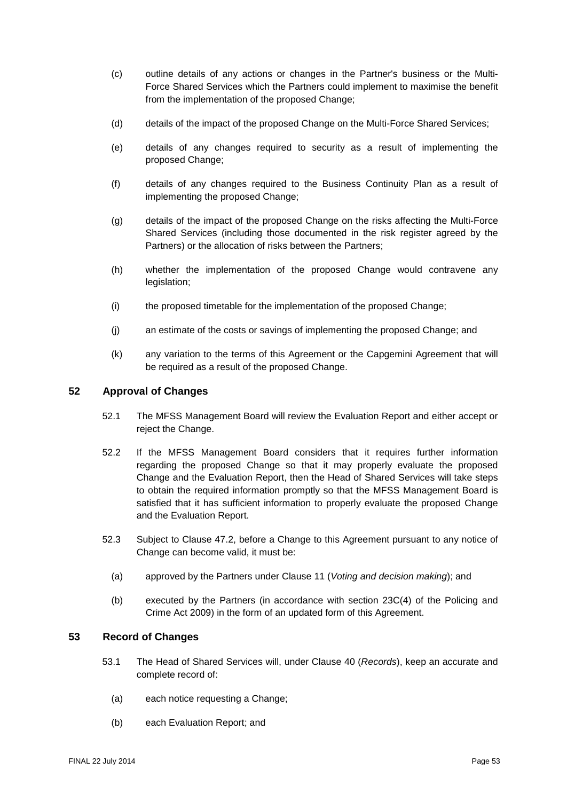- (c) outline details of any actions or changes in the Partner's business or the Multi-Force Shared Services which the Partners could implement to maximise the benefit from the implementation of the proposed Change;
- (d) details of the impact of the proposed Change on the Multi-Force Shared Services;
- (e) details of any changes required to security as a result of implementing the proposed Change;
- (f) details of any changes required to the Business Continuity Plan as a result of implementing the proposed Change;
- (g) details of the impact of the proposed Change on the risks affecting the Multi-Force Shared Services (including those documented in the risk register agreed by the Partners) or the allocation of risks between the Partners;
- (h) whether the implementation of the proposed Change would contravene any legislation;
- (i) the proposed timetable for the implementation of the proposed Change;
- (j) an estimate of the costs or savings of implementing the proposed Change; and
- (k) any variation to the terms of this Agreement or the Capgemini Agreement that will be required as a result of the proposed Change.

# **52 Approval of Changes**

- 52.1 The MFSS Management Board will review the Evaluation Report and either accept or reject the Change.
- 52.2 If the MFSS Management Board considers that it requires further information regarding the proposed Change so that it may properly evaluate the proposed Change and the Evaluation Report, then the Head of Shared Services will take steps to obtain the required information promptly so that the MFSS Management Board is satisfied that it has sufficient information to properly evaluate the proposed Change and the Evaluation Report.
- 52.3 Subject to Clause 47.2, before a Change to this Agreement pursuant to any notice of Change can become valid, it must be:
	- (a) approved by the Partners under Clause [11](#page-18-0) (*Voting and decision making*); and
	- (b) executed by the Partners (in accordance with section 23C(4) of the Policing and Crime Act 2009) in the form of an updated form of this Agreement.

## <span id="page-52-0"></span>**53 Record of Changes**

- 53.1 The Head of Shared Services will, under Clause [40](#page-45-2) (*Records*), keep an accurate and complete record of:
	- (a) each notice requesting a Change;
	- (b) each Evaluation Report; and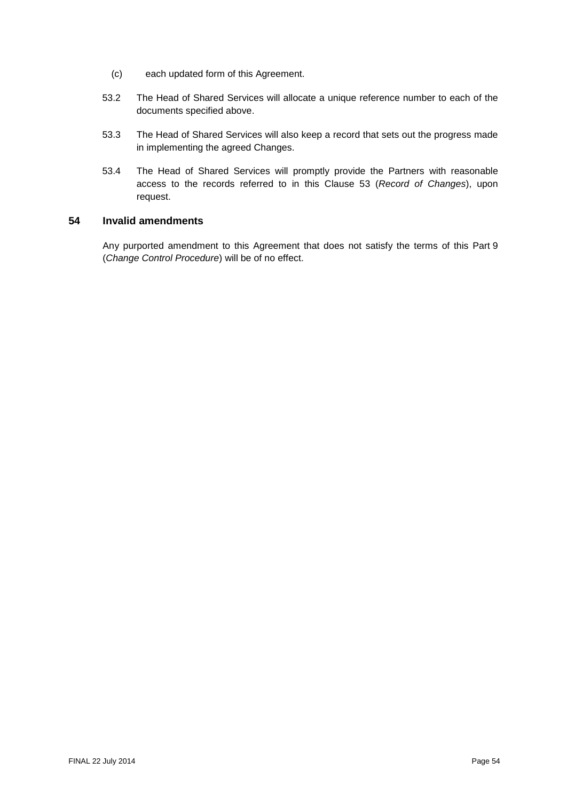- (c) each updated form of this Agreement.
- 53.2 The Head of Shared Services will allocate a unique reference number to each of the documents specified above.
- 53.3 The Head of Shared Services will also keep a record that sets out the progress made in implementing the agreed Changes.
- 53.4 The Head of Shared Services will promptly provide the Partners with reasonable access to the records referred to in this Clause [53](#page-52-0) (*Record of Changes*), upon request.

## **54 Invalid amendments**

Any purported amendment to this Agreement that does not satisfy the terms of this [Part](#page-51-0) 9 (*Change Control Procedure*) will be of no effect.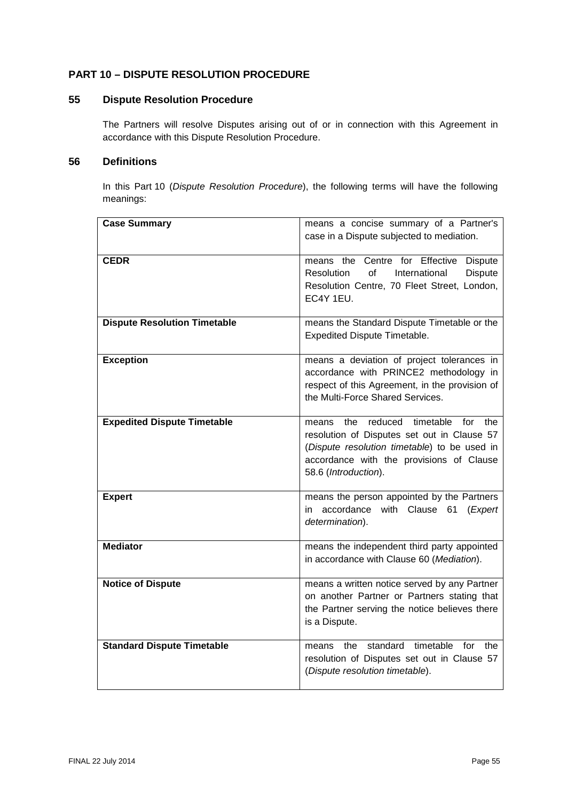# <span id="page-54-0"></span>**PART 10 – DISPUTE RESOLUTION PROCEDURE**

# <span id="page-54-1"></span>**55 Dispute Resolution Procedure**

The Partners will resolve Disputes arising out of or in connection with this Agreement in accordance with this Dispute Resolution Procedure.

# **56 Definitions**

In this [Part](#page-54-0) 10 (*Dispute Resolution Procedure*), the following terms will have the following meanings:

| <b>Case Summary</b>                 | means a concise summary of a Partner's<br>case in a Dispute subjected to mediation.                                                                                                                                   |
|-------------------------------------|-----------------------------------------------------------------------------------------------------------------------------------------------------------------------------------------------------------------------|
| <b>CEDR</b>                         | means the Centre for Effective<br><b>Dispute</b><br>Resolution<br>of<br>International<br><b>Dispute</b><br>Resolution Centre, 70 Fleet Street, London,<br>EC4Y 1EU.                                                   |
| <b>Dispute Resolution Timetable</b> | means the Standard Dispute Timetable or the<br><b>Expedited Dispute Timetable.</b>                                                                                                                                    |
| <b>Exception</b>                    | means a deviation of project tolerances in<br>accordance with PRINCE2 methodology in<br>respect of this Agreement, in the provision of<br>the Multi-Force Shared Services.                                            |
| <b>Expedited Dispute Timetable</b>  | reduced<br>timetable<br>for<br>the<br>the<br>means<br>resolution of Disputes set out in Clause 57<br>(Dispute resolution timetable) to be used in<br>accordance with the provisions of Clause<br>58.6 (Introduction). |
| <b>Expert</b>                       | means the person appointed by the Partners<br>accordance<br>with Clause 61 (Expert<br>in.<br>determination).                                                                                                          |
| <b>Mediator</b>                     | means the independent third party appointed<br>in accordance with Clause 60 (Mediation).                                                                                                                              |
| <b>Notice of Dispute</b>            | means a written notice served by any Partner<br>on another Partner or Partners stating that<br>the Partner serving the notice believes there<br>is a Dispute.                                                         |
| <b>Standard Dispute Timetable</b>   | timetable for<br>standard<br>the<br>the<br>means<br>resolution of Disputes set out in Clause 57<br>(Dispute resolution timetable).                                                                                    |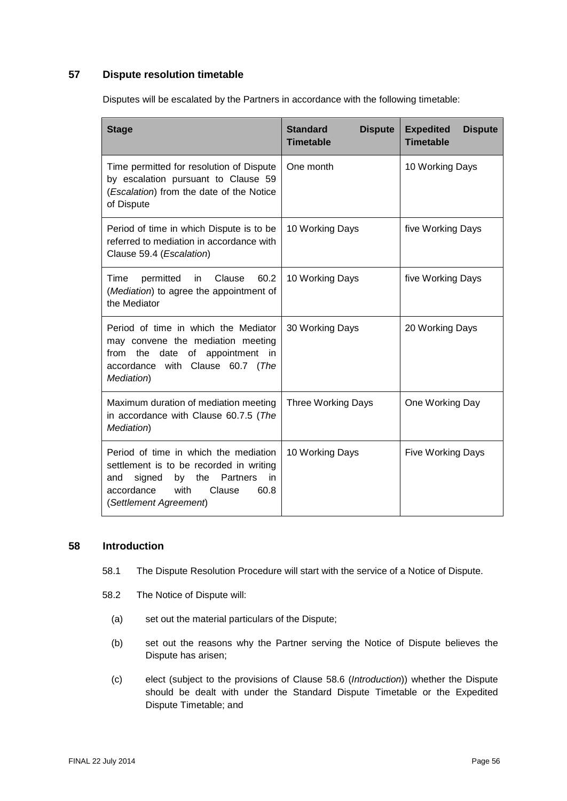# <span id="page-55-0"></span>**57 Dispute resolution timetable**

Disputes will be escalated by the Partners in accordance with the following timetable:

| <b>Stage</b>                                                                                                                                                                                       | <b>Standard</b><br><b>Dispute</b><br><b>Timetable</b> | <b>Expedited</b><br><b>Dispute</b><br><b>Timetable</b> |
|----------------------------------------------------------------------------------------------------------------------------------------------------------------------------------------------------|-------------------------------------------------------|--------------------------------------------------------|
| Time permitted for resolution of Dispute<br>by escalation pursuant to Clause 59<br>(Escalation) from the date of the Notice<br>of Dispute                                                          | One month                                             | 10 Working Days                                        |
| Period of time in which Dispute is to be<br>referred to mediation in accordance with<br>Clause 59.4 (Escalation)                                                                                   | 10 Working Days                                       | five Working Days                                      |
| Clause<br>60.2<br>Time<br>permitted<br>in.<br>(Mediation) to agree the appointment of<br>the Mediator                                                                                              | 10 Working Days                                       | five Working Days                                      |
| Period of time in which the Mediator<br>may convene the mediation meeting<br>the<br>date<br>of<br>appointment<br>from<br>-in<br>accordance with Clause 60.7 (The<br>Mediation)                     | 30 Working Days                                       | 20 Working Days                                        |
| Maximum duration of mediation meeting<br>in accordance with Clause 60.7.5 (The<br>Mediation)                                                                                                       | <b>Three Working Days</b>                             | One Working Day                                        |
| Period of time in which the mediation<br>settlement is to be recorded in writing<br>signed<br>the<br>Partners<br>in<br>and<br>by<br>with<br>Clause<br>accordance<br>60.8<br>(Settlement Agreement) | 10 Working Days                                       | Five Working Days                                      |

## **58 Introduction**

- 58.1 The Dispute Resolution Procedure will start with the service of a Notice of Dispute.
- 58.2 The Notice of Dispute will:
	- (a) set out the material particulars of the Dispute;
	- (b) set out the reasons why the Partner serving the Notice of Dispute believes the Dispute has arisen;
	- (c) elect (subject to the provisions of Clause [58.6](#page-56-0) (*Introduction*)) whether the Dispute should be dealt with under the Standard Dispute Timetable or the Expedited Dispute Timetable; and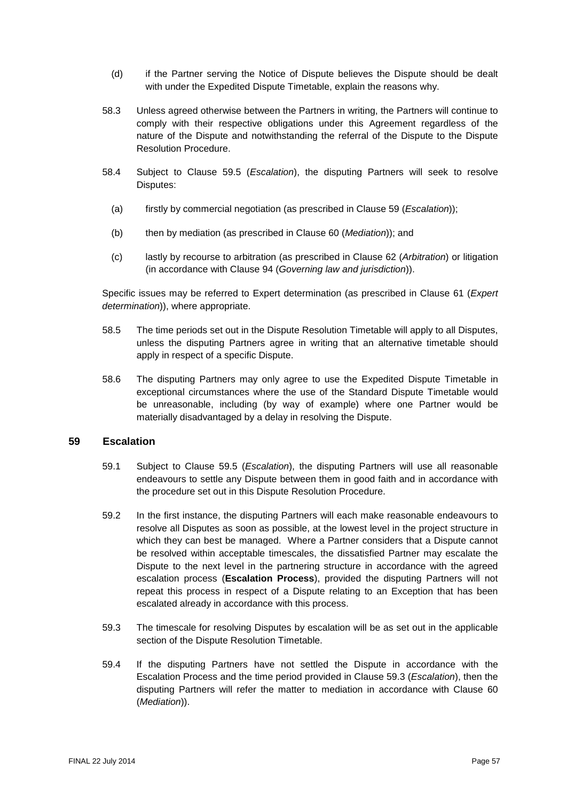- (d) if the Partner serving the Notice of Dispute believes the Dispute should be dealt with under the Expedited Dispute Timetable, explain the reasons why.
- 58.3 Unless agreed otherwise between the Partners in writing, the Partners will continue to comply with their respective obligations under this Agreement regardless of the nature of the Dispute and notwithstanding the referral of the Dispute to the Dispute Resolution Procedure.
- 58.4 Subject to Clause [59.5](#page-57-2) (*Escalation*), the disputing Partners will seek to resolve Disputes:
	- (a) firstly by commercial negotiation (as prescribed in Clause [59](#page-56-1) (*Escalation*));
	- (b) then by mediation (as prescribed in Clause [60](#page-57-0) (*Mediation*)); and
	- (c) lastly by recourse to arbitration (as prescribed in Clause [62](#page-61-0) (*Arbitration*) or litigation (in accordance with Clause [94](#page-84-0) (*Governing law and jurisdiction*)).

Specific issues may be referred to Expert determination (as prescribed in Clause [61](#page-60-0) (*Expert determination*)), where appropriate.

- 58.5 The time periods set out in the Dispute Resolution Timetable will apply to all Disputes, unless the disputing Partners agree in writing that an alternative timetable should apply in respect of a specific Dispute.
- <span id="page-56-0"></span>58.6 The disputing Partners may only agree to use the Expedited Dispute Timetable in exceptional circumstances where the use of the Standard Dispute Timetable would be unreasonable, including (by way of example) where one Partner would be materially disadvantaged by a delay in resolving the Dispute.

## <span id="page-56-1"></span>**59 Escalation**

- 59.1 Subject to Clause [59.5](#page-57-2) (*Escalation*), the disputing Partners will use all reasonable endeavours to settle any Dispute between them in good faith and in accordance with the procedure set out in this Dispute Resolution Procedure.
- 59.2 In the first instance, the disputing Partners will each make reasonable endeavours to resolve all Disputes as soon as possible, at the lowest level in the project structure in which they can best be managed. Where a Partner considers that a Dispute cannot be resolved within acceptable timescales, the dissatisfied Partner may escalate the Dispute to the next level in the partnering structure in accordance with the agreed escalation process (**Escalation Process**), provided the disputing Partners will not repeat this process in respect of a Dispute relating to an Exception that has been escalated already in accordance with this process.
- <span id="page-56-3"></span>59.3 The timescale for resolving Disputes by escalation will be as set out in the applicable section of the Dispute Resolution Timetable.
- <span id="page-56-2"></span>59.4 If the disputing Partners have not settled the Dispute in accordance with the Escalation Process and the time period provided in Clause [59.3](#page-56-3) (*Escalation*), then the disputing Partners will refer the matter to mediation in accordance with Clause [60](#page-57-0) (*Mediation*)).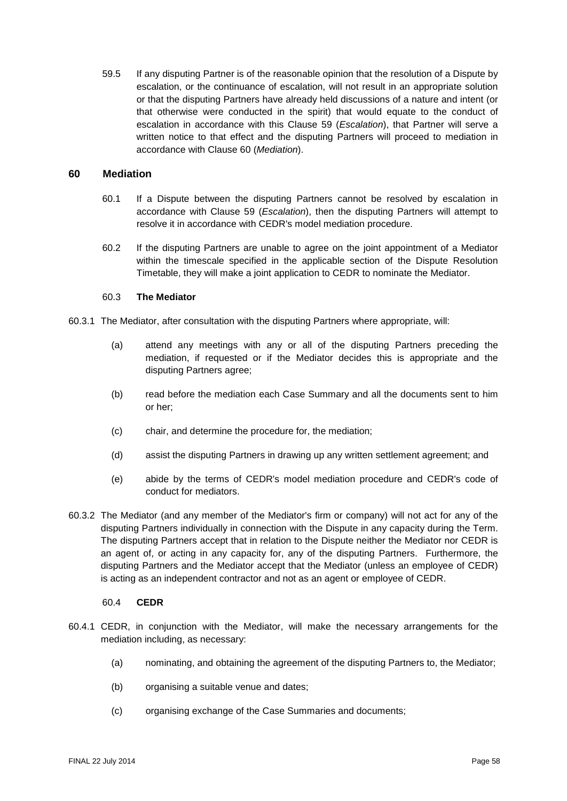<span id="page-57-2"></span>59.5 If any disputing Partner is of the reasonable opinion that the resolution of a Dispute by escalation, or the continuance of escalation, will not result in an appropriate solution or that the disputing Partners have already held discussions of a nature and intent (or that otherwise were conducted in the spirit) that would equate to the conduct of escalation in accordance with this Clause [59](#page-56-1) (*Escalation*), that Partner will serve a written notice to that effect and the disputing Partners will proceed to mediation in accordance with Clause [60](#page-57-0) (*Mediation*).

#### <span id="page-57-0"></span>**60 Mediation**

- 60.1 If a Dispute between the disputing Partners cannot be resolved by escalation in accordance with Clause [59](#page-56-1) (*Escalation*), then the disputing Partners will attempt to resolve it in accordance with CEDR's model mediation procedure.
- <span id="page-57-1"></span>60.2 If the disputing Partners are unable to agree on the joint appointment of a Mediator within the timescale specified in the applicable section of the Dispute Resolution Timetable, they will make a joint application to CEDR to nominate the Mediator.

#### 60.3 **The Mediator**

- 60.3.1 The Mediator, after consultation with the disputing Partners where appropriate, will:
	- (a) attend any meetings with any or all of the disputing Partners preceding the mediation, if requested or if the Mediator decides this is appropriate and the disputing Partners agree;
	- (b) read before the mediation each Case Summary and all the documents sent to him or her;
	- (c) chair, and determine the procedure for, the mediation;
	- (d) assist the disputing Partners in drawing up any written settlement agreement; and
	- (e) abide by the terms of CEDR's model mediation procedure and CEDR's code of conduct for mediators.
- 60.3.2 The Mediator (and any member of the Mediator's firm or company) will not act for any of the disputing Partners individually in connection with the Dispute in any capacity during the Term. The disputing Partners accept that in relation to the Dispute neither the Mediator nor CEDR is an agent of, or acting in any capacity for, any of the disputing Partners. Furthermore, the disputing Partners and the Mediator accept that the Mediator (unless an employee of CEDR) is acting as an independent contractor and not as an agent or employee of CEDR.

#### 60.4 **CEDR**

- 60.4.1 CEDR, in conjunction with the Mediator, will make the necessary arrangements for the mediation including, as necessary:
	- (a) nominating, and obtaining the agreement of the disputing Partners to, the Mediator;
	- (b) organising a suitable venue and dates;
	- (c) organising exchange of the Case Summaries and documents;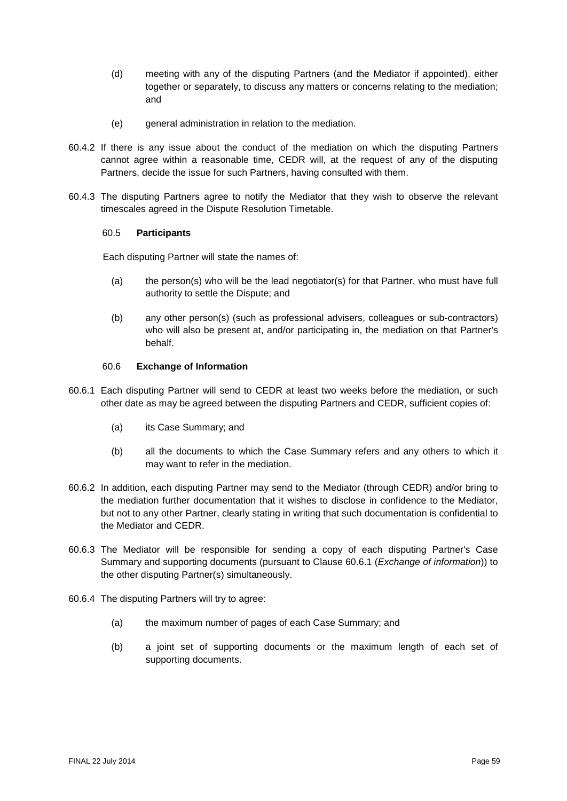- (d) meeting with any of the disputing Partners (and the Mediator if appointed), either together or separately, to discuss any matters or concerns relating to the mediation; and
- (e) general administration in relation to the mediation.
- 60.4.2 If there is any issue about the conduct of the mediation on which the disputing Partners cannot agree within a reasonable time, CEDR will, at the request of any of the disputing Partners, decide the issue for such Partners, having consulted with them.
- 60.4.3 The disputing Partners agree to notify the Mediator that they wish to observe the relevant timescales agreed in the Dispute Resolution Timetable.

#### 60.5 **Participants**

Each disputing Partner will state the names of:

- (a) the person(s) who will be the lead negotiator(s) for that Partner, who must have full authority to settle the Dispute; and
- (b) any other person(s) (such as professional advisers, colleagues or sub-contractors) who will also be present at, and/or participating in, the mediation on that Partner's behalf.

#### 60.6 **Exchange of Information**

- <span id="page-58-0"></span>60.6.1 Each disputing Partner will send to CEDR at least two weeks before the mediation, or such other date as may be agreed between the disputing Partners and CEDR, sufficient copies of:
	- (a) its Case Summary; and
	- (b) all the documents to which the Case Summary refers and any others to which it may want to refer in the mediation.
- 60.6.2 In addition, each disputing Partner may send to the Mediator (through CEDR) and/or bring to the mediation further documentation that it wishes to disclose in confidence to the Mediator, but not to any other Partner, clearly stating in writing that such documentation is confidential to the Mediator and CEDR.
- 60.6.3 The Mediator will be responsible for sending a copy of each disputing Partner's Case Summary and supporting documents (pursuant to Clause [60.6.1](#page-58-0) (*Exchange of information*)) to the other disputing Partner(s) simultaneously.
- 60.6.4 The disputing Partners will try to agree:
	- (a) the maximum number of pages of each Case Summary; and
	- (b) a joint set of supporting documents or the maximum length of each set of supporting documents.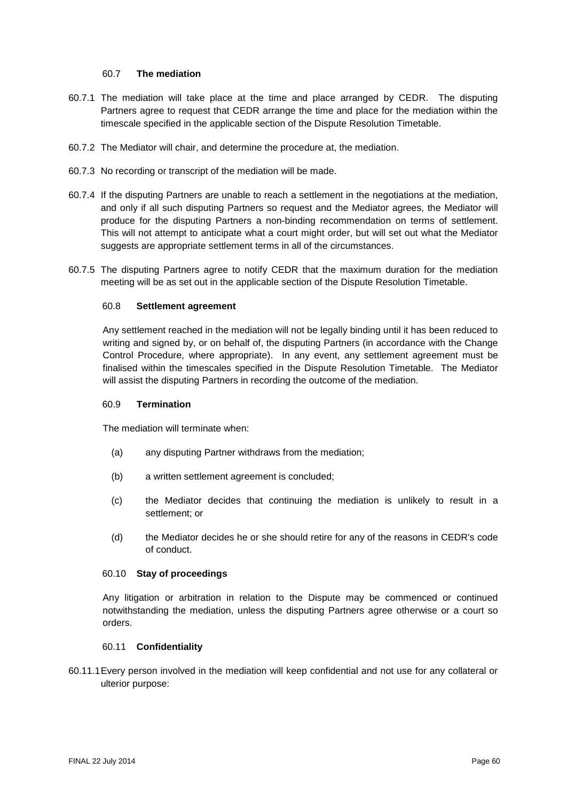#### 60.7 **The mediation**

- <span id="page-59-0"></span>60.7.1 The mediation will take place at the time and place arranged by CEDR. The disputing Partners agree to request that CEDR arrange the time and place for the mediation within the timescale specified in the applicable section of the Dispute Resolution Timetable.
- 60.7.2 The Mediator will chair, and determine the procedure at, the mediation.
- 60.7.3 No recording or transcript of the mediation will be made.
- 60.7.4 If the disputing Partners are unable to reach a settlement in the negotiations at the mediation, and only if all such disputing Partners so request and the Mediator agrees, the Mediator will produce for the disputing Partners a non-binding recommendation on terms of settlement. This will not attempt to anticipate what a court might order, but will set out what the Mediator suggests are appropriate settlement terms in all of the circumstances.
- <span id="page-59-2"></span><span id="page-59-1"></span>60.7.5 The disputing Partners agree to notify CEDR that the maximum duration for the mediation meeting will be as set out in the applicable section of the Dispute Resolution Timetable.

#### 60.8 **Settlement agreement**

Any settlement reached in the mediation will not be legally binding until it has been reduced to writing and signed by, or on behalf of, the disputing Partners (in accordance with the Change Control Procedure, where appropriate). In any event, any settlement agreement must be finalised within the timescales specified in the Dispute Resolution Timetable. The Mediator will assist the disputing Partners in recording the outcome of the mediation.

#### 60.9 **Termination**

The mediation will terminate when:

- (a) any disputing Partner withdraws from the mediation;
- (b) a written settlement agreement is concluded;
- (c) the Mediator decides that continuing the mediation is unlikely to result in a settlement; or
- (d) the Mediator decides he or she should retire for any of the reasons in CEDR's code of conduct.

#### 60.10 **Stay of proceedings**

Any litigation or arbitration in relation to the Dispute may be commenced or continued notwithstanding the mediation, unless the disputing Partners agree otherwise or a court so orders.

#### 60.11 **Confidentiality**

<span id="page-59-3"></span>60.11.1Every person involved in the mediation will keep confidential and not use for any collateral or ulterior purpose: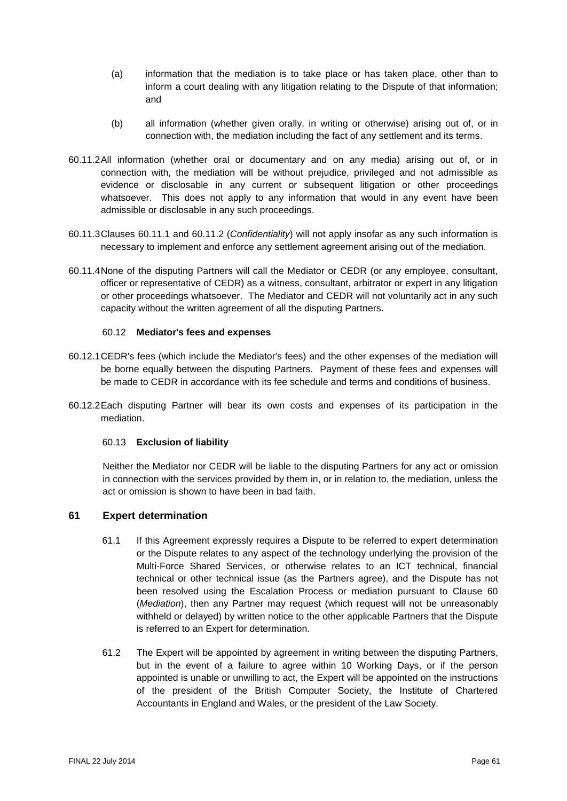- (a) information that the mediation is to take place or has taken place, other than to inform a court dealing with any litigation relating to the Dispute of that information; and
- (b) all information (whether given orally, in writing or otherwise) arising out of, or in connection with, the mediation including the fact of any settlement and its terms.
- <span id="page-60-1"></span>60.11.2All information (whether oral or documentary and on any media) arising out of, or in connection with, the mediation will be without prejudice, privileged and not admissible as evidence or disclosable in any current or subsequent litigation or other proceedings whatsoever. This does not apply to any information that would in any event have been admissible or disclosable in any such proceedings.
- 60.11.3Clauses [60.11.1](#page-59-3) and [60.11.2](#page-60-1) (*Confidentiality*) will not apply insofar as any such information is necessary to implement and enforce any settlement agreement arising out of the mediation.
- 60.11.4None of the disputing Partners will call the Mediator or CEDR (or any employee, consultant, officer or representative of CEDR) as a witness, consultant, arbitrator or expert in any litigation or other proceedings whatsoever. The Mediator and CEDR will not voluntarily act in any such capacity without the written agreement of all the disputing Partners.

#### 60.12 **Mediator's fees and expenses**

- 60.12.1CEDR's fees (which include the Mediator's fees) and the other expenses of the mediation will be borne equally between the disputing Partners. Payment of these fees and expenses will be made to CEDR in accordance with its fee schedule and terms and conditions of business.
- 60.12.2Each disputing Partner will bear its own costs and expenses of its participation in the mediation.

## 60.13 **Exclusion of liability**

Neither the Mediator nor CEDR will be liable to the disputing Partners for any act or omission in connection with the services provided by them in, or in relation to, the mediation, unless the act or omission is shown to have been in bad faith.

## <span id="page-60-0"></span>**61 Expert determination**

- 61.1 If this Agreement expressly requires a Dispute to be referred to expert determination or the Dispute relates to any aspect of the technology underlying the provision of the Multi-Force Shared Services, or otherwise relates to an ICT technical, financial technical or other technical issue (as the Partners agree), and the Dispute has not been resolved using the Escalation Process or mediation pursuant to Clause [60](#page-57-0) (*Mediation*), then any Partner may request (which request will not be unreasonably withheld or delayed) by written notice to the other applicable Partners that the Dispute is referred to an Expert for determination.
- 61.2 The Expert will be appointed by agreement in writing between the disputing Partners, but in the event of a failure to agree within 10 Working Days, or if the person appointed is unable or unwilling to act, the Expert will be appointed on the instructions of the president of the British Computer Society, the Institute of Chartered Accountants in England and Wales, or the president of the Law Society.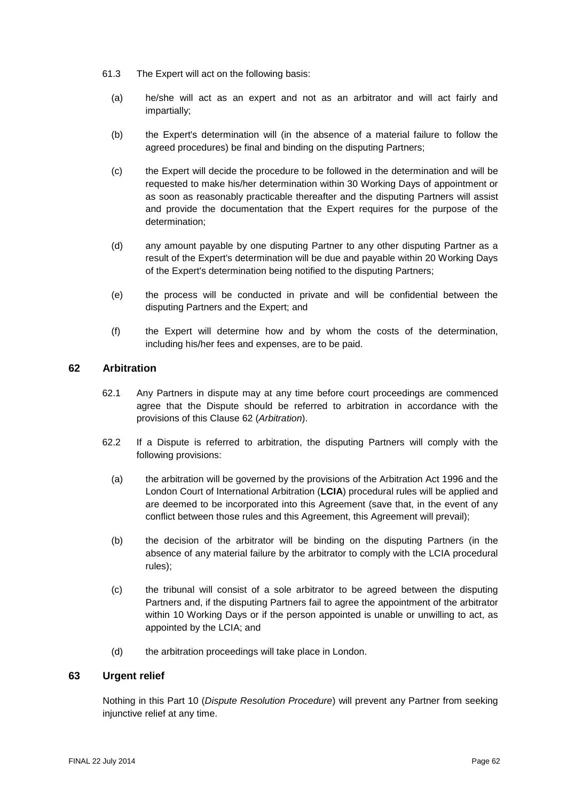- 61.3 The Expert will act on the following basis:
	- (a) he/she will act as an expert and not as an arbitrator and will act fairly and impartially;
	- (b) the Expert's determination will (in the absence of a material failure to follow the agreed procedures) be final and binding on the disputing Partners;
	- (c) the Expert will decide the procedure to be followed in the determination and will be requested to make his/her determination within 30 Working Days of appointment or as soon as reasonably practicable thereafter and the disputing Partners will assist and provide the documentation that the Expert requires for the purpose of the determination;
	- (d) any amount payable by one disputing Partner to any other disputing Partner as a result of the Expert's determination will be due and payable within 20 Working Days of the Expert's determination being notified to the disputing Partners;
	- (e) the process will be conducted in private and will be confidential between the disputing Partners and the Expert; and
	- (f) the Expert will determine how and by whom the costs of the determination, including his/her fees and expenses, are to be paid.

# <span id="page-61-0"></span>**62 Arbitration**

- 62.1 Any Partners in dispute may at any time before court proceedings are commenced agree that the Dispute should be referred to arbitration in accordance with the provisions of this Clause [62](#page-61-0) (*Arbitration*).
- 62.2 If a Dispute is referred to arbitration, the disputing Partners will comply with the following provisions:
	- (a) the arbitration will be governed by the provisions of the Arbitration Act 1996 and the London Court of International Arbitration (**LCIA**) procedural rules will be applied and are deemed to be incorporated into this Agreement (save that, in the event of any conflict between those rules and this Agreement, this Agreement will prevail);
	- (b) the decision of the arbitrator will be binding on the disputing Partners (in the absence of any material failure by the arbitrator to comply with the LCIA procedural rules);
	- (c) the tribunal will consist of a sole arbitrator to be agreed between the disputing Partners and, if the disputing Partners fail to agree the appointment of the arbitrator within 10 Working Days or if the person appointed is unable or unwilling to act, as appointed by the LCIA; and
	- (d) the arbitration proceedings will take place in London.

## **63 Urgent relief**

Nothing in this Part 10 (*Dispute Resolution Procedure*) will prevent any Partner from seeking injunctive relief at any time.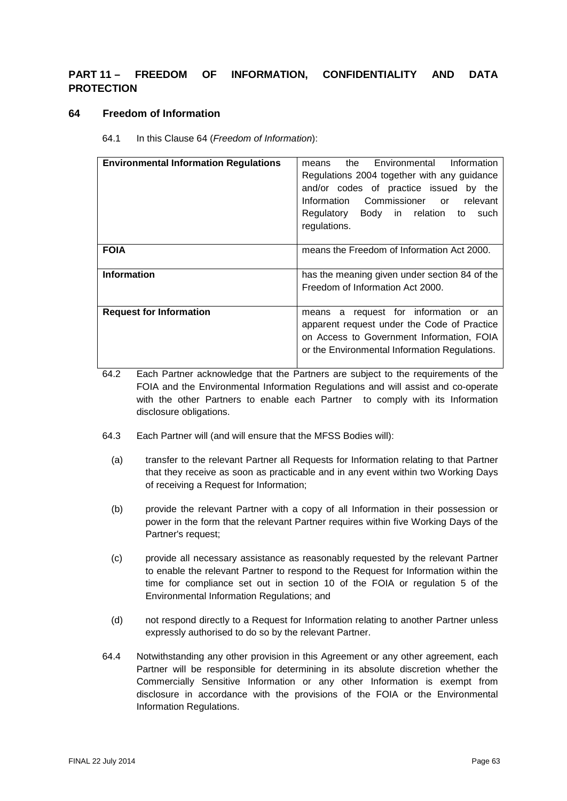# **PART 11 – FREEDOM OF INFORMATION, CONFIDENTIALITY AND DATA PROTECTION**

## <span id="page-62-0"></span>**64 Freedom of Information**

64.1 In this Clause [64](#page-62-0) (*Freedom of Information*):

| <b>Environmental Information Regulations</b> | the Environmental<br>Information<br>means<br>Regulations 2004 together with any guidance<br>and/or codes of practice issued by the<br>Information Commissioner or relevant<br>Regulatory Body in relation to<br>such<br>regulations. |
|----------------------------------------------|--------------------------------------------------------------------------------------------------------------------------------------------------------------------------------------------------------------------------------------|
| <b>FOIA</b>                                  | means the Freedom of Information Act 2000.                                                                                                                                                                                           |
| <b>Information</b>                           | has the meaning given under section 84 of the<br>Freedom of Information Act 2000.                                                                                                                                                    |
| <b>Request for Information</b>               | means a request for information<br>or<br>an<br>apparent request under the Code of Practice<br>on Access to Government Information, FOIA<br>or the Environmental Information Regulations.                                             |

64.2 Each Partner acknowledge that the Partners are subject to the requirements of the FOIA and the Environmental Information Regulations and will assist and co-operate with the other Partners to enable each Partner to comply with its Information disclosure obligations.

- 64.3 Each Partner will (and will ensure that the MFSS Bodies will):
	- (a) transfer to the relevant Partner all Requests for Information relating to that Partner that they receive as soon as practicable and in any event within two Working Days of receiving a Request for Information;
	- (b) provide the relevant Partner with a copy of all Information in their possession or power in the form that the relevant Partner requires within five Working Days of the Partner's request;
	- (c) provide all necessary assistance as reasonably requested by the relevant Partner to enable the relevant Partner to respond to the Request for Information within the time for compliance set out in section 10 of the FOIA or regulation 5 of the Environmental Information Regulations; and
	- (d) not respond directly to a Request for Information relating to another Partner unless expressly authorised to do so by the relevant Partner.
- 64.4 Notwithstanding any other provision in this Agreement or any other agreement, each Partner will be responsible for determining in its absolute discretion whether the Commercially Sensitive Information or any other Information is exempt from disclosure in accordance with the provisions of the FOIA or the Environmental Information Regulations.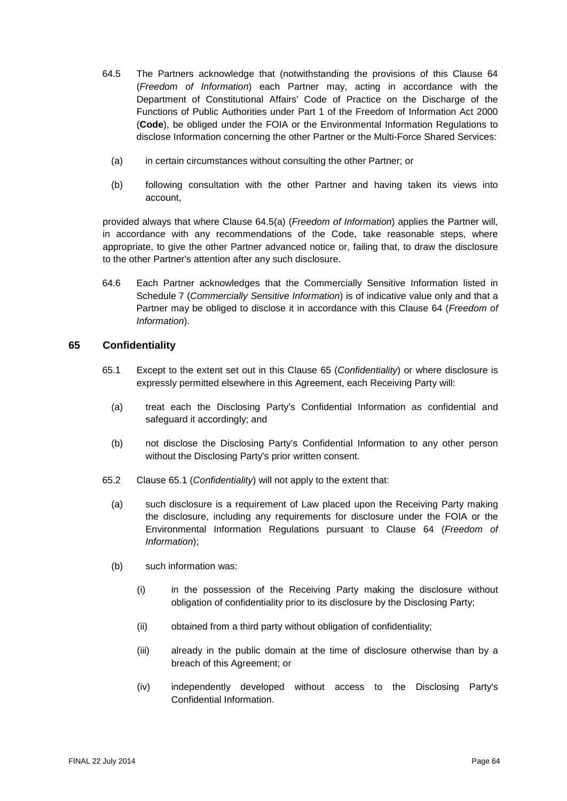- <span id="page-63-1"></span>64.5 The Partners acknowledge that (notwithstanding the provisions of this Clause [64](#page-62-0) (*Freedom of Information*) each Partner may, acting in accordance with the Department of Constitutional Affairs' Code of Practice on the Discharge of the Functions of Public Authorities under Part 1 of the Freedom of Information Act 2000 (**Code**), be obliged under the FOIA or the Environmental Information Regulations to disclose Information concerning the other Partner or the Multi-Force Shared Services:
	- (a) in certain circumstances without consulting the other Partner; or
	- (b) following consultation with the other Partner and having taken its views into account,

provided always that where Clause [64.5\(a\)](#page-63-1) (*Freedom of Information*) applies the Partner will, in accordance with any recommendations of the Code, take reasonable steps, where appropriate, to give the other Partner advanced notice or, failing that, to draw the disclosure to the other Partner's attention after any such disclosure.

64.6 Each Partner acknowledges that the Commercially Sensitive Information listed in [Schedule](#page-101-0) 7 (*Commercially Sensitive Information*) is of indicative value only and that a Partner may be obliged to disclose it in accordance with this Clause [64](#page-62-0) (*Freedom of Information*).

## <span id="page-63-2"></span><span id="page-63-0"></span>**65 Confidentiality**

- 65.1 Except to the extent set out in this Clause [65](#page-63-0) (*Confidentiality*) or where disclosure is expressly permitted elsewhere in this Agreement, each Receiving Party will:
	- (a) treat each the Disclosing Party's Confidential Information as confidential and safeguard it accordingly; and
	- (b) not disclose the Disclosing Party's Confidential Information to any other person without the Disclosing Party's prior written consent.
- 65.2 Clause [65.1](#page-63-2) (*Confidentiality*) will not apply to the extent that:
	- (a) such disclosure is a requirement of Law placed upon the Receiving Party making the disclosure, including any requirements for disclosure under the FOIA or the Environmental Information Regulations pursuant to Clause [64](#page-62-0) (*Freedom of Information*);
	- (b) such information was:
		- (i) in the possession of the Receiving Party making the disclosure without obligation of confidentiality prior to its disclosure by the Disclosing Party;
		- (ii) obtained from a third party without obligation of confidentiality;
		- (iii) already in the public domain at the time of disclosure otherwise than by a breach of this Agreement; or
		- (iv) independently developed without access to the Disclosing Party's Confidential Information.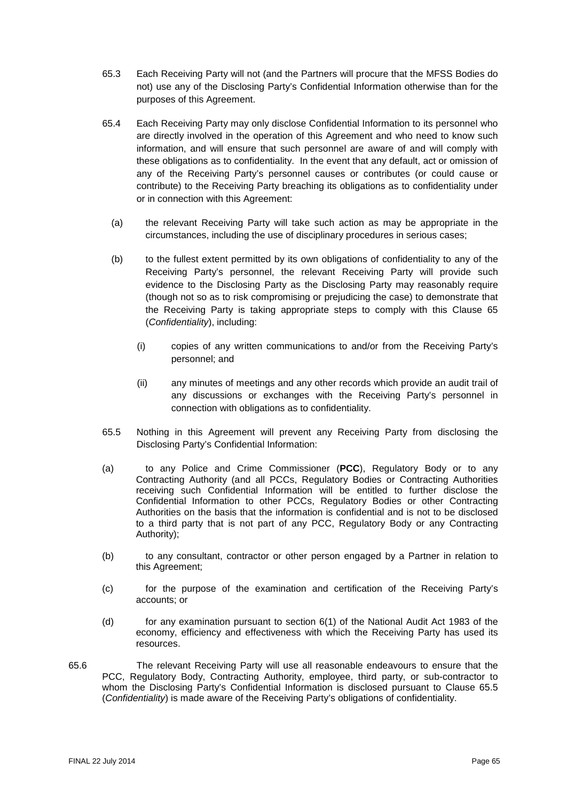- 65.3 Each Receiving Party will not (and the Partners will procure that the MFSS Bodies do not) use any of the Disclosing Party's Confidential Information otherwise than for the purposes of this Agreement.
- 65.4 Each Receiving Party may only disclose Confidential Information to its personnel who are directly involved in the operation of this Agreement and who need to know such information, and will ensure that such personnel are aware of and will comply with these obligations as to confidentiality. In the event that any default, act or omission of any of the Receiving Party's personnel causes or contributes (or could cause or contribute) to the Receiving Party breaching its obligations as to confidentiality under or in connection with this Agreement:
	- (a) the relevant Receiving Party will take such action as may be appropriate in the circumstances, including the use of disciplinary procedures in serious cases;
	- (b) to the fullest extent permitted by its own obligations of confidentiality to any of the Receiving Party's personnel, the relevant Receiving Party will provide such evidence to the Disclosing Party as the Disclosing Party may reasonably require (though not so as to risk compromising or prejudicing the case) to demonstrate that the Receiving Party is taking appropriate steps to comply with this Clause [65](#page-63-0) (*Confidentiality*), including:
		- (i) copies of any written communications to and/or from the Receiving Party's personnel; and
		- (ii) any minutes of meetings and any other records which provide an audit trail of any discussions or exchanges with the Receiving Party's personnel in connection with obligations as to confidentiality.
- <span id="page-64-0"></span>65.5 Nothing in this Agreement will prevent any Receiving Party from disclosing the Disclosing Party's Confidential Information:
- (a) to any Police and Crime Commissioner (**PCC**), Regulatory Body or to any Contracting Authority (and all PCCs, Regulatory Bodies or Contracting Authorities receiving such Confidential Information will be entitled to further disclose the Confidential Information to other PCCs, Regulatory Bodies or other Contracting Authorities on the basis that the information is confidential and is not to be disclosed to a third party that is not part of any PCC, Regulatory Body or any Contracting Authority);
- (b) to any consultant, contractor or other person engaged by a Partner in relation to this Agreement;
- (c) for the purpose of the examination and certification of the Receiving Party's accounts; or
- (d) for any examination pursuant to section 6(1) of the National Audit Act 1983 of the economy, efficiency and effectiveness with which the Receiving Party has used its resources.
- 65.6 The relevant Receiving Party will use all reasonable endeavours to ensure that the PCC, Regulatory Body, Contracting Authority, employee, third party, or sub-contractor to whom the Disclosing Party's Confidential Information is disclosed pursuant to Clause [65.5](#page-64-0) (*Confidentiality*) is made aware of the Receiving Party's obligations of confidentiality.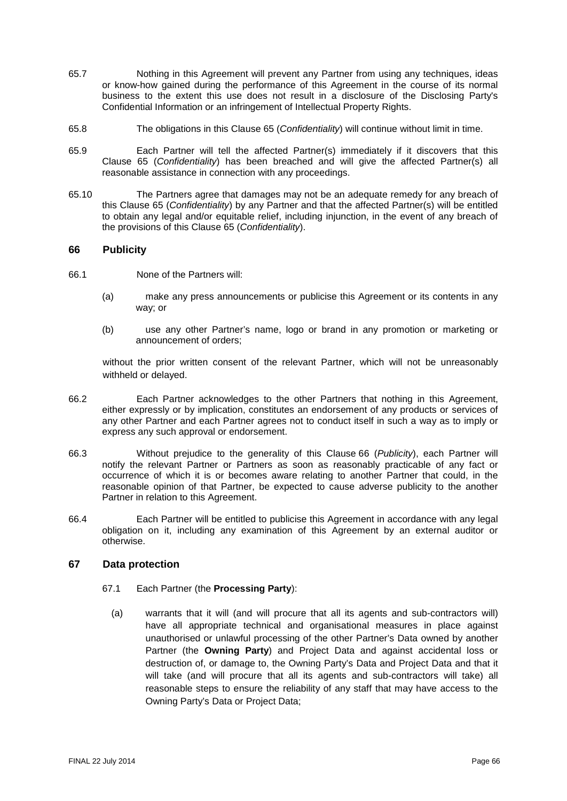- 65.7 Nothing in this Agreement will prevent any Partner from using any techniques, ideas or know-how gained during the performance of this Agreement in the course of its normal business to the extent this use does not result in a disclosure of the Disclosing Party's Confidential Information or an infringement of Intellectual Property Rights.
- 65.8 The obligations in this Clause [65](#page-63-0) (*Confidentiality*) will continue without limit in time.
- 65.9 Each Partner will tell the affected Partner(s) immediately if it discovers that this Clause [65](#page-63-0) (*Confidentiality*) has been breached and will give the affected Partner(s) all reasonable assistance in connection with any proceedings.
- 65.10 The Partners agree that damages may not be an adequate remedy for any breach of this Clause [65](#page-63-0) (*Confidentiality*) by any Partner and that the affected Partner(s) will be entitled to obtain any legal and/or equitable relief, including injunction, in the event of any breach of the provisions of this Clause [65](#page-63-0) (*Confidentiality*).

## <span id="page-65-0"></span>**66 Publicity**

- 66.1 None of the Partners will:
	- (a) make any press announcements or publicise this Agreement or its contents in any way; or
	- (b) use any other Partner's name, logo or brand in any promotion or marketing or announcement of orders;

without the prior written consent of the relevant Partner, which will not be unreasonably withheld or delayed.

- 66.2 Each Partner acknowledges to the other Partners that nothing in this Agreement, either expressly or by implication, constitutes an endorsement of any products or services of any other Partner and each Partner agrees not to conduct itself in such a way as to imply or express any such approval or endorsement.
- 66.3 Without prejudice to the generality of this Clause [66](#page-65-0) (*Publicity*), each Partner will notify the relevant Partner or Partners as soon as reasonably practicable of any fact or occurrence of which it is or becomes aware relating to another Partner that could, in the reasonable opinion of that Partner, be expected to cause adverse publicity to the another Partner in relation to this Agreement.
- 66.4 Each Partner will be entitled to publicise this Agreement in accordance with any legal obligation on it, including any examination of this Agreement by an external auditor or otherwise.

## <span id="page-65-1"></span>**67 Data protection**

- 67.1 Each Partner (the **Processing Party**):
	- (a) warrants that it will (and will procure that all its agents and sub-contractors will) have all appropriate technical and organisational measures in place against unauthorised or unlawful processing of the other Partner's Data owned by another Partner (the **Owning Party**) and Project Data and against accidental loss or destruction of, or damage to, the Owning Party's Data and Project Data and that it will take (and will procure that all its agents and sub-contractors will take) all reasonable steps to ensure the reliability of any staff that may have access to the Owning Party's Data or Project Data;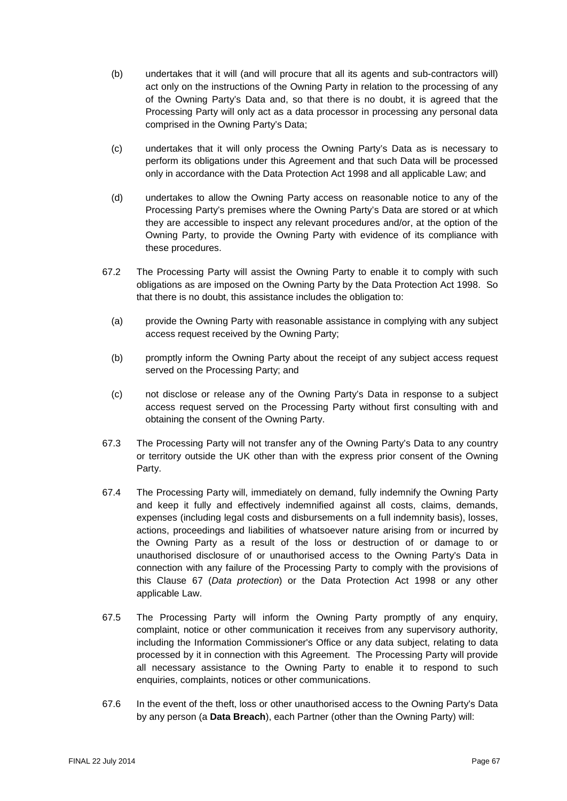- (b) undertakes that it will (and will procure that all its agents and sub-contractors will) act only on the instructions of the Owning Party in relation to the processing of any of the Owning Party's Data and, so that there is no doubt, it is agreed that the Processing Party will only act as a data processor in processing any personal data comprised in the Owning Party's Data;
- (c) undertakes that it will only process the Owning Party's Data as is necessary to perform its obligations under this Agreement and that such Data will be processed only in accordance with the Data Protection Act 1998 and all applicable Law; and
- (d) undertakes to allow the Owning Party access on reasonable notice to any of the Processing Party's premises where the Owning Party's Data are stored or at which they are accessible to inspect any relevant procedures and/or, at the option of the Owning Party, to provide the Owning Party with evidence of its compliance with these procedures.
- 67.2 The Processing Party will assist the Owning Party to enable it to comply with such obligations as are imposed on the Owning Party by the Data Protection Act 1998. So that there is no doubt, this assistance includes the obligation to:
	- (a) provide the Owning Party with reasonable assistance in complying with any subject access request received by the Owning Party;
	- (b) promptly inform the Owning Party about the receipt of any subject access request served on the Processing Party; and
	- (c) not disclose or release any of the Owning Party's Data in response to a subject access request served on the Processing Party without first consulting with and obtaining the consent of the Owning Party.
- 67.3 The Processing Party will not transfer any of the Owning Party's Data to any country or territory outside the UK other than with the express prior consent of the Owning Party.
- 67.4 The Processing Party will, immediately on demand, fully indemnify the Owning Party and keep it fully and effectively indemnified against all costs, claims, demands, expenses (including legal costs and disbursements on a full indemnity basis), losses, actions, proceedings and liabilities of whatsoever nature arising from or incurred by the Owning Party as a result of the loss or destruction of or damage to or unauthorised disclosure of or unauthorised access to the Owning Party's Data in connection with any failure of the Processing Party to comply with the provisions of this Clause [67](#page-65-1) (*Data protection*) or the Data Protection Act 1998 or any other applicable Law.
- 67.5 The Processing Party will inform the Owning Party promptly of any enquiry, complaint, notice or other communication it receives from any supervisory authority, including the Information Commissioner's Office or any data subject, relating to data processed by it in connection with this Agreement. The Processing Party will provide all necessary assistance to the Owning Party to enable it to respond to such enquiries, complaints, notices or other communications.
- 67.6 In the event of the theft, loss or other unauthorised access to the Owning Party's Data by any person (a **Data Breach**), each Partner (other than the Owning Party) will: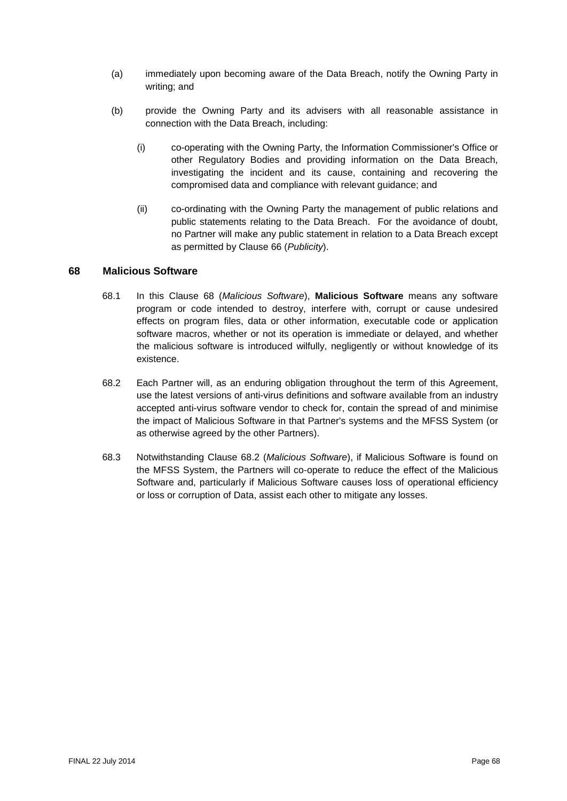- (a) immediately upon becoming aware of the Data Breach, notify the Owning Party in writing; and
- (b) provide the Owning Party and its advisers with all reasonable assistance in connection with the Data Breach, including:
	- (i) co-operating with the Owning Party, the Information Commissioner's Office or other Regulatory Bodies and providing information on the Data Breach, investigating the incident and its cause, containing and recovering the compromised data and compliance with relevant guidance; and
	- (ii) co-ordinating with the Owning Party the management of public relations and public statements relating to the Data Breach. For the avoidance of doubt, no Partner will make any public statement in relation to a Data Breach except as permitted by Clause [66](#page-65-0) (*Publicity*).

## <span id="page-67-0"></span>**68 Malicious Software**

- 68.1 In this Clause [68](#page-67-0) (*Malicious Software*), **Malicious Software** means any software program or code intended to destroy, interfere with, corrupt or cause undesired effects on program files, data or other information, executable code or application software macros, whether or not its operation is immediate or delayed, and whether the malicious software is introduced wilfully, negligently or without knowledge of its existence.
- <span id="page-67-1"></span>68.2 Each Partner will, as an enduring obligation throughout the term of this Agreement, use the latest versions of anti-virus definitions and software available from an industry accepted anti-virus software vendor to check for, contain the spread of and minimise the impact of Malicious Software in that Partner's systems and the MFSS System (or as otherwise agreed by the other Partners).
- 68.3 Notwithstanding Clause [68.2](#page-67-1) (*Malicious Software*), if Malicious Software is found on the MFSS System, the Partners will co-operate to reduce the effect of the Malicious Software and, particularly if Malicious Software causes loss of operational efficiency or loss or corruption of Data, assist each other to mitigate any losses.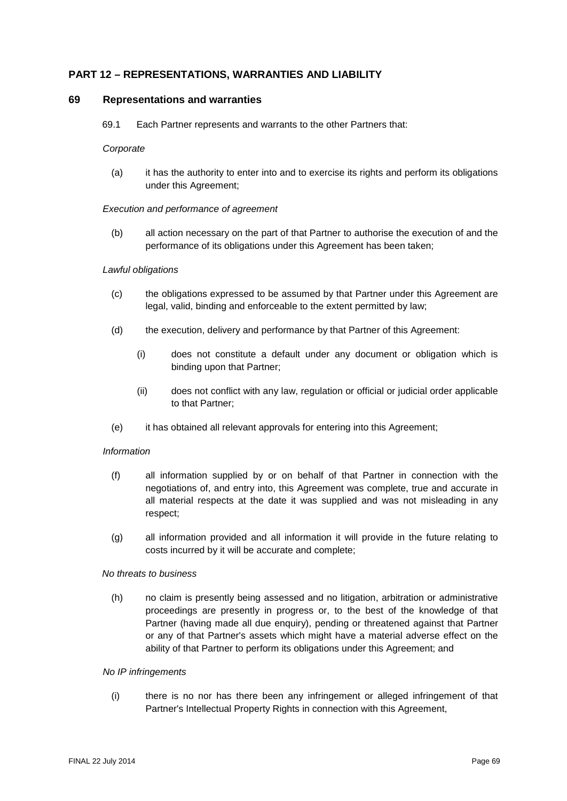# **PART 12 – REPRESENTATIONS, WARRANTIES AND LIABILITY**

#### <span id="page-68-0"></span>**69 Representations and warranties**

69.1 Each Partner represents and warrants to the other Partners that:

#### *Corporate*

(a) it has the authority to enter into and to exercise its rights and perform its obligations under this Agreement;

#### *Execution and performance of agreement*

(b) all action necessary on the part of that Partner to authorise the execution of and the performance of its obligations under this Agreement has been taken;

#### *Lawful obligations*

- (c) the obligations expressed to be assumed by that Partner under this Agreement are legal, valid, binding and enforceable to the extent permitted by law;
- (d) the execution, delivery and performance by that Partner of this Agreement:
	- (i) does not constitute a default under any document or obligation which is binding upon that Partner;
	- (ii) does not conflict with any law, regulation or official or judicial order applicable to that Partner;
- (e) it has obtained all relevant approvals for entering into this Agreement;

#### *Information*

- (f) all information supplied by or on behalf of that Partner in connection with the negotiations of, and entry into, this Agreement was complete, true and accurate in all material respects at the date it was supplied and was not misleading in any respect;
- (g) all information provided and all information it will provide in the future relating to costs incurred by it will be accurate and complete;

#### *No threats to business*

(h) no claim is presently being assessed and no litigation, arbitration or administrative proceedings are presently in progress or, to the best of the knowledge of that Partner (having made all due enquiry), pending or threatened against that Partner or any of that Partner's assets which might have a material adverse effect on the ability of that Partner to perform its obligations under this Agreement; and

#### *No IP infringements*

(i) there is no nor has there been any infringement or alleged infringement of that Partner's Intellectual Property Rights in connection with this Agreement,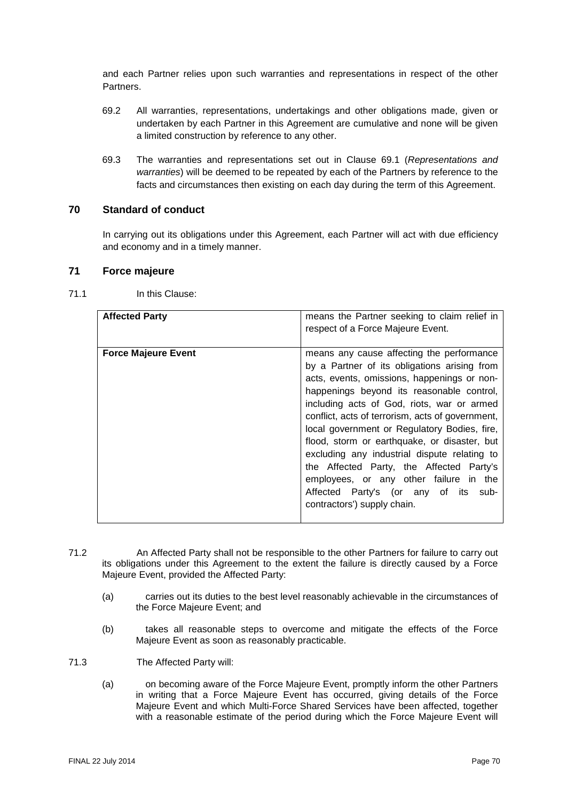and each Partner relies upon such warranties and representations in respect of the other **Partners** 

- 69.2 All warranties, representations, undertakings and other obligations made, given or undertaken by each Partner in this Agreement are cumulative and none will be given a limited construction by reference to any other.
- 69.3 The warranties and representations set out in Clause [69.1](#page-68-0) (*Representations and warranties*) will be deemed to be repeated by each of the Partners by reference to the facts and circumstances then existing on each day during the term of this Agreement.

# **70 Standard of conduct**

In carrying out its obligations under this Agreement, each Partner will act with due efficiency and economy and in a timely manner.

#### <span id="page-69-1"></span>**71 Force majeure**

## <span id="page-69-0"></span>71.1 In this Clause:

| <b>Affected Party</b>      | means the Partner seeking to claim relief in<br>respect of a Force Majeure Event.                                                                                                                                                                                                                                                                                                                                                                                                                                                                                                                    |
|----------------------------|------------------------------------------------------------------------------------------------------------------------------------------------------------------------------------------------------------------------------------------------------------------------------------------------------------------------------------------------------------------------------------------------------------------------------------------------------------------------------------------------------------------------------------------------------------------------------------------------------|
|                            |                                                                                                                                                                                                                                                                                                                                                                                                                                                                                                                                                                                                      |
| <b>Force Majeure Event</b> | means any cause affecting the performance<br>by a Partner of its obligations arising from<br>acts, events, omissions, happenings or non-<br>happenings beyond its reasonable control,<br>including acts of God, riots, war or armed<br>conflict, acts of terrorism, acts of government,<br>local government or Regulatory Bodies, fire,<br>flood, storm or earthquake, or disaster, but<br>excluding any industrial dispute relating to<br>the Affected Party, the Affected Party's<br>employees, or any other failure in the<br>Affected Party's (or any of its sub-<br>contractors') supply chain. |

- 71.2 An Affected Party shall not be responsible to the other Partners for failure to carry out its obligations under this Agreement to the extent the failure is directly caused by a Force Majeure Event, provided the Affected Party:
	- (a) carries out its duties to the best level reasonably achievable in the circumstances of the Force Majeure Event; and
	- (b) takes all reasonable steps to overcome and mitigate the effects of the Force Majeure Event as soon as reasonably practicable.
- 71.3 The Affected Party will:
	- (a) on becoming aware of the Force Majeure Event, promptly inform the other Partners in writing that a Force Majeure Event has occurred, giving details of the Force Majeure Event and which Multi-Force Shared Services have been affected, together with a reasonable estimate of the period during which the Force Majeure Event will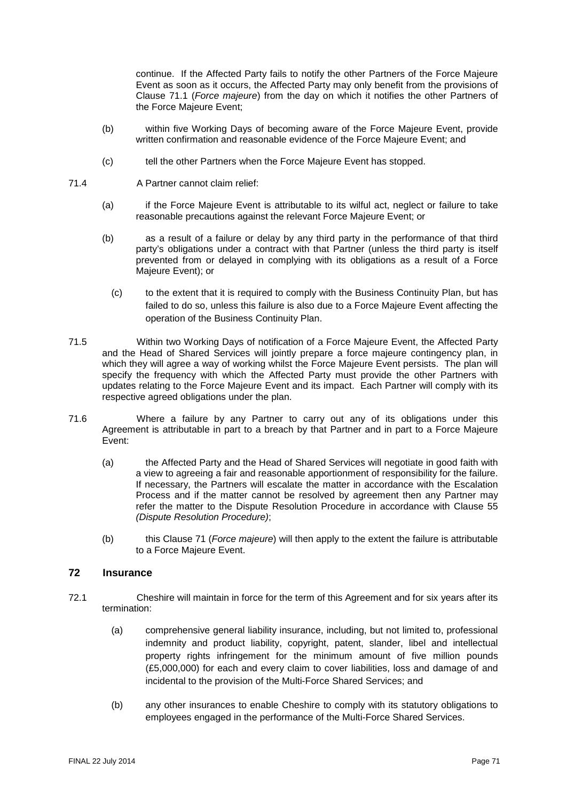continue. If the Affected Party fails to notify the other Partners of the Force Majeure Event as soon as it occurs, the Affected Party may only benefit from the provisions of Clause [71.1](#page-69-0) (*Force majeure*) from the day on which it notifies the other Partners of the Force Majeure Event;

- (b) within five Working Days of becoming aware of the Force Majeure Event, provide written confirmation and reasonable evidence of the Force Majeure Event; and
- (c) tell the other Partners when the Force Majeure Event has stopped.
- 71.4 A Partner cannot claim relief:
	- (a) if the Force Majeure Event is attributable to its wilful act, neglect or failure to take reasonable precautions against the relevant Force Majeure Event; or
	- (b) as a result of a failure or delay by any third party in the performance of that third party's obligations under a contract with that Partner (unless the third party is itself prevented from or delayed in complying with its obligations as a result of a Force Majeure Event); or
		- (c) to the extent that it is required to comply with the Business Continuity Plan, but has failed to do so, unless this failure is also due to a Force Majeure Event affecting the operation of the Business Continuity Plan.
- 71.5 Within two Working Days of notification of a Force Majeure Event, the Affected Party and the Head of Shared Services will jointly prepare a force majeure contingency plan, in which they will agree a way of working whilst the Force Majeure Event persists. The plan will specify the frequency with which the Affected Party must provide the other Partners with updates relating to the Force Majeure Event and its impact. Each Partner will comply with its respective agreed obligations under the plan.
- 71.6 Where a failure by any Partner to carry out any of its obligations under this Agreement is attributable in part to a breach by that Partner and in part to a Force Majeure Event:
	- (a) the Affected Party and the Head of Shared Services will negotiate in good faith with a view to agreeing a fair and reasonable apportionment of responsibility for the failure. If necessary, the Partners will escalate the matter in accordance with the Escalation Process and if the matter cannot be resolved by agreement then any Partner may refer the matter to the Dispute Resolution Procedure in accordance with Clause [55](#page-54-1) *(Dispute Resolution Procedure)*;
	- (b) this Clause [71](#page-69-1) (*Force majeure*) will then apply to the extent the failure is attributable to a Force Majeure Event.

## **72 Insurance**

- 72.1 Cheshire will maintain in force for the term of this Agreement and for six years after its termination:
	- (a) comprehensive general liability insurance, including, but not limited to, professional indemnity and product liability, copyright, patent, slander, libel and intellectual property rights infringement for the minimum amount of five million pounds (£5,000,000) for each and every claim to cover liabilities, loss and damage of and incidental to the provision of the Multi-Force Shared Services; and
	- (b) any other insurances to enable Cheshire to comply with its statutory obligations to employees engaged in the performance of the Multi-Force Shared Services.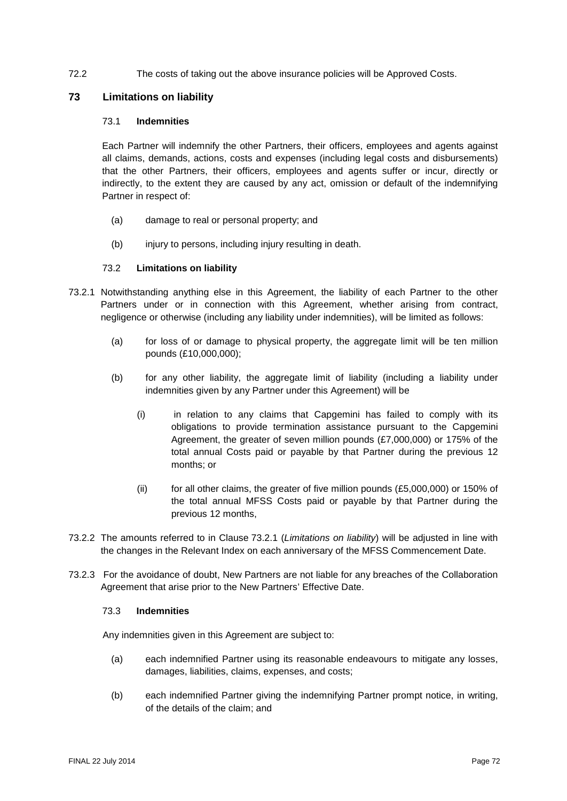### 72.2 The costs of taking out the above insurance policies will be Approved Costs.

#### **73 Limitations on liability**

#### 73.1 **Indemnities**

Each Partner will indemnify the other Partners, their officers, employees and agents against all claims, demands, actions, costs and expenses (including legal costs and disbursements) that the other Partners, their officers, employees and agents suffer or incur, directly or indirectly, to the extent they are caused by any act, omission or default of the indemnifying Partner in respect of:

- (a) damage to real or personal property; and
- (b) injury to persons, including injury resulting in death.

#### 73.2 **Limitations on liability**

- <span id="page-71-0"></span>73.2.1 Notwithstanding anything else in this Agreement, the liability of each Partner to the other Partners under or in connection with this Agreement, whether arising from contract, negligence or otherwise (including any liability under indemnities), will be limited as follows:
	- (a) for loss of or damage to physical property, the aggregate limit will be ten million pounds (£10,000,000);
	- (b) for any other liability, the aggregate limit of liability (including a liability under indemnities given by any Partner under this Agreement) will be
		- (i) in relation to any claims that Capgemini has failed to comply with its obligations to provide termination assistance pursuant to the Capgemini Agreement, the greater of seven million pounds (£7,000,000) or 175% of the total annual Costs paid or payable by that Partner during the previous 12 months; or
		- (ii) for all other claims, the greater of five million pounds  $(E5,000,000)$  or 150% of the total annual MFSS Costs paid or payable by that Partner during the previous 12 months,
- 73.2.2 The amounts referred to in Clause [73.2.1](#page-71-0) (*Limitations on liability*) will be adjusted in line with the changes in the Relevant Index on each anniversary of the MFSS Commencement Date.
- 73.2.3 For the avoidance of doubt, New Partners are not liable for any breaches of the Collaboration Agreement that arise prior to the New Partners' Effective Date.

#### 73.3 **Indemnities**

Any indemnities given in this Agreement are subject to:

- (a) each indemnified Partner using its reasonable endeavours to mitigate any losses, damages, liabilities, claims, expenses, and costs;
- (b) each indemnified Partner giving the indemnifying Partner prompt notice, in writing, of the details of the claim; and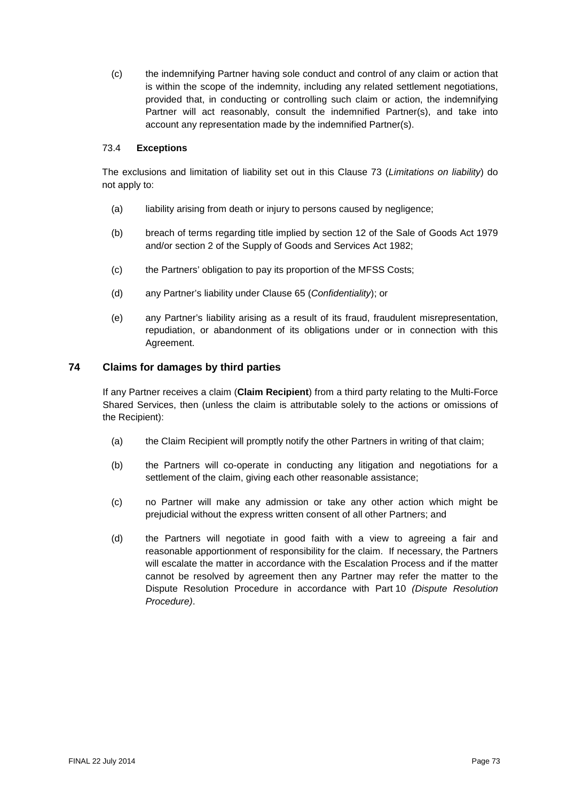(c) the indemnifying Partner having sole conduct and control of any claim or action that is within the scope of the indemnity, including any related settlement negotiations, provided that, in conducting or controlling such claim or action, the indemnifying Partner will act reasonably, consult the indemnified Partner(s), and take into account any representation made by the indemnified Partner(s).

#### 73.4 **Exceptions**

The exclusions and limitation of liability set out in this Clause [73](#page-71-0) (*Limitations on liability*) do not apply to:

- (a) liability arising from death or injury to persons caused by negligence;
- (b) breach of terms regarding title implied by section 12 of the Sale of Goods Act 1979 and/or section 2 of the Supply of Goods and Services Act 1982;
- (c) the Partners' obligation to pay its proportion of the MFSS Costs;
- (d) any Partner's liability under Clause [65](#page-63-0) (*Confidentiality*); or
- (e) any Partner's liability arising as a result of its fraud, fraudulent misrepresentation, repudiation, or abandonment of its obligations under or in connection with this Agreement.

#### <span id="page-72-0"></span>**74 Claims for damages by third parties**

If any Partner receives a claim (**Claim Recipient**) from a third party relating to the Multi-Force Shared Services, then (unless the claim is attributable solely to the actions or omissions of the Recipient):

- (a) the Claim Recipient will promptly notify the other Partners in writing of that claim;
- (b) the Partners will co-operate in conducting any litigation and negotiations for a settlement of the claim, giving each other reasonable assistance;
- (c) no Partner will make any admission or take any other action which might be prejudicial without the express written consent of all other Partners; and
- (d) the Partners will negotiate in good faith with a view to agreeing a fair and reasonable apportionment of responsibility for the claim. If necessary, the Partners will escalate the matter in accordance with the Escalation Process and if the matter cannot be resolved by agreement then any Partner may refer the matter to the Dispute Resolution Procedure in accordance with [Part](#page-54-0) 10 *(Dispute Resolution Procedure)*.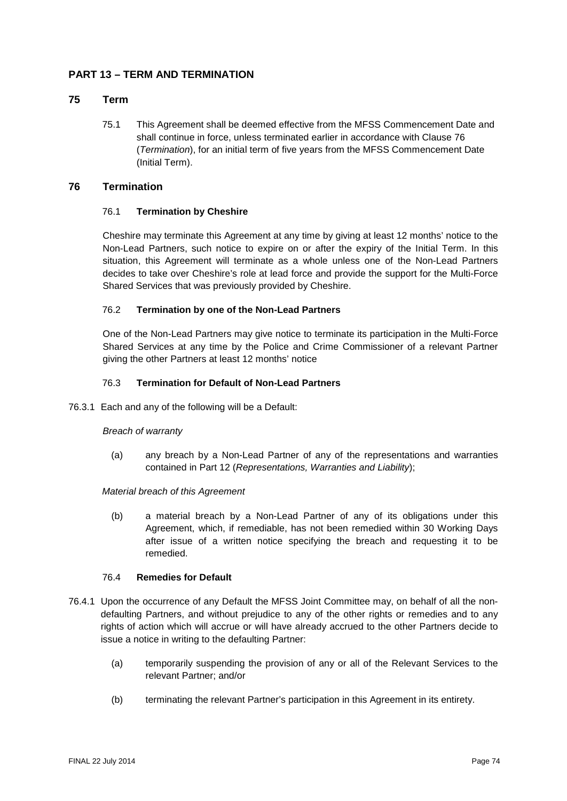## **PART 13 – TERM AND TERMINATION**

#### **75 Term**

75.1 This Agreement shall be deemed effective from the MFSS Commencement Date and shall continue in force, unless terminated earlier in accordance with Clause 76 (*Termination*), for an initial term of five years from the MFSS Commencement Date (Initial Term).

#### **76 Termination**

#### 76.1 **Termination by Cheshire**

Cheshire may terminate this Agreement at any time by giving at least 12 months' notice to the Non-Lead Partners, such notice to expire on or after the expiry of the Initial Term. In this situation, this Agreement will terminate as a whole unless one of the Non-Lead Partners decides to take over Cheshire's role at lead force and provide the support for the Multi-Force Shared Services that was previously provided by Cheshire.

#### <span id="page-73-0"></span>76.2 **Termination by one of the Non-Lead Partners**

One of the Non-Lead Partners may give notice to terminate its participation in the Multi-Force Shared Services at any time by the Police and Crime Commissioner of a relevant Partner giving the other Partners at least 12 months' notice

#### 76.3 **Termination for Default of Non-Lead Partners**

<span id="page-73-1"></span>76.3.1 Each and any of the following will be a Default:

#### *Breach of warranty*

(a) any breach by a Non-Lead Partner of any of the representations and warranties contained in [Part](#page-68-0) 12 (*Representations, Warranties and Liability*);

#### *Material breach of this Agreement*

(b) a material breach by a Non-Lead Partner of any of its obligations under this Agreement, which, if remediable, has not been remedied within 30 Working Days after issue of a written notice specifying the breach and requesting it to be remedied.

#### 76.4 **Remedies for Default**

- 76.4.1 Upon the occurrence of any Default the MFSS Joint Committee may, on behalf of all the nondefaulting Partners, and without prejudice to any of the other rights or remedies and to any rights of action which will accrue or will have already accrued to the other Partners decide to issue a notice in writing to the defaulting Partner:
	- (a) temporarily suspending the provision of any or all of the Relevant Services to the relevant Partner; and/or
	- (b) terminating the relevant Partner's participation in this Agreement in its entirety.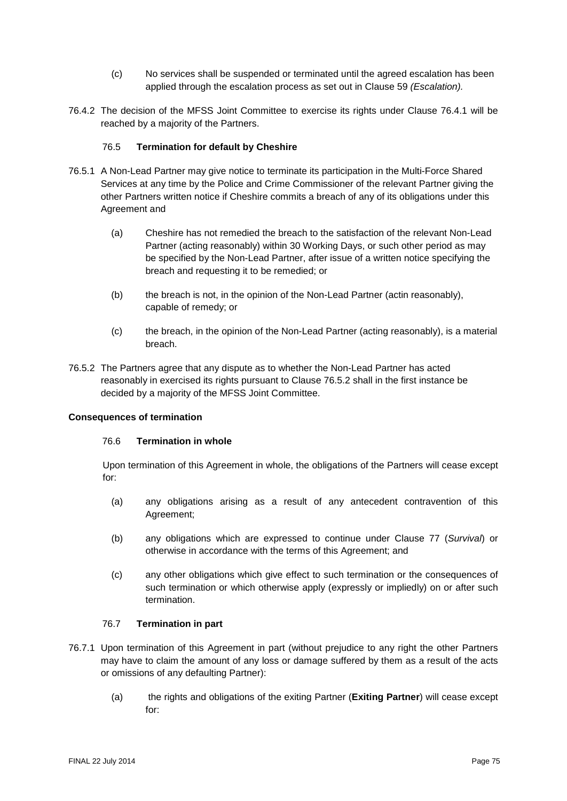- (c) No services shall be suspended or terminated until the agreed escalation has been applied through the escalation process as set out in Clause 59 *(Escalation).*
- 76.4.2 The decision of the MFSS Joint Committee to exercise its rights under Clause 76.4.1 will be reached by a majority of the Partners.

#### 76.5 **Termination for default by Cheshire**

- 76.5.1 A Non-Lead Partner may give notice to terminate its participation in the Multi-Force Shared Services at any time by the Police and Crime Commissioner of the relevant Partner giving the other Partners written notice if Cheshire commits a breach of any of its obligations under this Agreement and
	- (a) Cheshire has not remedied the breach to the satisfaction of the relevant Non-Lead Partner (acting reasonably) within 30 Working Days, or such other period as may be specified by the Non-Lead Partner, after issue of a written notice specifying the breach and requesting it to be remedied; or
	- (b) the breach is not, in the opinion of the Non-Lead Partner (actin reasonably), capable of remedy; or
	- (c) the breach, in the opinion of the Non-Lead Partner (acting reasonably), is a material breach.
- 76.5.2 The Partners agree that any dispute as to whether the Non-Lead Partner has acted reasonably in exercised its rights pursuant to Clause 76.5.2 shall in the first instance be decided by a majority of the MFSS Joint Committee.

#### **Consequences of termination**

#### 76.6 **Termination in whole**

Upon termination of this Agreement in whole, the obligations of the Partners will cease except for:

- (a) any obligations arising as a result of any antecedent contravention of this Agreement;
- (b) any obligations which are expressed to continue under Clause [77](#page-75-0) (*Survival*) or otherwise in accordance with the terms of this Agreement; and
- (c) any other obligations which give effect to such termination or the consequences of such termination or which otherwise apply (expressly or impliedly) on or after such termination.

#### 76.7 **Termination in part**

- 76.7.1 Upon termination of this Agreement in part (without prejudice to any right the other Partners may have to claim the amount of any loss or damage suffered by them as a result of the acts or omissions of any defaulting Partner):
	- (a) the rights and obligations of the exiting Partner (**Exiting Partner**) will cease except for: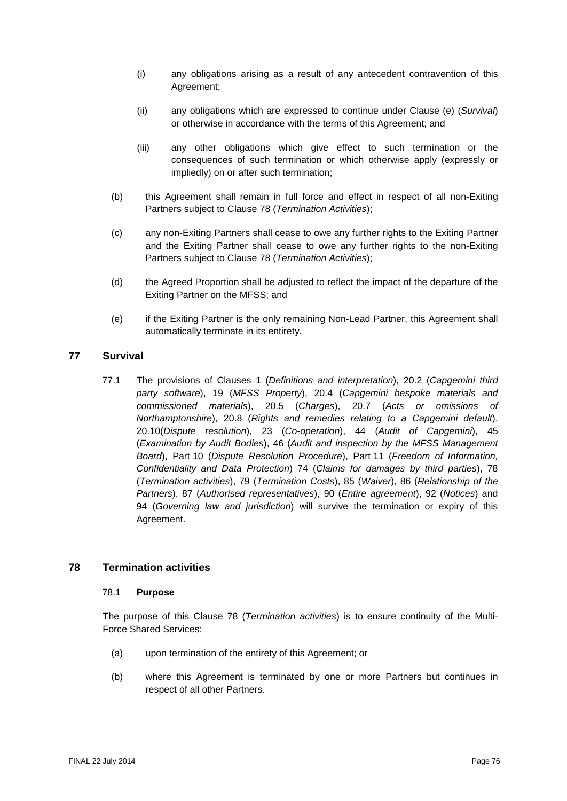- (i) any obligations arising as a result of any antecedent contravention of this Agreement;
- (ii) any obligations which are expressed to continue under Clause [\(e\)](#page-75-1) (*Survival*) or otherwise in accordance with the terms of this Agreement; and
- (iii) any other obligations which give effect to such termination or the consequences of such termination or which otherwise apply (expressly or impliedly) on or after such termination;
- (b) this Agreement shall remain in full force and effect in respect of all non-Exiting Partners subject to Clause [78](#page-75-2) (*Termination Activities*);
- (c) any non-Exiting Partners shall cease to owe any further rights to the Exiting Partner and the Exiting Partner shall cease to owe any further rights to the non-Exiting Partners subject to Clause [78](#page-75-2) (*Termination Activities*);
- (d) the Agreed Proportion shall be adjusted to reflect the impact of the departure of the Exiting Partner on the MFSS; and
- <span id="page-75-1"></span>(e) if the Exiting Partner is the only remaining Non-Lead Partner, this Agreement shall automatically terminate in its entirety.

#### <span id="page-75-0"></span>**77 Survival**

77.1 The provisions of Clauses [1](#page-8-0) (*Definitions and interpretation*), [20.2](#page-29-0) (*Capgemini third party software*), [19](#page-28-0) (*MFSS Property*), [20.4](#page-30-0) (*Capgemini bespoke materials and commissioned materials*), [20.5](#page-31-0) (*Charges*), [20.7](#page-31-1) (*Acts or omissions of Northamptonshire*), [20.8](#page-31-2) (*Rights and remedies relating to a Capgemini default*), [20.10\(](#page-33-0)*Dispute resolution*), [23](#page-35-0) (*Co-operation*), [44](#page-46-0) (*Audit of Capgemini*), [45](#page-46-1) (*Examination by Audit Bodies*), [46](#page-47-0) (*Audit and inspection by the MFSS Management Board*), [Part](#page-54-0) 10 (*Dispute Resolution Procedure*), [Part](#page-62-0) 11 (*Freedom of Information, Confidentiality and Data Protection*) [74](#page-72-0) (*Claims for damages by third parties*), [78](#page-75-2) (*Termination activities*), [79](#page-78-0) (*Termination Costs*), [85](#page-82-0) (*Waiver*), [86](#page-82-1) (*Relationship of the Partners*), [87](#page-82-2) (*Authorised representatives*), [90](#page-83-0) (*Entire agreement*), [92](#page-83-1) (*Notices*) and [94](#page-84-0) (*Governing law and jurisdiction*) will survive the termination or expiry of this Agreement.

#### <span id="page-75-2"></span>**78 Termination activities**

#### 78.1 **Purpose**

The purpose of this Clause [78](#page-75-2) (*Termination activities*) is to ensure continuity of the Multi-Force Shared Services:

- (a) upon termination of the entirety of this Agreement; or
- (b) where this Agreement is terminated by one or more Partners but continues in respect of all other Partners.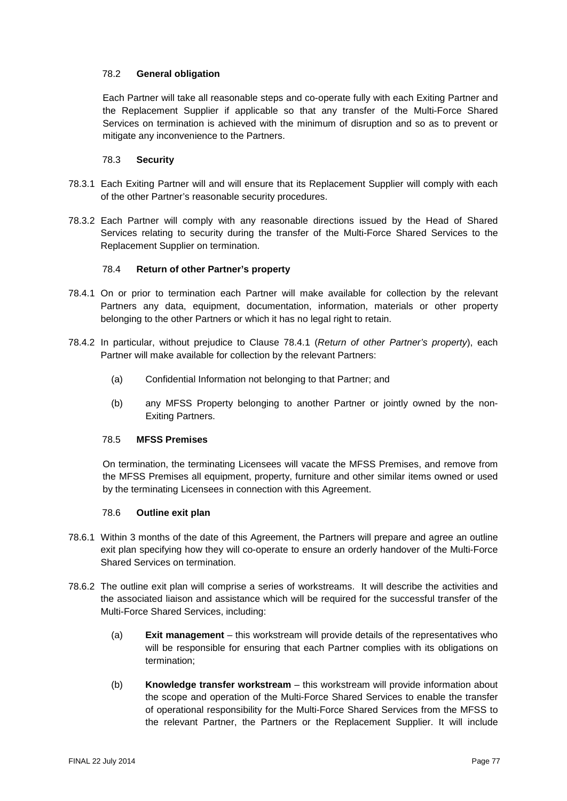#### 78.2 **General obligation**

Each Partner will take all reasonable steps and co-operate fully with each Exiting Partner and the Replacement Supplier if applicable so that any transfer of the Multi-Force Shared Services on termination is achieved with the minimum of disruption and so as to prevent or mitigate any inconvenience to the Partners.

#### 78.3 **Security**

- 78.3.1 Each Exiting Partner will and will ensure that its Replacement Supplier will comply with each of the other Partner's reasonable security procedures.
- 78.3.2 Each Partner will comply with any reasonable directions issued by the Head of Shared Services relating to security during the transfer of the Multi-Force Shared Services to the Replacement Supplier on termination.

#### 78.4 **Return of other Partner's property**

- <span id="page-76-0"></span>78.4.1 On or prior to termination each Partner will make available for collection by the relevant Partners any data, equipment, documentation, information, materials or other property belonging to the other Partners or which it has no legal right to retain.
- 78.4.2 In particular, without prejudice to Clause [78.4.1](#page-76-0) (*Return of other Partner's property*), each Partner will make available for collection by the relevant Partners:
	- (a) Confidential Information not belonging to that Partner; and
	- (b) any MFSS Property belonging to another Partner or jointly owned by the non-Exiting Partners.

#### 78.5 **MFSS Premises**

On termination, the terminating Licensees will vacate the MFSS Premises, and remove from the MFSS Premises all equipment, property, furniture and other similar items owned or used by the terminating Licensees in connection with this Agreement.

#### 78.6 **Outline exit plan**

- <span id="page-76-1"></span>78.6.1 Within 3 months of the date of this Agreement, the Partners will prepare and agree an outline exit plan specifying how they will co-operate to ensure an orderly handover of the Multi-Force Shared Services on termination.
- 78.6.2 The outline exit plan will comprise a series of workstreams. It will describe the activities and the associated liaison and assistance which will be required for the successful transfer of the Multi-Force Shared Services, including:
	- (a) **Exit management** this workstream will provide details of the representatives who will be responsible for ensuring that each Partner complies with its obligations on termination;
	- (b) **Knowledge transfer workstream** this workstream will provide information about the scope and operation of the Multi-Force Shared Services to enable the transfer of operational responsibility for the Multi-Force Shared Services from the MFSS to the relevant Partner, the Partners or the Replacement Supplier. It will include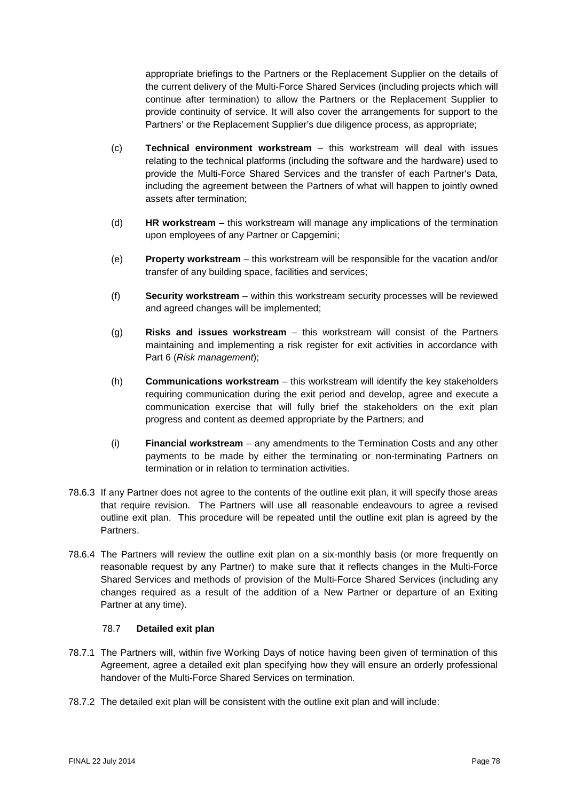appropriate briefings to the Partners or the Replacement Supplier on the details of the current delivery of the Multi-Force Shared Services (including projects which will continue after termination) to allow the Partners or the Replacement Supplier to provide continuity of service. It will also cover the arrangements for support to the Partners' or the Replacement Supplier's due diligence process, as appropriate;

- (c) **Technical environment workstream** this workstream will deal with issues relating to the technical platforms (including the software and the hardware) used to provide the Multi-Force Shared Services and the transfer of each Partner's Data, including the agreement between the Partners of what will happen to jointly owned assets after termination;
- (d) **HR workstream** this workstream will manage any implications of the termination upon employees of any Partner or Capgemini;
- (e) **Property workstream**  this workstream will be responsible for the vacation and/or transfer of any building space, facilities and services;
- (f) **Security workstream** within this workstream security processes will be reviewed and agreed changes will be implemented;
- (g) **Risks and issues workstream** this workstream will consist of the Partners maintaining and implementing a risk register for exit activities in accordance with [Part](#page-37-0) 6 (*Risk management*);
- (h) **Communications workstream** this workstream will identify the key stakeholders requiring communication during the exit period and develop, agree and execute a communication exercise that will fully brief the stakeholders on the exit plan progress and content as deemed appropriate by the Partners; and
- (i) **Financial workstream**  any amendments to the Termination Costs and any other payments to be made by either the terminating or non-terminating Partners on termination or in relation to termination activities.
- 78.6.3 If any Partner does not agree to the contents of the outline exit plan, it will specify those areas that require revision. The Partners will use all reasonable endeavours to agree a revised outline exit plan. This procedure will be repeated until the outline exit plan is agreed by the **Partners**
- 78.6.4 The Partners will review the outline exit plan on a six-monthly basis (or more frequently on reasonable request by any Partner) to make sure that it reflects changes in the Multi-Force Shared Services and methods of provision of the Multi-Force Shared Services (including any changes required as a result of the addition of a New Partner or departure of an Exiting Partner at any time).

#### 78.7 **Detailed exit plan**

- 78.7.1 The Partners will, within five Working Days of notice having been given of termination of this Agreement, agree a detailed exit plan specifying how they will ensure an orderly professional handover of the Multi-Force Shared Services on termination.
- 78.7.2 The detailed exit plan will be consistent with the outline exit plan and will include: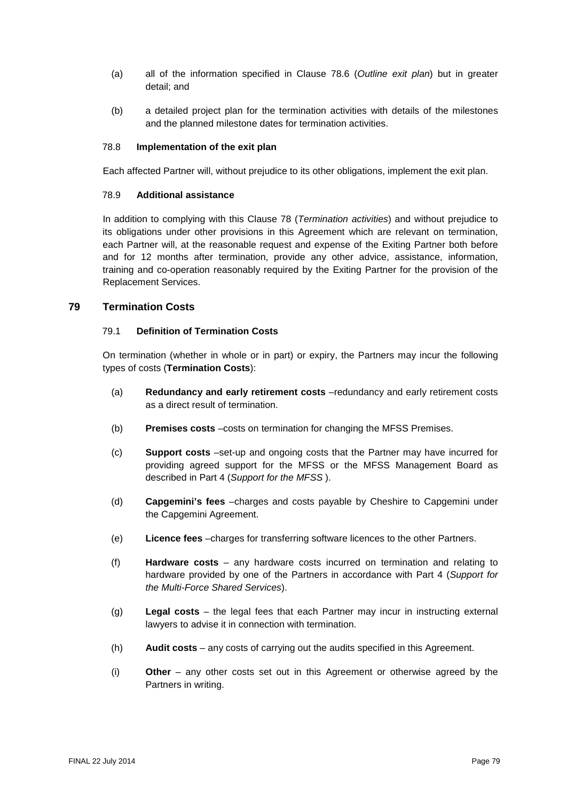- (a) all of the information specified in Clause [78.6](#page-76-1) (*Outline exit plan*) but in greater detail; and
- (b) a detailed project plan for the termination activities with details of the milestones and the planned milestone dates for termination activities.

#### 78.8 **Implementation of the exit plan**

Each affected Partner will, without prejudice to its other obligations, implement the exit plan.

#### 78.9 **Additional assistance**

In addition to complying with this Clause [78](#page-75-2) (*Termination activities*) and without prejudice to its obligations under other provisions in this Agreement which are relevant on termination, each Partner will, at the reasonable request and expense of the Exiting Partner both before and for 12 months after termination, provide any other advice, assistance, information, training and co-operation reasonably required by the Exiting Partner for the provision of the Replacement Services.

#### <span id="page-78-0"></span>**79 Termination Costs**

#### 79.1 **Definition of Termination Costs**

On termination (whether in whole or in part) or expiry, the Partners may incur the following types of costs (**Termination Costs**):

- (a) **Redundancy and early retirement costs** –redundancy and early retirement costs as a direct result of termination.
- (b) **Premises costs** –costs on termination for changing the MFSS Premises.
- (c) **Support costs** –set-up and ongoing costs that the Partner may have incurred for providing agreed support for the MFSS or the MFSS Management Board as described in Part 4 (*Support for the MFSS* ).
- (d) **Capgemini's fees** –charges and costs payable by Cheshire to Capgemini under the Capgemini Agreement.
- (e) **Licence fees** –charges for transferring software licences to the other Partners.
- (f) **Hardware costs** any hardware costs incurred on termination and relating to hardware provided by one of the Partners in accordance with Part 4 (*Support for the Multi-Force Shared Services*).
- (g) **Legal costs** the legal fees that each Partner may incur in instructing external lawyers to advise it in connection with termination.
- (h) **Audit costs** any costs of carrying out the audits specified in this Agreement.
- (i) **Other**  any other costs set out in this Agreement or otherwise agreed by the Partners in writing.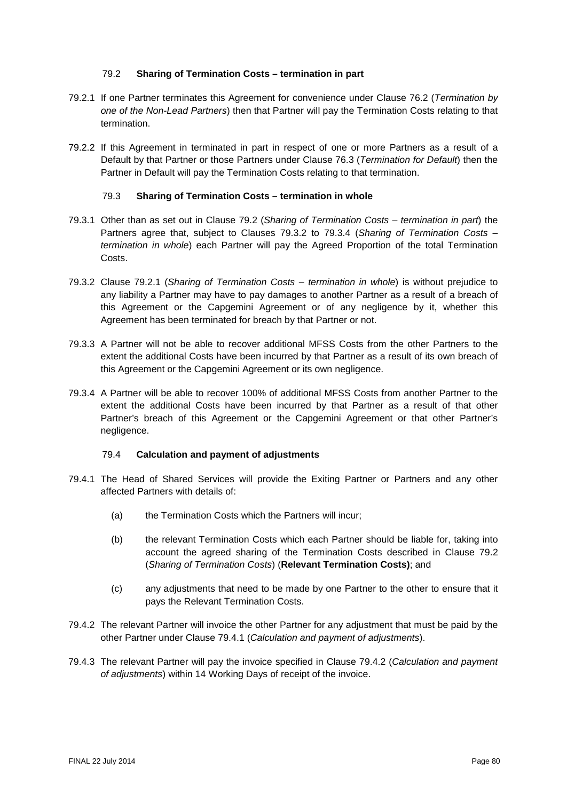#### 79.2 **Sharing of Termination Costs – termination in part**

- <span id="page-79-3"></span><span id="page-79-0"></span>79.2.1 If one Partner terminates this Agreement for convenience under Clause [76.2](#page-73-0) (*Termination by one of the Non-Lead Partners*) then that Partner will pay the Termination Costs relating to that termination.
- 79.2.2 If this Agreement in terminated in part in respect of one or more Partners as a result of a Default by that Partner or those Partners under Clause [76.3](#page-73-1) (*Termination for Default*) then the Partner in Default will pay the Termination Costs relating to that termination.

#### 79.3 **Sharing of Termination Costs – termination in whole**

- 79.3.1 Other than as set out in Clause [79.2](#page-79-0) (*Sharing of Termination Costs – termination in part*) the Partners agree that, subject to Clauses [79.3.2](#page-79-1) to [79.3.4](#page-79-2) (*Sharing of Termination Costs – termination in whole*) each Partner will pay the Agreed Proportion of the total Termination Costs.
- <span id="page-79-1"></span>79.3.2 Clause [79.2.1](#page-79-3) (*Sharing of Termination Costs – termination in whole*) is without prejudice to any liability a Partner may have to pay damages to another Partner as a result of a breach of this Agreement or the Capgemini Agreement or of any negligence by it, whether this Agreement has been terminated for breach by that Partner or not.
- 79.3.3 A Partner will not be able to recover additional MFSS Costs from the other Partners to the extent the additional Costs have been incurred by that Partner as a result of its own breach of this Agreement or the Capgemini Agreement or its own negligence.
- <span id="page-79-2"></span>79.3.4 A Partner will be able to recover 100% of additional MFSS Costs from another Partner to the extent the additional Costs have been incurred by that Partner as a result of that other Partner's breach of this Agreement or the Capgemini Agreement or that other Partner's negligence.

#### 79.4 **Calculation and payment of adjustments**

- <span id="page-79-4"></span>79.4.1 The Head of Shared Services will provide the Exiting Partner or Partners and any other affected Partners with details of:
	- (a) the Termination Costs which the Partners will incur;
	- (b) the relevant Termination Costs which each Partner should be liable for, taking into account the agreed sharing of the Termination Costs described in Clause [79.2](#page-79-0) (*Sharing of Termination Costs*) (**Relevant Termination Costs)**; and
	- (c) any adjustments that need to be made by one Partner to the other to ensure that it pays the Relevant Termination Costs.
- <span id="page-79-5"></span>79.4.2 The relevant Partner will invoice the other Partner for any adjustment that must be paid by the other Partner under Clause [79.4.1](#page-79-4) (*Calculation and payment of adjustments*).
- 79.4.3 The relevant Partner will pay the invoice specified in Clause [79.4.2](#page-79-5) (*Calculation and payment of adjustments*) within 14 Working Days of receipt of the invoice.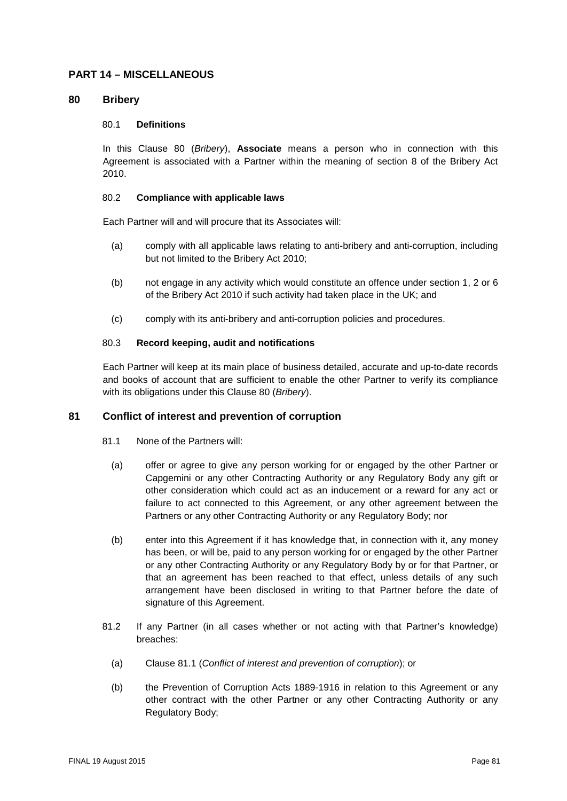#### **PART 14 – MISCELLANEOUS**

#### <span id="page-80-0"></span>**80 Bribery**

#### 80.1 **Definitions**

In this Clause [80](#page-80-0) (*Bribery*), **Associate** means a person who in connection with this Agreement is associated with a Partner within the meaning of section 8 of the Bribery Act 2010.

#### 80.2 **Compliance with applicable laws**

Each Partner will and will procure that its Associates will:

- (a) comply with all applicable laws relating to anti-bribery and anti-corruption, including but not limited to the Bribery Act 2010;
- (b) not engage in any activity which would constitute an offence under section 1, 2 or 6 of the Bribery Act 2010 if such activity had taken place in the UK; and
- (c) comply with its anti-bribery and anti-corruption policies and procedures.

#### 80.3 **Record keeping, audit and notifications**

Each Partner will keep at its main place of business detailed, accurate and up-to-date records and books of account that are sufficient to enable the other Partner to verify its compliance with its obligations under this Clause [80](#page-80-0) (*Bribery*).

#### <span id="page-80-1"></span>**81 Conflict of interest and prevention of corruption**

- 81.1 None of the Partners will:
	- (a) offer or agree to give any person working for or engaged by the other Partner or Capgemini or any other Contracting Authority or any Regulatory Body any gift or other consideration which could act as an inducement or a reward for any act or failure to act connected to this Agreement, or any other agreement between the Partners or any other Contracting Authority or any Regulatory Body; nor
	- (b) enter into this Agreement if it has knowledge that, in connection with it, any money has been, or will be, paid to any person working for or engaged by the other Partner or any other Contracting Authority or any Regulatory Body by or for that Partner, or that an agreement has been reached to that effect, unless details of any such arrangement have been disclosed in writing to that Partner before the date of signature of this Agreement.
- <span id="page-80-2"></span>81.2 If any Partner (in all cases whether or not acting with that Partner's knowledge) breaches:
	- (a) Clause [81.1](#page-80-1) (*Conflict of interest and prevention of corruption*); or
	- (b) the Prevention of Corruption Acts 1889-1916 in relation to this Agreement or any other contract with the other Partner or any other Contracting Authority or any Regulatory Body;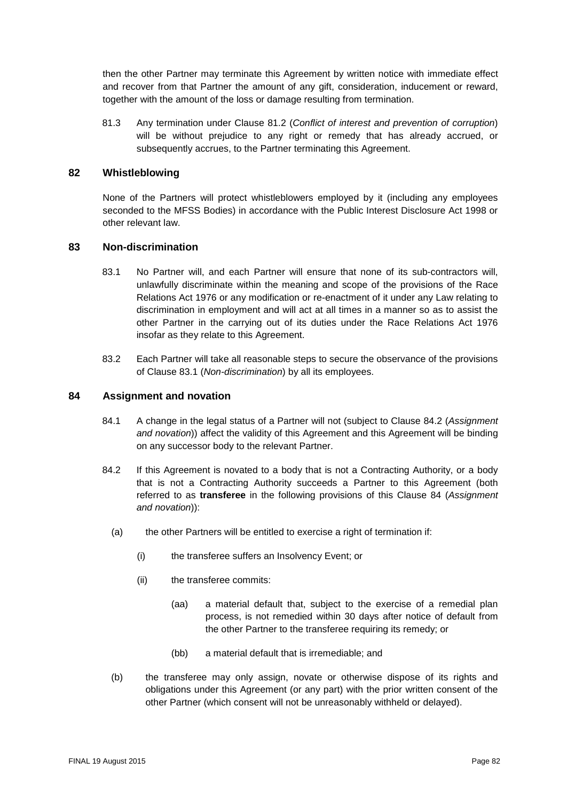then the other Partner may terminate this Agreement by written notice with immediate effect and recover from that Partner the amount of any gift, consideration, inducement or reward, together with the amount of the loss or damage resulting from termination.

81.3 Any termination under Clause [81.2](#page-80-2) (*Conflict of interest and prevention of corruption*) will be without prejudice to any right or remedy that has already accrued, or subsequently accrues, to the Partner terminating this Agreement.

#### **82 Whistleblowing**

None of the Partners will protect whistleblowers employed by it (including any employees seconded to the MFSS Bodies) in accordance with the Public Interest Disclosure Act 1998 or other relevant law.

#### <span id="page-81-0"></span>**83 Non-discrimination**

- 83.1 No Partner will, and each Partner will ensure that none of its sub-contractors will, unlawfully discriminate within the meaning and scope of the provisions of the Race Relations Act 1976 or any modification or re-enactment of it under any Law relating to discrimination in employment and will act at all times in a manner so as to assist the other Partner in the carrying out of its duties under the Race Relations Act 1976 insofar as they relate to this Agreement.
- 83.2 Each Partner will take all reasonable steps to secure the observance of the provisions of Clause [83.1](#page-81-0) (*Non-discrimination*) by all its employees.

#### <span id="page-81-2"></span>**84 Assignment and novation**

- 84.1 A change in the legal status of a Partner will not (subject to Clause [84.2](#page-81-1) (*Assignment and novation*)) affect the validity of this Agreement and this Agreement will be binding on any successor body to the relevant Partner.
- <span id="page-81-1"></span>84.2 If this Agreement is novated to a body that is not a Contracting Authority, or a body that is not a Contracting Authority succeeds a Partner to this Agreement (both referred to as **transferee** in the following provisions of this Clause [84](#page-81-2) (*Assignment and novation*)):
	- (a) the other Partners will be entitled to exercise a right of termination if:
		- (i) the transferee suffers an Insolvency Event; or
		- (ii) the transferee commits:
			- (aa) a material default that, subject to the exercise of a remedial plan process, is not remedied within 30 days after notice of default from the other Partner to the transferee requiring its remedy; or
			- (bb) a material default that is irremediable; and
	- (b) the transferee may only assign, novate or otherwise dispose of its rights and obligations under this Agreement (or any part) with the prior written consent of the other Partner (which consent will not be unreasonably withheld or delayed).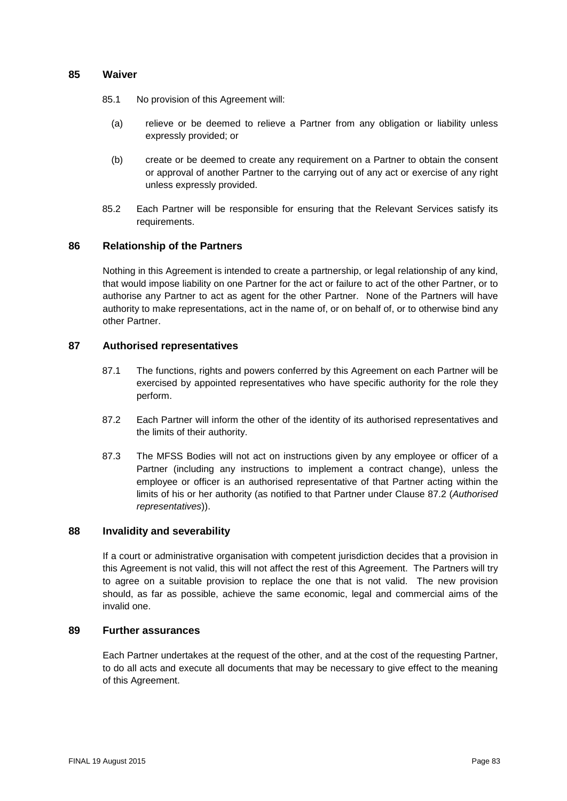#### <span id="page-82-0"></span>**85 Waiver**

- 85.1 No provision of this Agreement will:
	- (a) relieve or be deemed to relieve a Partner from any obligation or liability unless expressly provided; or
	- (b) create or be deemed to create any requirement on a Partner to obtain the consent or approval of another Partner to the carrying out of any act or exercise of any right unless expressly provided.
- 85.2 Each Partner will be responsible for ensuring that the Relevant Services satisfy its requirements.

#### <span id="page-82-1"></span>**86 Relationship of the Partners**

Nothing in this Agreement is intended to create a partnership, or legal relationship of any kind, that would impose liability on one Partner for the act or failure to act of the other Partner, or to authorise any Partner to act as agent for the other Partner. None of the Partners will have authority to make representations, act in the name of, or on behalf of, or to otherwise bind any other Partner.

#### <span id="page-82-2"></span>**87 Authorised representatives**

- 87.1 The functions, rights and powers conferred by this Agreement on each Partner will be exercised by appointed representatives who have specific authority for the role they perform.
- <span id="page-82-3"></span>87.2 Each Partner will inform the other of the identity of its authorised representatives and the limits of their authority.
- 87.3 The MFSS Bodies will not act on instructions given by any employee or officer of a Partner (including any instructions to implement a contract change), unless the employee or officer is an authorised representative of that Partner acting within the limits of his or her authority (as notified to that Partner under Clause [87.2](#page-82-3) (*Authorised representatives*)).

#### **88 Invalidity and severability**

If a court or administrative organisation with competent jurisdiction decides that a provision in this Agreement is not valid, this will not affect the rest of this Agreement. The Partners will try to agree on a suitable provision to replace the one that is not valid. The new provision should, as far as possible, achieve the same economic, legal and commercial aims of the invalid one.

#### **89 Further assurances**

Each Partner undertakes at the request of the other, and at the cost of the requesting Partner, to do all acts and execute all documents that may be necessary to give effect to the meaning of this Agreement.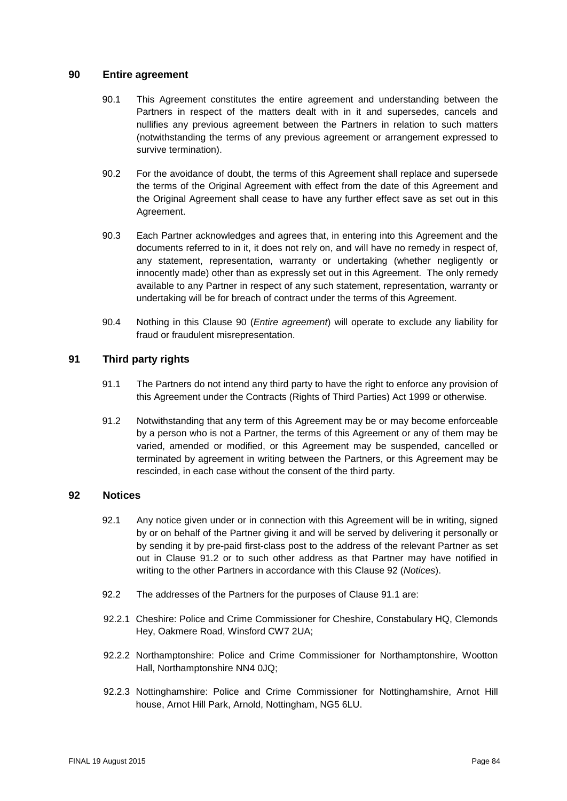#### <span id="page-83-0"></span>**90 Entire agreement**

- 90.1 This Agreement constitutes the entire agreement and understanding between the Partners in respect of the matters dealt with in it and supersedes, cancels and nullifies any previous agreement between the Partners in relation to such matters (notwithstanding the terms of any previous agreement or arrangement expressed to survive termination).
- 90.2 For the avoidance of doubt, the terms of this Agreement shall replace and supersede the terms of the Original Agreement with effect from the date of this Agreement and the Original Agreement shall cease to have any further effect save as set out in this Agreement.
- 90.3 Each Partner acknowledges and agrees that, in entering into this Agreement and the documents referred to in it, it does not rely on, and will have no remedy in respect of, any statement, representation, warranty or undertaking (whether negligently or innocently made) other than as expressly set out in this Agreement. The only remedy available to any Partner in respect of any such statement, representation, warranty or undertaking will be for breach of contract under the terms of this Agreement.
- 90.4 Nothing in this Clause [90](#page-83-0) (*Entire agreement*) will operate to exclude any liability for fraud or fraudulent misrepresentation.

#### **91 Third party rights**

- 91.1 The Partners do not intend any third party to have the right to enforce any provision of this Agreement under the Contracts (Rights of Third Parties) Act 1999 or otherwise*.*
- 91.2 Notwithstanding that any term of this Agreement may be or may become enforceable by a person who is not a Partner, the terms of this Agreement or any of them may be varied, amended or modified, or this Agreement may be suspended, cancelled or terminated by agreement in writing between the Partners, or this Agreement may be rescinded, in each case without the consent of the third party.

#### <span id="page-83-1"></span>**92 Notices**

- 92.1 Any notice given under or in connection with this Agreement will be in writing, signed by or on behalf of the Partner giving it and will be served by delivering it personally or by sending it by pre-paid first-class post to the address of the relevant Partner as set out in Clause 91.2 or to such other address as that Partner may have notified in writing to the other Partners in accordance with this Clause [92](#page-83-1) (*Notices*).
- 92.2 The addresses of the Partners for the purposes of Clause 91.1 are:
- 92.2.1 Cheshire: Police and Crime Commissioner for Cheshire, Constabulary HQ, Clemonds Hey, Oakmere Road, Winsford CW7 2UA;
- 92.2.2 Northamptonshire: Police and Crime Commissioner for Northamptonshire, Wootton Hall, Northamptonshire NN4 0JQ;
- 92.2.3 Nottinghamshire: Police and Crime Commissioner for Nottinghamshire, Arnot Hill house, Arnot Hill Park, Arnold, Nottingham, NG5 6LU.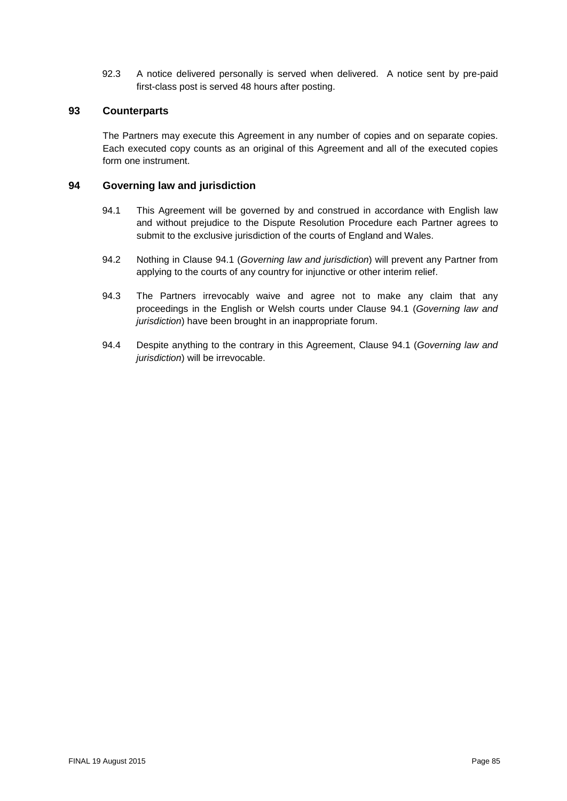92.3 A notice delivered personally is served when delivered. A notice sent by pre-paid first-class post is served 48 hours after posting.

#### **93 Counterparts**

The Partners may execute this Agreement in any number of copies and on separate copies. Each executed copy counts as an original of this Agreement and all of the executed copies form one instrument.

#### <span id="page-84-1"></span><span id="page-84-0"></span>**94 Governing law and jurisdiction**

- 94.1 This Agreement will be governed by and construed in accordance with English law and without prejudice to the Dispute Resolution Procedure each Partner agrees to submit to the exclusive jurisdiction of the courts of England and Wales.
- 94.2 Nothing in Clause [94.1](#page-84-1) (*Governing law and jurisdiction*) will prevent any Partner from applying to the courts of any country for injunctive or other interim relief.
- 94.3 The Partners irrevocably waive and agree not to make any claim that any proceedings in the English or Welsh courts under Clause [94.1](#page-84-1) (*Governing law and jurisdiction*) have been brought in an inappropriate forum.
- 94.4 Despite anything to the contrary in this Agreement, Clause [94.1](#page-84-1) (*Governing law and jurisdiction*) will be irrevocable.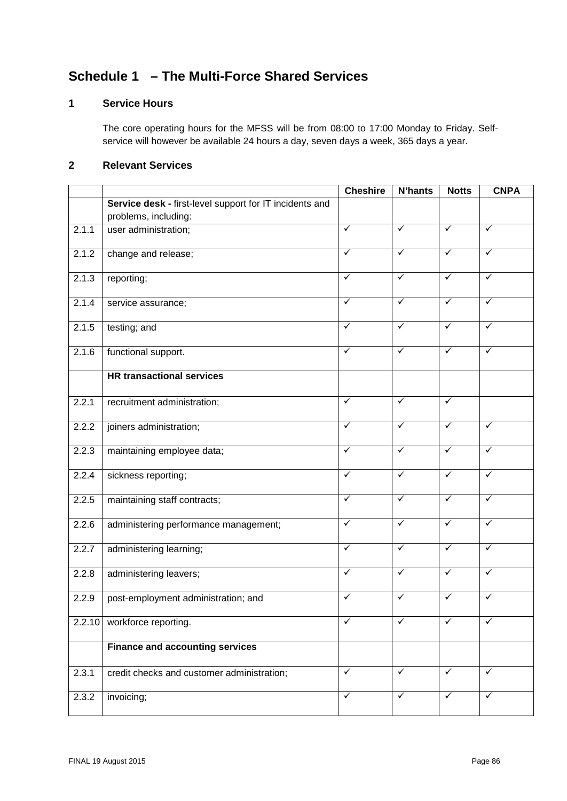# **Schedule 1 – The Multi-Force Shared Services**

## **1 Service Hours**

The core operating hours for the MFSS will be from 08:00 to 17:00 Monday to Friday. Selfservice will however be available 24 hours a day, seven days a week, 365 days a year.

## **2 Relevant Services**

|        |                                                         | <b>Cheshire</b> | <b>N'hants</b> | <b>Notts</b> | <b>CNPA</b>  |
|--------|---------------------------------------------------------|-----------------|----------------|--------------|--------------|
|        | Service desk - first-level support for IT incidents and |                 |                |              |              |
|        | problems, including:                                    |                 |                |              |              |
| 2.1.1  | user administration;                                    | ✓               | ✓              | ✓            | ✓            |
| 2.1.2  | change and release;                                     | $\checkmark$    | ✓              | $\checkmark$ | ✓            |
| 2.1.3  | reporting;                                              | ✓               | ✓              | ✓            | ✓            |
| 2.1.4  | service assurance;                                      | $\checkmark$    | $\checkmark$   | $\sqrt{}$    | $\checkmark$ |
| 2.1.5  | testing; and                                            | ✓               | ✓              | ✓            | $\checkmark$ |
| 2.1.6  | functional support.                                     | ✓               | ✓              | ✓            | $\checkmark$ |
|        | <b>HR transactional services</b>                        |                 |                |              |              |
| 2.2.1  | recruitment administration;                             | $\checkmark$    | $\checkmark$   | $\checkmark$ |              |
| 2.2.2  | joiners administration;                                 | ✓               | ✓              | ✓            | ✓            |
| 2.2.3  | maintaining employee data;                              | $\checkmark$    | $\checkmark$   | $\checkmark$ | ✓            |
| 2.2.4  | sickness reporting;                                     | ✓               | ✓              | $\checkmark$ | ✓            |
| 2.2.5  | maintaining staff contracts;                            | ✓               | $\checkmark$   | $\checkmark$ | ✓            |
| 2.2.6  | administering performance management;                   | ✓               | ✓              | ✓            | ✓            |
| 2.2.7  | administering learning;                                 | $\checkmark$    | ✓              | ✓            | ✓            |
| 2.2.8  | administering leavers;                                  | $\checkmark$    | ✓              | ✓            | ✓            |
| 2.2.9  | post-employment administration; and                     | ✓               | ✓              | ✓            | ✓            |
| 2.2.10 | workforce reporting.                                    | ✓               |                |              |              |
|        | <b>Finance and accounting services</b>                  |                 |                |              |              |
| 2.3.1  | credit checks and customer administration;              | ✓               | ✓              | ✓            | ✓            |
| 2.3.2  | invoicing;                                              | $\checkmark$    | $\checkmark$   | $\checkmark$ | ✓            |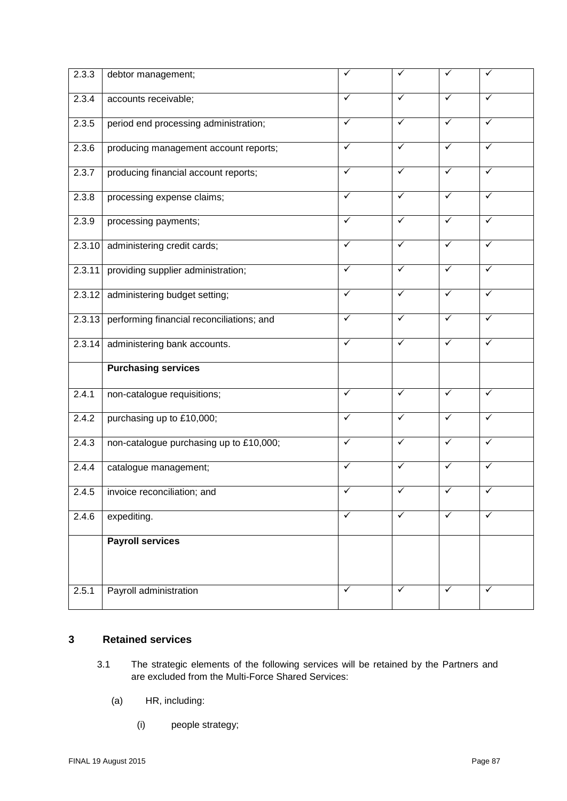| 2.3.3  | debtor management;                        | ✓            | ✓            | ✓            | ✓            |
|--------|-------------------------------------------|--------------|--------------|--------------|--------------|
| 2.3.4  | accounts receivable;                      | $\checkmark$ | ✓            | $\checkmark$ | ✓            |
| 2.3.5  | period end processing administration;     | $\checkmark$ | ✓            | $\checkmark$ | $\checkmark$ |
| 2.3.6  | producing management account reports;     | $\checkmark$ | $\checkmark$ | $\checkmark$ | $\checkmark$ |
| 2.3.7  | producing financial account reports;      | $\checkmark$ | $\checkmark$ | $\checkmark$ | $\checkmark$ |
| 2.3.8  | processing expense claims;                | $\checkmark$ | ✓            | $\checkmark$ | $\checkmark$ |
| 2.3.9  | processing payments;                      | $\checkmark$ | $\checkmark$ | $\checkmark$ | $\checkmark$ |
| 2.3.10 | administering credit cards;               | ✓            | $\checkmark$ | $\checkmark$ | ✓            |
| 2.3.11 | providing supplier administration;        | $\checkmark$ | $\checkmark$ | $\checkmark$ | $\checkmark$ |
| 2.3.12 | administering budget setting;             | $\checkmark$ | ✓            | $\checkmark$ | $\checkmark$ |
| 2.3.13 | performing financial reconciliations; and | $\checkmark$ | $\checkmark$ | $\checkmark$ | ✓            |
| 2.3.14 | administering bank accounts.              | ✓            | $\checkmark$ | $\checkmark$ | ✓            |
|        | <b>Purchasing services</b>                |              |              |              |              |
| 2.4.1  | non-catalogue requisitions;               | $\checkmark$ | $\checkmark$ | $\checkmark$ | $\checkmark$ |
| 2.4.2  | purchasing up to £10,000;                 | $\checkmark$ | $\checkmark$ | $\checkmark$ | $\checkmark$ |
| 2.4.3  | non-catalogue purchasing up to £10,000;   | $\checkmark$ | $\checkmark$ | $\checkmark$ | $\checkmark$ |
| 2.4.4  | catalogue management;                     | $\checkmark$ | $\checkmark$ | $\checkmark$ | $\checkmark$ |
| 2.4.5  | invoice reconciliation; and               | ✓            | ✓            | $\checkmark$ | ✓            |
| 2.4.6  | expediting.                               | $\checkmark$ | ✓            | $\checkmark$ | ✓            |
|        | <b>Payroll services</b>                   |              |              |              |              |
|        |                                           |              |              |              |              |
| 2.5.1  | Payroll administration                    | $\checkmark$ | $\checkmark$ | $\checkmark$ | ✓            |

#### **3 Retained services**

- 3.1 The strategic elements of the following services will be retained by the Partners and are excluded from the Multi-Force Shared Services:
	- (a) HR, including:
		- (i) people strategy;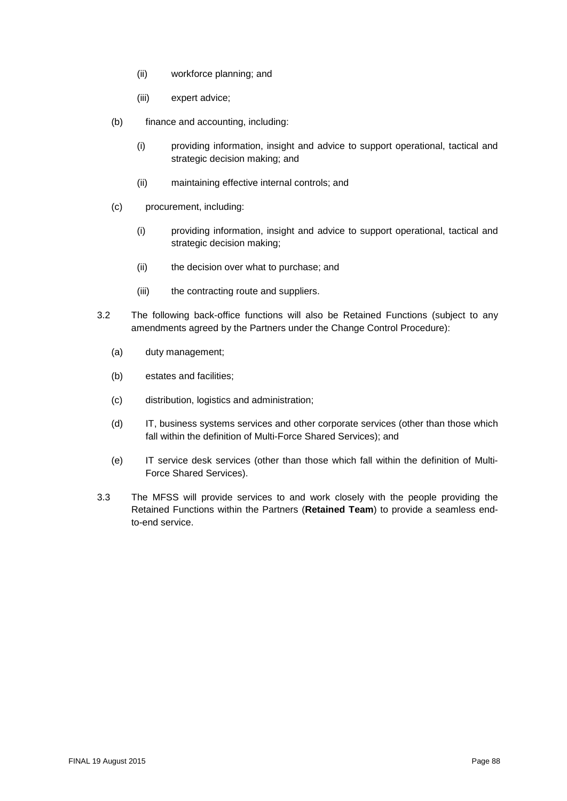- (ii) workforce planning; and
- (iii) expert advice;
- (b) finance and accounting, including:
	- (i) providing information, insight and advice to support operational, tactical and strategic decision making; and
	- (ii) maintaining effective internal controls; and
- (c) procurement, including:
	- (i) providing information, insight and advice to support operational, tactical and strategic decision making;
	- (ii) the decision over what to purchase; and
	- (iii) the contracting route and suppliers.
- 3.2 The following back-office functions will also be Retained Functions (subject to any amendments agreed by the Partners under the Change Control Procedure):
	- (a) duty management;
	- (b) estates and facilities;
	- (c) distribution, logistics and administration;
	- (d) IT, business systems services and other corporate services (other than those which fall within the definition of Multi-Force Shared Services); and
	- (e) IT service desk services (other than those which fall within the definition of Multi-Force Shared Services).
- 3.3 The MFSS will provide services to and work closely with the people providing the Retained Functions within the Partners (**Retained Team**) to provide a seamless endto-end service.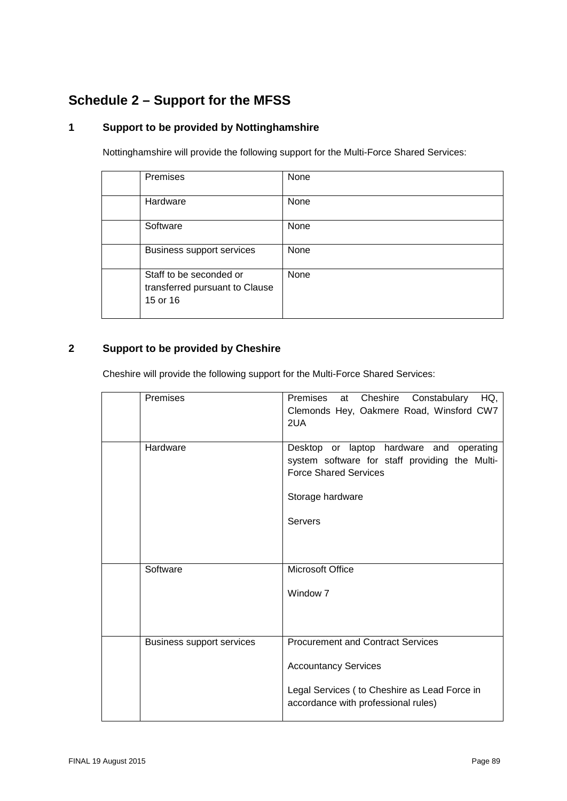# **Schedule 2 – Support for the MFSS**

## **1 Support to be provided by Nottinghamshire**

Nottinghamshire will provide the following support for the Multi-Force Shared Services:

| Premises                                                              | None |
|-----------------------------------------------------------------------|------|
| Hardware                                                              | None |
| Software                                                              | None |
| <b>Business support services</b>                                      | None |
| Staff to be seconded or<br>transferred pursuant to Clause<br>15 or 16 | None |

## **2 Support to be provided by Cheshire**

Cheshire will provide the following support for the Multi-Force Shared Services:

| Premises                         | Premises<br>at Cheshire<br>Constabulary HQ,<br>Clemonds Hey, Oakmere Road, Winsford CW7<br>2UA                                                                  |
|----------------------------------|-----------------------------------------------------------------------------------------------------------------------------------------------------------------|
| Hardware                         | Desktop or laptop hardware and operating<br>system software for staff providing the Multi-<br><b>Force Shared Services</b><br>Storage hardware                  |
|                                  | <b>Servers</b>                                                                                                                                                  |
| Software                         | Microsoft Office<br>Window <sub>7</sub>                                                                                                                         |
| <b>Business support services</b> | <b>Procurement and Contract Services</b><br><b>Accountancy Services</b><br>Legal Services ( to Cheshire as Lead Force in<br>accordance with professional rules) |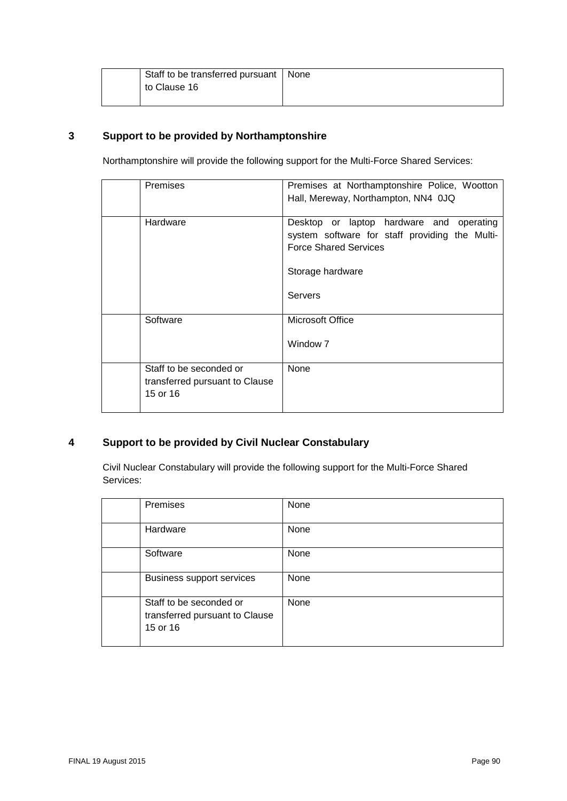| Staff to be transferred pursuant   None |  |
|-----------------------------------------|--|
| to Clause 16                            |  |
|                                         |  |

## **3 Support to be provided by Northamptonshire**

Northamptonshire will provide the following support for the Multi-Force Shared Services:

| <b>Premises</b>                                                       | Premises at Northamptonshire Police, Wootton<br>Hall, Mereway, Northampton, NN4 0JQ                                                                              |
|-----------------------------------------------------------------------|------------------------------------------------------------------------------------------------------------------------------------------------------------------|
| Hardware                                                              | Desktop or laptop hardware and operating<br>system software for staff providing the Multi-<br><b>Force Shared Services</b><br>Storage hardware<br><b>Servers</b> |
| Software                                                              | Microsoft Office<br>Window <sub>7</sub>                                                                                                                          |
| Staff to be seconded or<br>transferred pursuant to Clause<br>15 or 16 | None                                                                                                                                                             |

## **4 Support to be provided by Civil Nuclear Constabulary**

Civil Nuclear Constabulary will provide the following support for the Multi-Force Shared Services:

| Premises                                                              | None        |
|-----------------------------------------------------------------------|-------------|
| Hardware                                                              | None        |
| Software                                                              | None        |
| <b>Business support services</b>                                      | None        |
| Staff to be seconded or<br>transferred pursuant to Clause<br>15 or 16 | <b>None</b> |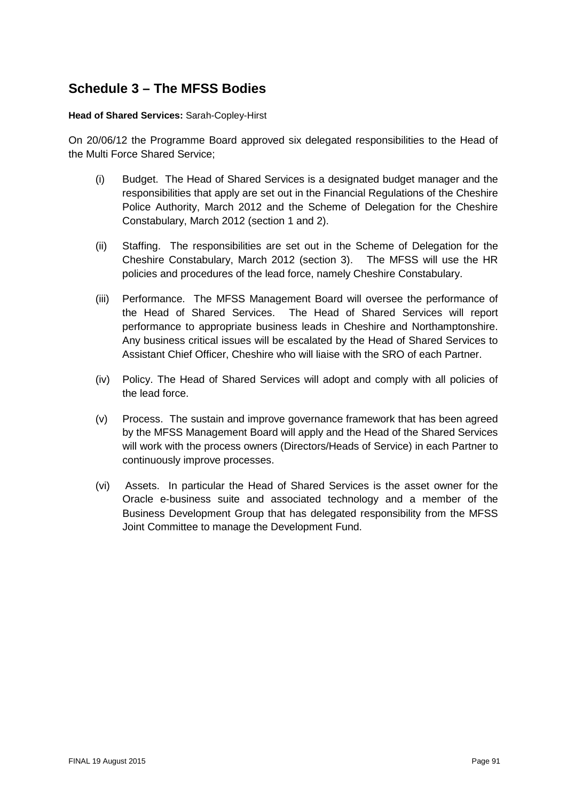## **Schedule 3 – The MFSS Bodies**

#### **Head of Shared Services:** Sarah-Copley-Hirst

On 20/06/12 the Programme Board approved six delegated responsibilities to the Head of the Multi Force Shared Service;

- (i) Budget. The Head of Shared Services is a designated budget manager and the responsibilities that apply are set out in the Financial Regulations of the Cheshire Police Authority, March 2012 and the Scheme of Delegation for the Cheshire Constabulary, March 2012 (section 1 and 2).
- (ii) Staffing. The responsibilities are set out in the Scheme of Delegation for the Cheshire Constabulary, March 2012 (section 3). The MFSS will use the HR policies and procedures of the lead force, namely Cheshire Constabulary.
- (iii) Performance. The MFSS Management Board will oversee the performance of the Head of Shared Services. The Head of Shared Services will report performance to appropriate business leads in Cheshire and Northamptonshire. Any business critical issues will be escalated by the Head of Shared Services to Assistant Chief Officer, Cheshire who will liaise with the SRO of each Partner.
- (iv) Policy. The Head of Shared Services will adopt and comply with all policies of the lead force.
- (v) Process. The sustain and improve governance framework that has been agreed by the MFSS Management Board will apply and the Head of the Shared Services will work with the process owners (Directors/Heads of Service) in each Partner to continuously improve processes.
- (vi) Assets. In particular the Head of Shared Services is the asset owner for the Oracle e-business suite and associated technology and a member of the Business Development Group that has delegated responsibility from the MFSS Joint Committee to manage the Development Fund.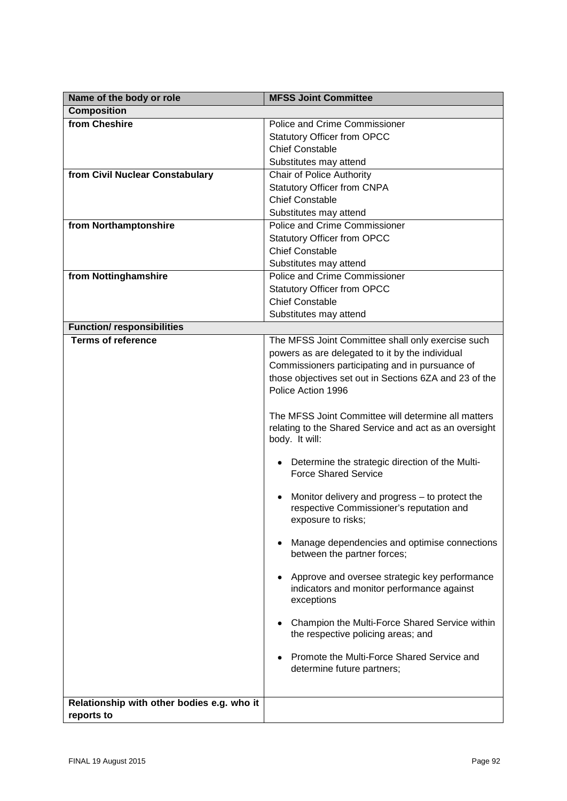| Name of the body or role                                 | <b>MFSS Joint Committee</b>                                                                                                     |
|----------------------------------------------------------|---------------------------------------------------------------------------------------------------------------------------------|
| <b>Composition</b>                                       |                                                                                                                                 |
| from Cheshire                                            | <b>Police and Crime Commissioner</b>                                                                                            |
|                                                          | <b>Statutory Officer from OPCC</b>                                                                                              |
|                                                          | <b>Chief Constable</b>                                                                                                          |
|                                                          | Substitutes may attend                                                                                                          |
| from Civil Nuclear Constabulary                          | Chair of Police Authority                                                                                                       |
|                                                          | <b>Statutory Officer from CNPA</b>                                                                                              |
|                                                          | <b>Chief Constable</b>                                                                                                          |
|                                                          | Substitutes may attend                                                                                                          |
| from Northamptonshire                                    | Police and Crime Commissioner                                                                                                   |
|                                                          | <b>Statutory Officer from OPCC</b>                                                                                              |
|                                                          | <b>Chief Constable</b>                                                                                                          |
|                                                          | Substitutes may attend                                                                                                          |
| from Nottinghamshire                                     | <b>Police and Crime Commissioner</b>                                                                                            |
|                                                          |                                                                                                                                 |
|                                                          | <b>Statutory Officer from OPCC</b><br><b>Chief Constable</b>                                                                    |
|                                                          |                                                                                                                                 |
|                                                          | Substitutes may attend                                                                                                          |
| <b>Function/ responsibilities</b>                        |                                                                                                                                 |
| <b>Terms of reference</b>                                | The MFSS Joint Committee shall only exercise such                                                                               |
|                                                          | powers as are delegated to it by the individual                                                                                 |
|                                                          | Commissioners participating and in pursuance of                                                                                 |
|                                                          | those objectives set out in Sections 6ZA and 23 of the                                                                          |
|                                                          | Police Action 1996                                                                                                              |
|                                                          | The MFSS Joint Committee will determine all matters<br>relating to the Shared Service and act as an oversight<br>body. It will: |
|                                                          | Determine the strategic direction of the Multi-<br><b>Force Shared Service</b>                                                  |
|                                                          | Monitor delivery and progress – to protect the<br>respective Commissioner's reputation and<br>exposure to risks;                |
|                                                          | Manage dependencies and optimise connections<br>between the partner forces;                                                     |
|                                                          | Approve and oversee strategic key performance<br>indicators and monitor performance against<br>exceptions                       |
|                                                          | Champion the Multi-Force Shared Service within<br>the respective policing areas; and                                            |
|                                                          | Promote the Multi-Force Shared Service and<br>determine future partners;                                                        |
|                                                          |                                                                                                                                 |
| Relationship with other bodies e.g. who it<br>reports to |                                                                                                                                 |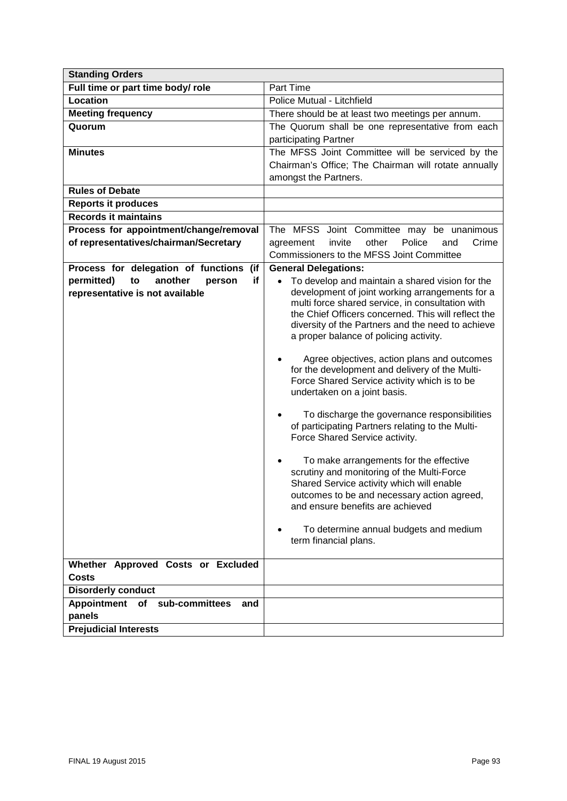| <b>Standing Orders</b>                      |                                                                                                     |
|---------------------------------------------|-----------------------------------------------------------------------------------------------------|
| Full time or part time body/ role           | Part Time                                                                                           |
| Location                                    | Police Mutual - Litchfield                                                                          |
| <b>Meeting frequency</b>                    | There should be at least two meetings per annum.                                                    |
| Quorum                                      | The Quorum shall be one representative from each                                                    |
|                                             | participating Partner                                                                               |
| <b>Minutes</b>                              | The MFSS Joint Committee will be serviced by the                                                    |
|                                             | Chairman's Office; The Chairman will rotate annually                                                |
|                                             | amongst the Partners.                                                                               |
| <b>Rules of Debate</b>                      |                                                                                                     |
| <b>Reports it produces</b>                  |                                                                                                     |
| <b>Records it maintains</b>                 |                                                                                                     |
| Process for appointment/change/removal      | The MFSS Joint Committee may be unanimous                                                           |
| of representatives/chairman/Secretary       | other<br>Police<br>Crime<br>agreement<br>invite<br>and                                              |
|                                             | Commissioners to the MFSS Joint Committee                                                           |
| Process for delegation of functions (if     | <b>General Delegations:</b>                                                                         |
| permitted)<br>another<br>if<br>to<br>person | To develop and maintain a shared vision for the                                                     |
| representative is not available             | development of joint working arrangements for a<br>multi force shared service, in consultation with |
|                                             | the Chief Officers concerned. This will reflect the                                                 |
|                                             | diversity of the Partners and the need to achieve                                                   |
|                                             | a proper balance of policing activity.                                                              |
|                                             |                                                                                                     |
|                                             | Agree objectives, action plans and outcomes<br>for the development and delivery of the Multi-       |
|                                             | Force Shared Service activity which is to be                                                        |
|                                             | undertaken on a joint basis.                                                                        |
|                                             |                                                                                                     |
|                                             | To discharge the governance responsibilities                                                        |
|                                             | of participating Partners relating to the Multi-                                                    |
|                                             | Force Shared Service activity.                                                                      |
|                                             | To make arrangements for the effective                                                              |
|                                             | scrutiny and monitoring of the Multi-Force                                                          |
|                                             | Shared Service activity which will enable                                                           |
|                                             | outcomes to be and necessary action agreed,                                                         |
|                                             | and ensure benefits are achieved                                                                    |
|                                             |                                                                                                     |
|                                             | To determine annual budgets and medium<br>term financial plans.                                     |
|                                             |                                                                                                     |
| Whether Approved Costs or Excluded          |                                                                                                     |
| <b>Costs</b>                                |                                                                                                     |
| <b>Disorderly conduct</b>                   |                                                                                                     |
| Appointment<br>of sub-committees<br>and     |                                                                                                     |
| panels                                      |                                                                                                     |
| <b>Prejudicial Interests</b>                |                                                                                                     |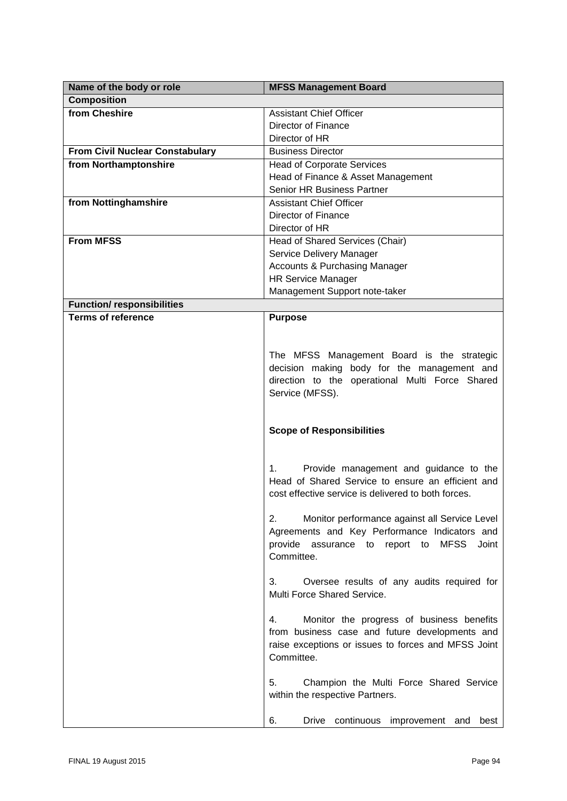| Name of the body or role               | <b>MFSS Management Board</b>                              |
|----------------------------------------|-----------------------------------------------------------|
| <b>Composition</b>                     |                                                           |
| from Cheshire                          | <b>Assistant Chief Officer</b>                            |
|                                        | Director of Finance                                       |
|                                        | Director of HR                                            |
| <b>From Civil Nuclear Constabulary</b> | <b>Business Director</b>                                  |
| from Northamptonshire                  | <b>Head of Corporate Services</b>                         |
|                                        | Head of Finance & Asset Management                        |
|                                        | Senior HR Business Partner                                |
| from Nottinghamshire                   | <b>Assistant Chief Officer</b>                            |
|                                        | Director of Finance                                       |
|                                        | Director of HR                                            |
| <b>From MFSS</b>                       | Head of Shared Services (Chair)                           |
|                                        | Service Delivery Manager                                  |
|                                        | <b>Accounts &amp; Purchasing Manager</b>                  |
|                                        | <b>HR Service Manager</b>                                 |
|                                        | Management Support note-taker                             |
| <b>Function/ responsibilities</b>      |                                                           |
| <b>Terms of reference</b>              | <b>Purpose</b>                                            |
|                                        |                                                           |
|                                        |                                                           |
|                                        | The MFSS Management Board is the strategic                |
|                                        | decision making body for the management and               |
|                                        | direction to the operational Multi Force Shared           |
|                                        | Service (MFSS).                                           |
|                                        |                                                           |
|                                        |                                                           |
|                                        | <b>Scope of Responsibilities</b>                          |
|                                        |                                                           |
|                                        | Provide management and guidance to the<br>1.              |
|                                        | Head of Shared Service to ensure an efficient and         |
|                                        | cost effective service is delivered to both forces.       |
|                                        |                                                           |
|                                        | 2.<br>Monitor performance against all Service Level       |
|                                        | Agreements and Key Performance Indicators and             |
|                                        | <b>MFSS</b><br>provide<br>assurance to report to<br>Joint |
|                                        | Committee.                                                |
|                                        |                                                           |
|                                        | 3.<br>Oversee results of any audits required for          |
|                                        | Multi Force Shared Service.                               |
|                                        |                                                           |
|                                        | Monitor the progress of business benefits<br>4.           |
|                                        | from business case and future developments and            |
|                                        | raise exceptions or issues to forces and MFSS Joint       |
|                                        | Committee.                                                |
|                                        |                                                           |
|                                        | 5.<br>Champion the Multi Force Shared Service             |
|                                        | within the respective Partners.                           |
|                                        |                                                           |
|                                        | 6.<br>Drive continuous improvement and<br>best            |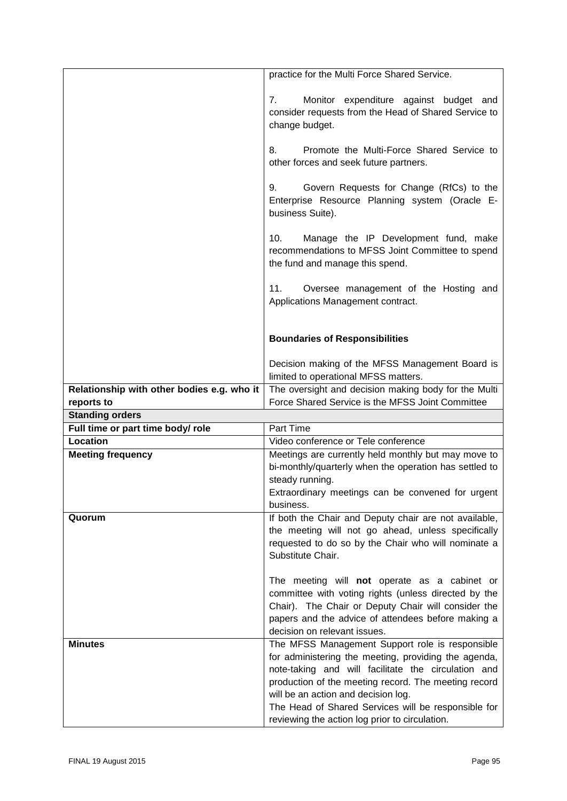|                                            | practice for the Multi Force Shared Service.                                                                                       |
|--------------------------------------------|------------------------------------------------------------------------------------------------------------------------------------|
|                                            | Monitor expenditure against budget and<br>7.<br>consider requests from the Head of Shared Service to<br>change budget.             |
|                                            | Promote the Multi-Force Shared Service to<br>8.<br>other forces and seek future partners.                                          |
|                                            | Govern Requests for Change (RfCs) to the<br>9.<br>Enterprise Resource Planning system (Oracle E-<br>business Suite).               |
|                                            | Manage the IP Development fund, make<br>10.<br>recommendations to MFSS Joint Committee to spend<br>the fund and manage this spend. |
|                                            | 11.<br>Oversee management of the Hosting and<br>Applications Management contract.                                                  |
|                                            | <b>Boundaries of Responsibilities</b>                                                                                              |
|                                            | Decision making of the MFSS Management Board is<br>limited to operational MFSS matters.                                            |
| Relationship with other bodies e.g. who it | The oversight and decision making body for the Multi                                                                               |
| reports to                                 | Force Shared Service is the MFSS Joint Committee                                                                                   |
| <b>Standing orders</b>                     |                                                                                                                                    |
| Full time or part time body/ role          | Part Time                                                                                                                          |
| Location                                   | Video conference or Tele conference                                                                                                |
| <b>Meeting frequency</b>                   | Meetings are currently held monthly but may move to                                                                                |
|                                            | bi-monthly/quarterly when the operation has settled to                                                                             |
|                                            | steady running.                                                                                                                    |
|                                            | Extraordinary meetings can be convened for urgent<br>business.                                                                     |
| Quorum                                     | If both the Chair and Deputy chair are not available,                                                                              |
|                                            | the meeting will not go ahead, unless specifically                                                                                 |
|                                            | requested to do so by the Chair who will nominate a                                                                                |
|                                            | Substitute Chair.                                                                                                                  |
|                                            |                                                                                                                                    |
|                                            |                                                                                                                                    |
|                                            | The meeting will not operate as a cabinet or<br>committee with voting rights (unless directed by the                               |
|                                            | Chair). The Chair or Deputy Chair will consider the                                                                                |
|                                            | papers and the advice of attendees before making a                                                                                 |
|                                            | decision on relevant issues.                                                                                                       |
| <b>Minutes</b>                             | The MFSS Management Support role is responsible                                                                                    |
|                                            | for administering the meeting, providing the agenda,                                                                               |
|                                            | note-taking and will facilitate the circulation and<br>production of the meeting record. The meeting record                        |
|                                            | will be an action and decision log.                                                                                                |
|                                            | The Head of Shared Services will be responsible for<br>reviewing the action log prior to circulation.                              |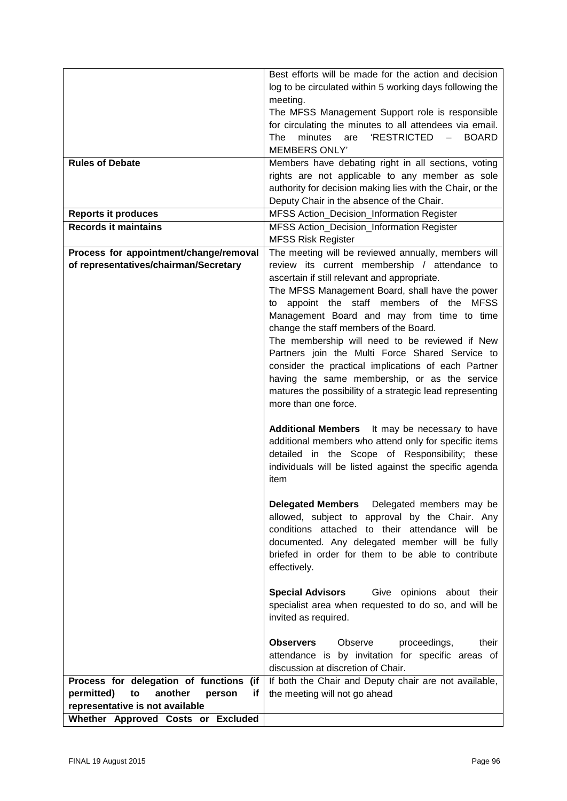|                                             | Best efforts will be made for the action and decision                                       |
|---------------------------------------------|---------------------------------------------------------------------------------------------|
|                                             | log to be circulated within 5 working days following the                                    |
|                                             | meeting.                                                                                    |
|                                             | The MFSS Management Support role is responsible                                             |
|                                             | for circulating the minutes to all attendees via email.                                     |
|                                             | 'RESTRICTED -<br>minutes<br><b>BOARD</b><br>The<br>are                                      |
|                                             | <b>MEMBERS ONLY'</b>                                                                        |
| <b>Rules of Debate</b>                      | Members have debating right in all sections, voting                                         |
|                                             | rights are not applicable to any member as sole                                             |
|                                             | authority for decision making lies with the Chair, or the                                   |
|                                             | Deputy Chair in the absence of the Chair.                                                   |
| <b>Reports it produces</b>                  | MFSS Action_Decision_Information Register                                                   |
| <b>Records it maintains</b>                 | MFSS Action_Decision_Information Register                                                   |
|                                             | <b>MFSS Risk Register</b>                                                                   |
| Process for appointment/change/removal      | The meeting will be reviewed annually, members will                                         |
| of representatives/chairman/Secretary       | review its current membership / attendance to                                               |
|                                             | ascertain if still relevant and appropriate.                                                |
|                                             | The MFSS Management Board, shall have the power<br>to appoint the staff members of the MFSS |
|                                             | Management Board and may from time to time                                                  |
|                                             | change the staff members of the Board.                                                      |
|                                             | The membership will need to be reviewed if New                                              |
|                                             | Partners join the Multi Force Shared Service to                                             |
|                                             | consider the practical implications of each Partner                                         |
|                                             | having the same membership, or as the service                                               |
|                                             | matures the possibility of a strategic lead representing                                    |
|                                             | more than one force.                                                                        |
|                                             |                                                                                             |
|                                             | Additional Members  It may be necessary to have                                             |
|                                             | additional members who attend only for specific items                                       |
|                                             | detailed in the Scope of Responsibility; these                                              |
|                                             | individuals will be listed against the specific agenda                                      |
|                                             | item                                                                                        |
|                                             |                                                                                             |
|                                             | <b>Delegated Members</b> Delegated members may be                                           |
|                                             | allowed, subject to approval by the Chair. Any                                              |
|                                             | conditions attached to their attendance will be                                             |
|                                             | documented. Any delegated member will be fully                                              |
|                                             | briefed in order for them to be able to contribute                                          |
|                                             | effectively.                                                                                |
|                                             | <b>Special Advisors</b><br>Give opinions about their                                        |
|                                             | specialist area when requested to do so, and will be                                        |
|                                             | invited as required.                                                                        |
|                                             |                                                                                             |
|                                             | <b>Observers</b><br>Observe<br>proceedings,<br>their                                        |
|                                             | attendance is by invitation for specific areas of                                           |
|                                             | discussion at discretion of Chair.                                                          |
| Process for delegation of functions (if     | If both the Chair and Deputy chair are not available,                                       |
| permitted)<br>another<br>to<br>if<br>person | the meeting will not go ahead                                                               |
| representative is not available             |                                                                                             |
| Whether Approved Costs or Excluded          |                                                                                             |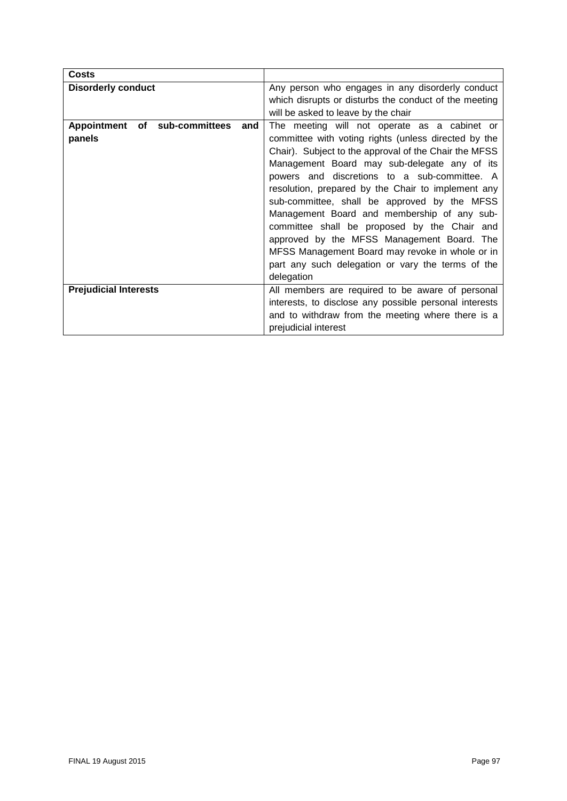| <b>Costs</b>                            |                                                        |  |
|-----------------------------------------|--------------------------------------------------------|--|
| <b>Disorderly conduct</b>               | Any person who engages in any disorderly conduct       |  |
|                                         | which disrupts or disturbs the conduct of the meeting  |  |
|                                         | will be asked to leave by the chair                    |  |
| of sub-committees<br>Appointment<br>and | The meeting will not operate as a cabinet or           |  |
| panels                                  | committee with voting rights (unless directed by the   |  |
|                                         | Chair). Subject to the approval of the Chair the MFSS  |  |
|                                         | Management Board may sub-delegate any of its           |  |
|                                         | powers and discretions to a sub-committee. A           |  |
|                                         | resolution, prepared by the Chair to implement any     |  |
|                                         | sub-committee, shall be approved by the MFSS           |  |
|                                         | Management Board and membership of any sub-            |  |
|                                         | committee shall be proposed by the Chair and           |  |
|                                         | approved by the MFSS Management Board. The             |  |
|                                         | MFSS Management Board may revoke in whole or in        |  |
|                                         | part any such delegation or vary the terms of the      |  |
|                                         | delegation                                             |  |
| <b>Prejudicial Interests</b>            | All members are required to be aware of personal       |  |
|                                         | interests, to disclose any possible personal interests |  |
|                                         | and to withdraw from the meeting where there is a      |  |
|                                         | prejudicial interest                                   |  |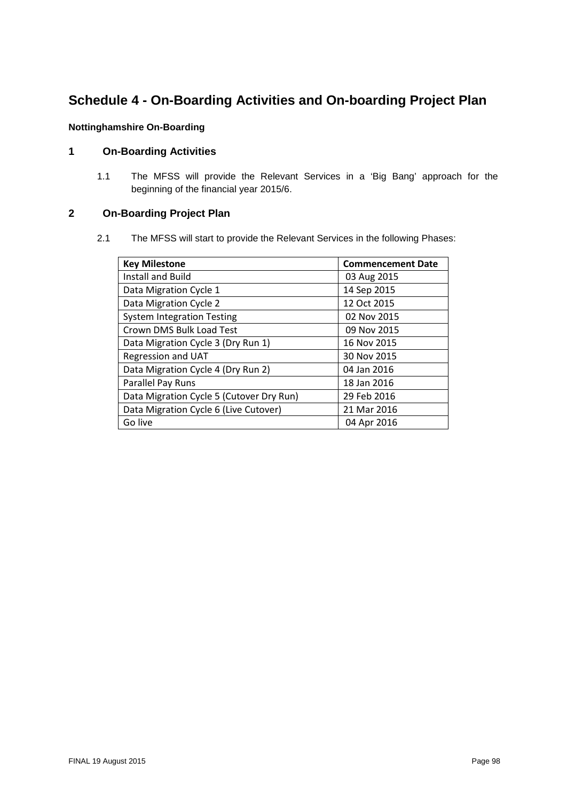# **Schedule 4 - On-Boarding Activities and On-boarding Project Plan**

#### **Nottinghamshire On-Boarding**

## **1 On-Boarding Activities**

1.1 The MFSS will provide the Relevant Services in a 'Big Bang' approach for the beginning of the financial year 2015/6.

### **2 On-Boarding Project Plan**

2.1 The MFSS will start to provide the Relevant Services in the following Phases:

| <b>Key Milestone</b>                     | <b>Commencement Date</b> |
|------------------------------------------|--------------------------|
| Install and Build                        | 03 Aug 2015              |
| Data Migration Cycle 1                   | 14 Sep 2015              |
| Data Migration Cycle 2                   | 12 Oct 2015              |
| <b>System Integration Testing</b>        | 02 Nov 2015              |
| Crown DMS Bulk Load Test                 | 09 Nov 2015              |
| Data Migration Cycle 3 (Dry Run 1)       | 16 Nov 2015              |
| Regression and UAT                       | 30 Nov 2015              |
| Data Migration Cycle 4 (Dry Run 2)       | 04 Jan 2016              |
| Parallel Pay Runs                        | 18 Jan 2016              |
| Data Migration Cycle 5 (Cutover Dry Run) | 29 Feb 2016              |
| Data Migration Cycle 6 (Live Cutover)    | 21 Mar 2016              |
| Go live                                  | 04 Apr 2016              |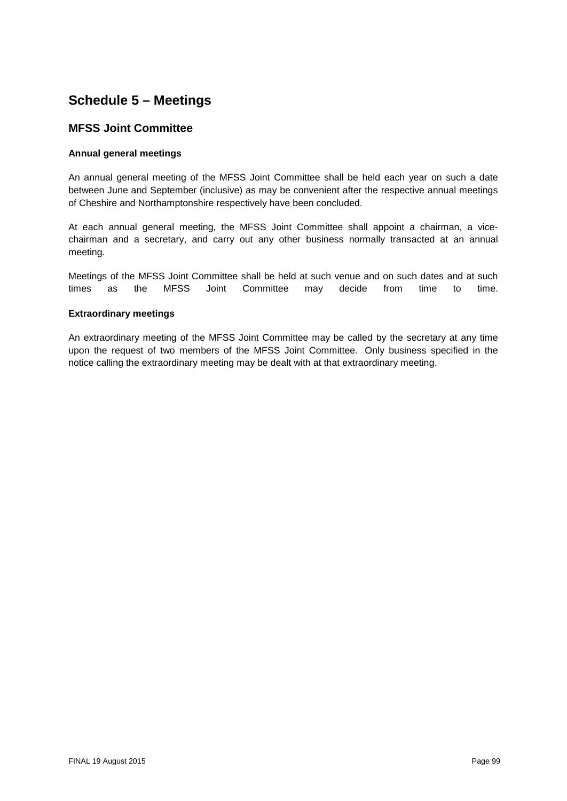## **Schedule 5 – Meetings**

## **MFSS Joint Committee**

#### **Annual general meetings**

An annual general meeting of the MFSS Joint Committee shall be held each year on such a date between June and September (inclusive) as may be convenient after the respective annual meetings of Cheshire and Northamptonshire respectively have been concluded.

At each annual general meeting, the MFSS Joint Committee shall appoint a chairman, a vicechairman and a secretary, and carry out any other business normally transacted at an annual meeting.

Meetings of the MFSS Joint Committee shall be held at such venue and on such dates and at such times as the MFSS Joint Committee may decide from time to time.

#### **Extraordinary meetings**

An extraordinary meeting of the MFSS Joint Committee may be called by the secretary at any time upon the request of two members of the MFSS Joint Committee. Only business specified in the notice calling the extraordinary meeting may be dealt with at that extraordinary meeting.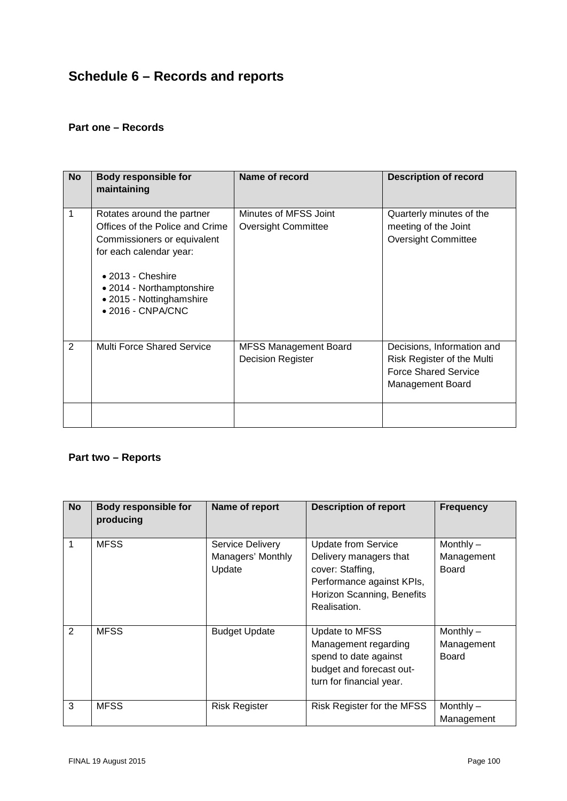# **Schedule 6 – Records and reports**

## **Part one – Records**

| <b>No</b> | <b>Body responsible for</b><br>maintaining                                                                                                                                                                                                 | Name of record                                           | <b>Description of record</b>                                                                                       |
|-----------|--------------------------------------------------------------------------------------------------------------------------------------------------------------------------------------------------------------------------------------------|----------------------------------------------------------|--------------------------------------------------------------------------------------------------------------------|
| 1         | Rotates around the partner<br>Offices of the Police and Crime<br>Commissioners or equivalent<br>for each calendar year:<br>$\bullet$ 2013 - Cheshire<br>• 2014 - Northamptonshire<br>• 2015 - Nottinghamshire<br>$\bullet$ 2016 - CNPA/CNC | Minutes of MFSS Joint<br><b>Oversight Committee</b>      | Quarterly minutes of the<br>meeting of the Joint<br><b>Oversight Committee</b>                                     |
| 2         | <b>Multi Force Shared Service</b>                                                                                                                                                                                                          | <b>MFSS Management Board</b><br><b>Decision Register</b> | Decisions, Information and<br>Risk Register of the Multi<br><b>Force Shared Service</b><br><b>Management Board</b> |
|           |                                                                                                                                                                                                                                            |                                                          |                                                                                                                    |

## **Part two – Reports**

| <b>No</b>      | <b>Body responsible for</b><br>producing | Name of report                                  | <b>Description of report</b>                                                                                                                        | <b>Frequency</b>                          |
|----------------|------------------------------------------|-------------------------------------------------|-----------------------------------------------------------------------------------------------------------------------------------------------------|-------------------------------------------|
|                | <b>MFSS</b>                              | Service Delivery<br>Managers' Monthly<br>Update | <b>Update from Service</b><br>Delivery managers that<br>cover: Staffing,<br>Performance against KPIs,<br>Horizon Scanning, Benefits<br>Realisation. | Monthly $-$<br>Management<br><b>Board</b> |
| $\overline{2}$ | <b>MFSS</b>                              | <b>Budget Update</b>                            | Update to MFSS<br>Management regarding<br>spend to date against<br>budget and forecast out-<br>turn for financial year.                             | Monthly $-$<br>Management<br><b>Board</b> |
| 3              | <b>MFSS</b>                              | <b>Risk Register</b>                            | Risk Register for the MFSS                                                                                                                          | Monthly $-$<br>Management                 |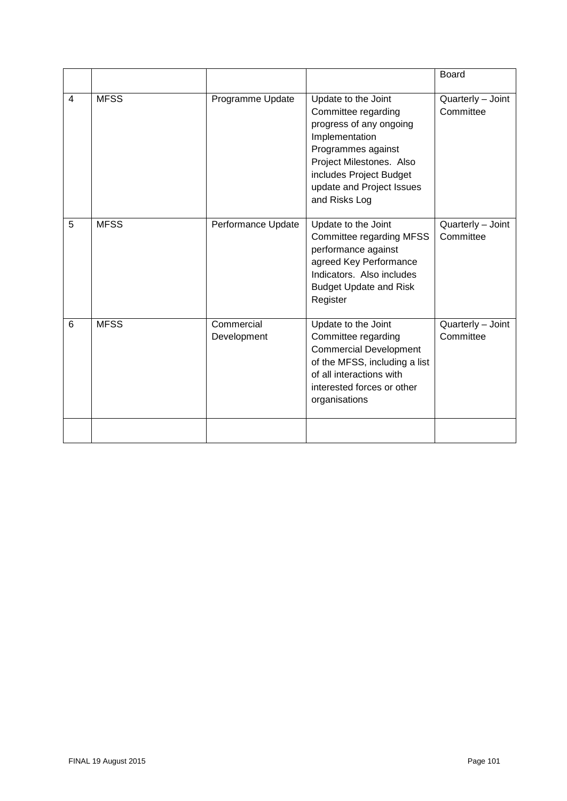|                 |             |                           |                                                                                                                                                                                                                    | <b>Board</b>                   |
|-----------------|-------------|---------------------------|--------------------------------------------------------------------------------------------------------------------------------------------------------------------------------------------------------------------|--------------------------------|
| $\overline{4}$  | <b>MFSS</b> | Programme Update          | Update to the Joint<br>Committee regarding<br>progress of any ongoing<br>Implementation<br>Programmes against<br>Project Milestones. Also<br>includes Project Budget<br>update and Project Issues<br>and Risks Log | Quarterly - Joint<br>Committee |
| 5               | <b>MFSS</b> | Performance Update        | Update to the Joint<br>Committee regarding MFSS<br>performance against<br>agreed Key Performance<br>Indicators. Also includes<br><b>Budget Update and Risk</b><br>Register                                         | Quarterly - Joint<br>Committee |
| $6\phantom{1}6$ | <b>MFSS</b> | Commercial<br>Development | Update to the Joint<br>Committee regarding<br><b>Commercial Development</b><br>of the MFSS, including a list<br>of all interactions with<br>interested forces or other<br>organisations                            | Quarterly - Joint<br>Committee |
|                 |             |                           |                                                                                                                                                                                                                    |                                |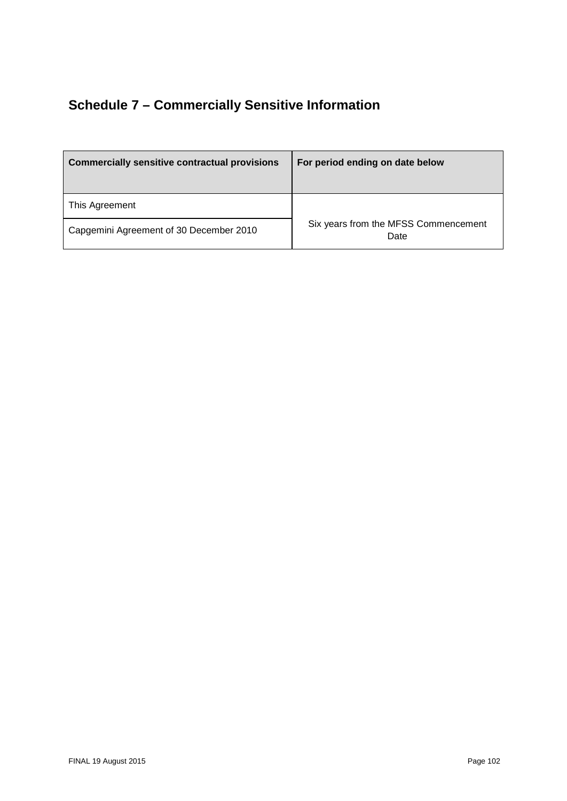# **Schedule 7 – Commercially Sensitive Information**

| <b>Commercially sensitive contractual provisions</b> | For period ending on date below              |
|------------------------------------------------------|----------------------------------------------|
| This Agreement                                       |                                              |
| Capgemini Agreement of 30 December 2010              | Six years from the MFSS Commencement<br>Date |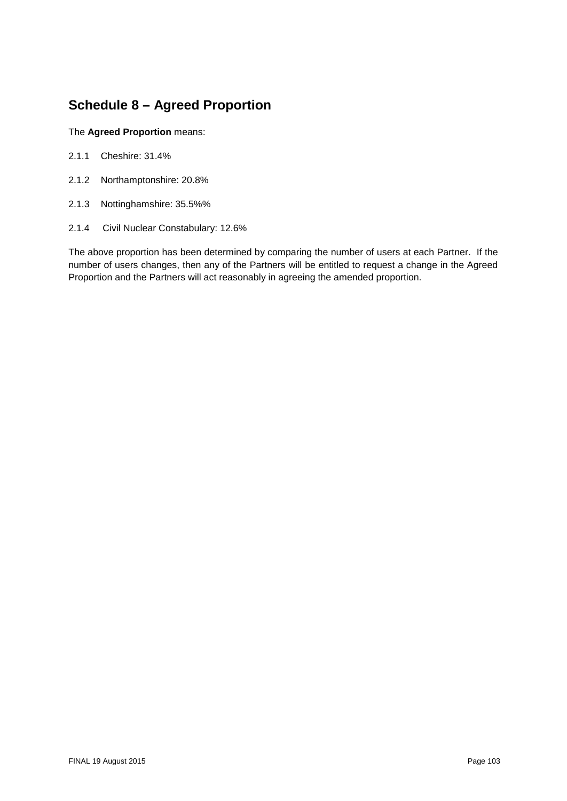# **Schedule 8 – Agreed Proportion**

#### The **Agreed Proportion** means:

- 2.1.1 Cheshire: 31.4%
- 2.1.2 Northamptonshire: 20.8%
- 2.1.3 Nottinghamshire: 35.5%%
- 2.1.4 Civil Nuclear Constabulary: 12.6%

The above proportion has been determined by comparing the number of users at each Partner. If the number of users changes, then any of the Partners will be entitled to request a change in the Agreed Proportion and the Partners will act reasonably in agreeing the amended proportion.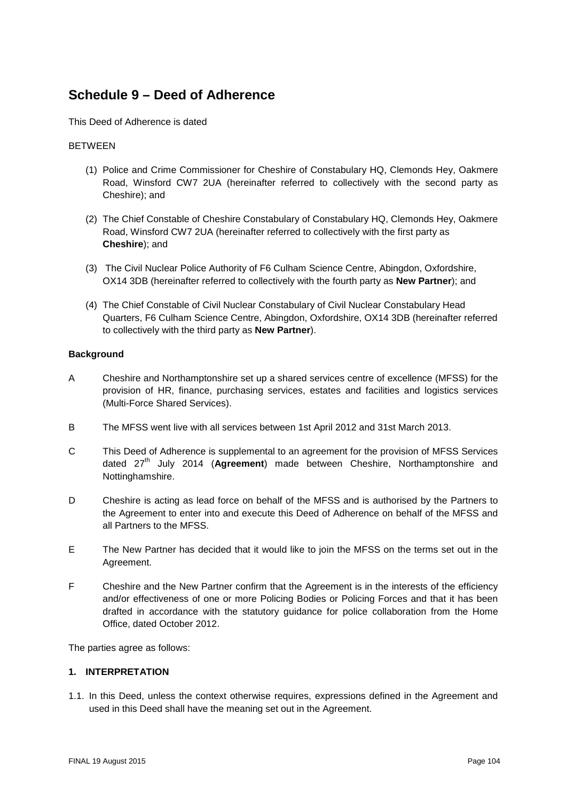## **Schedule 9 – Deed of Adherence**

This Deed of Adherence is dated

#### BETWEEN

- (1) Police and Crime Commissioner for Cheshire of Constabulary HQ, Clemonds Hey, Oakmere Road, Winsford CW7 2UA (hereinafter referred to collectively with the second party as Cheshire); and
- (2) The Chief Constable of Cheshire Constabulary of Constabulary HQ, Clemonds Hey, Oakmere Road, Winsford CW7 2UA (hereinafter referred to collectively with the first party as **Cheshire**); and
- (3) The Civil Nuclear Police Authority of F6 Culham Science Centre, Abingdon, Oxfordshire, OX14 3DB (hereinafter referred to collectively with the fourth party as **New Partner**); and
- (4) The Chief Constable of Civil Nuclear Constabulary of Civil Nuclear Constabulary Head Quarters, F6 Culham Science Centre, Abingdon, Oxfordshire, OX14 3DB (hereinafter referred to collectively with the third party as **New Partner**).

#### **Background**

- A Cheshire and Northamptonshire set up a shared services centre of excellence (MFSS) for the provision of HR, finance, purchasing services, estates and facilities and logistics services (Multi-Force Shared Services).
- B The MFSS went live with all services between 1st April 2012 and 31st March 2013.
- C This Deed of Adherence is supplemental to an agreement for the provision of MFSS Services dated 27<sup>th</sup> July 2014 (Agreement) made between Cheshire, Northamptonshire and Nottinghamshire.
- D Cheshire is acting as lead force on behalf of the MFSS and is authorised by the Partners to the Agreement to enter into and execute this Deed of Adherence on behalf of the MFSS and all Partners to the MFSS.
- E The New Partner has decided that it would like to join the MFSS on the terms set out in the Agreement.
- F Cheshire and the New Partner confirm that the Agreement is in the interests of the efficiency and/or effectiveness of one or more Policing Bodies or Policing Forces and that it has been drafted in accordance with the statutory guidance for police collaboration from the Home Office, dated October 2012.

The parties agree as follows:

#### **1. INTERPRETATION**

1.1. In this Deed, unless the context otherwise requires, expressions defined in the Agreement and used in this Deed shall have the meaning set out in the Agreement.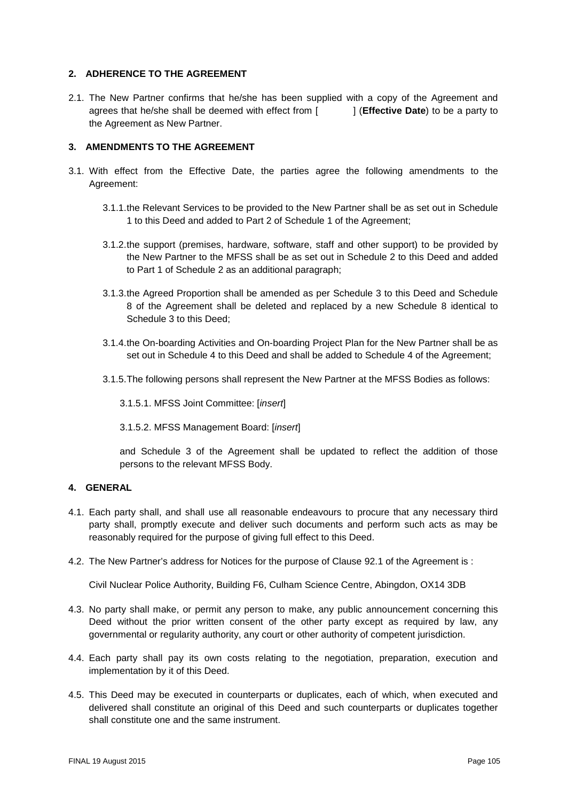#### **2. ADHERENCE TO THE AGREEMENT**

2.1. The New Partner confirms that he/she has been supplied with a copy of the Agreement and agrees that he/she shall be deemed with effect from [ ] (**Effective Date**) to be a party to the Agreement as New Partner.

#### **3. AMENDMENTS TO THE AGREEMENT**

- 3.1. With effect from the Effective Date, the parties agree the following amendments to the Agreement:
	- 3.1.1.the Relevant Services to be provided to the New Partner shall be as set out in Schedule 1 to this Deed and added to Part 2 of Schedule 1 of the Agreement;
	- 3.1.2.the support (premises, hardware, software, staff and other support) to be provided by the New Partner to the MFSS shall be as set out in Schedule 2 to this Deed and added to Part 1 of Schedule 2 as an additional paragraph;
	- 3.1.3.the Agreed Proportion shall be amended as per Schedule 3 to this Deed and Schedule 8 of the Agreement shall be deleted and replaced by a new Schedule 8 identical to Schedule 3 to this Deed;
	- 3.1.4.the On-boarding Activities and On-boarding Project Plan for the New Partner shall be as set out in Schedule 4 to this Deed and shall be added to Schedule 4 of the Agreement;
	- 3.1.5.The following persons shall represent the New Partner at the MFSS Bodies as follows:

3.1.5.1. MFSS Joint Committee: [*insert*]

3.1.5.2. MFSS Management Board: [*insert*]

and Schedule 3 of the Agreement shall be updated to reflect the addition of those persons to the relevant MFSS Body.

#### **4. GENERAL**

- 4.1. Each party shall, and shall use all reasonable endeavours to procure that any necessary third party shall, promptly execute and deliver such documents and perform such acts as may be reasonably required for the purpose of giving full effect to this Deed.
- 4.2. The New Partner's address for Notices for the purpose of Clause 92.1 of the Agreement is :

Civil Nuclear Police Authority, Building F6, Culham Science Centre, Abingdon, OX14 3DB

- 4.3. No party shall make, or permit any person to make, any public announcement concerning this Deed without the prior written consent of the other party except as required by law, any governmental or regularity authority, any court or other authority of competent jurisdiction.
- 4.4. Each party shall pay its own costs relating to the negotiation, preparation, execution and implementation by it of this Deed.
- 4.5. This Deed may be executed in counterparts or duplicates, each of which, when executed and delivered shall constitute an original of this Deed and such counterparts or duplicates together shall constitute one and the same instrument.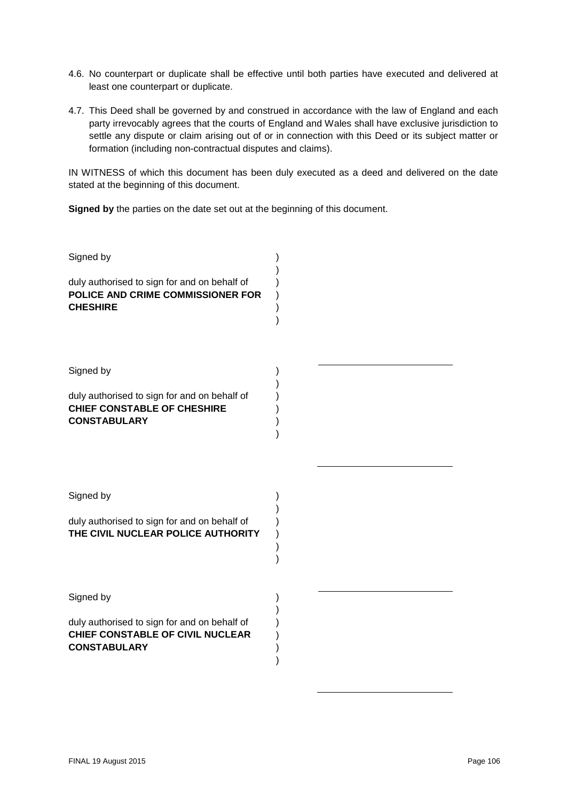- 4.6. No counterpart or duplicate shall be effective until both parties have executed and delivered at least one counterpart or duplicate.
- 4.7. This Deed shall be governed by and construed in accordance with the law of England and each party irrevocably agrees that the courts of England and Wales shall have exclusive jurisdiction to settle any dispute or claim arising out of or in connection with this Deed or its subject matter or formation (including non-contractual disputes and claims).

IN WITNESS of which this document has been duly executed as a deed and delivered on the date stated at the beginning of this document.

**Signed by** the parties on the date set out at the beginning of this document.

| Signed by                                                                                                            |  |
|----------------------------------------------------------------------------------------------------------------------|--|
| duly authorised to sign for and on behalf of<br>POLICE AND CRIME COMMISSIONER FOR<br><b>CHESHIRE</b>                 |  |
| Signed by                                                                                                            |  |
| duly authorised to sign for and on behalf of<br><b>CHIEF CONSTABLE OF CHESHIRE</b><br><b>CONSTABULARY</b>            |  |
| Signed by<br>duly authorised to sign for and on behalf of<br>THE CIVIL NUCLEAR POLICE AUTHORITY                      |  |
|                                                                                                                      |  |
| Signed by<br>duly authorised to sign for and on behalf of<br>CHIEF CONSTABLE OF CIVIL NUCLEAR<br><b>CONSTABULARY</b> |  |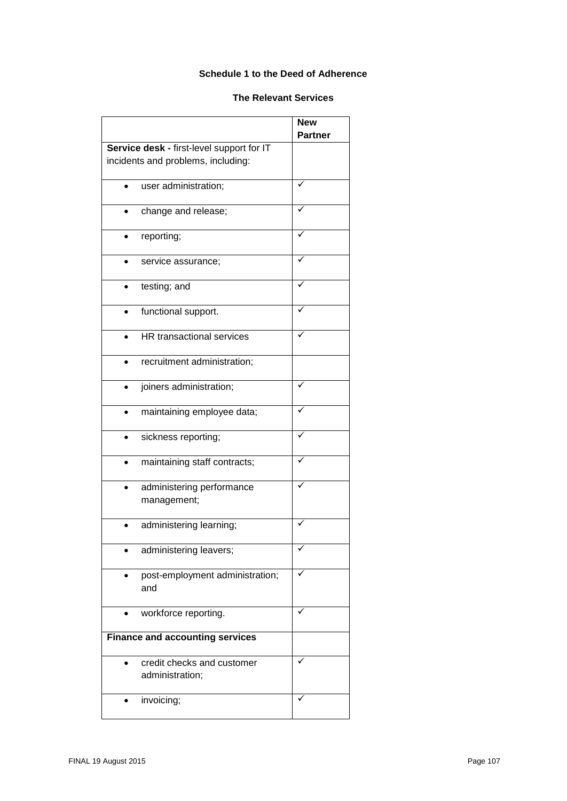#### **Schedule 1 to the Deed of Adherence**

#### **The Relevant Services**

|                                        |                                               | <b>New</b><br><b>Partner</b> |  |
|----------------------------------------|-----------------------------------------------|------------------------------|--|
|                                        | Service desk - first-level support for IT     |                              |  |
|                                        | incidents and problems, including:            |                              |  |
|                                        | user administration;                          |                              |  |
|                                        | change and release;                           |                              |  |
|                                        | reporting;                                    |                              |  |
|                                        | service assurance;                            |                              |  |
|                                        | testing; and                                  |                              |  |
|                                        | functional support.                           |                              |  |
|                                        | HR transactional services                     |                              |  |
|                                        | recruitment administration;                   |                              |  |
|                                        | joiners administration;                       |                              |  |
|                                        | maintaining employee data;                    |                              |  |
|                                        | sickness reporting;                           |                              |  |
|                                        | maintaining staff contracts;                  |                              |  |
|                                        | administering performance<br>management;      |                              |  |
|                                        | administering learning;                       |                              |  |
|                                        | administering leavers;                        |                              |  |
|                                        | post-employment administration;<br>and        |                              |  |
|                                        | workforce reporting.                          |                              |  |
| <b>Finance and accounting services</b> |                                               |                              |  |
|                                        | credit checks and customer<br>administration; |                              |  |
|                                        | invoicing;                                    |                              |  |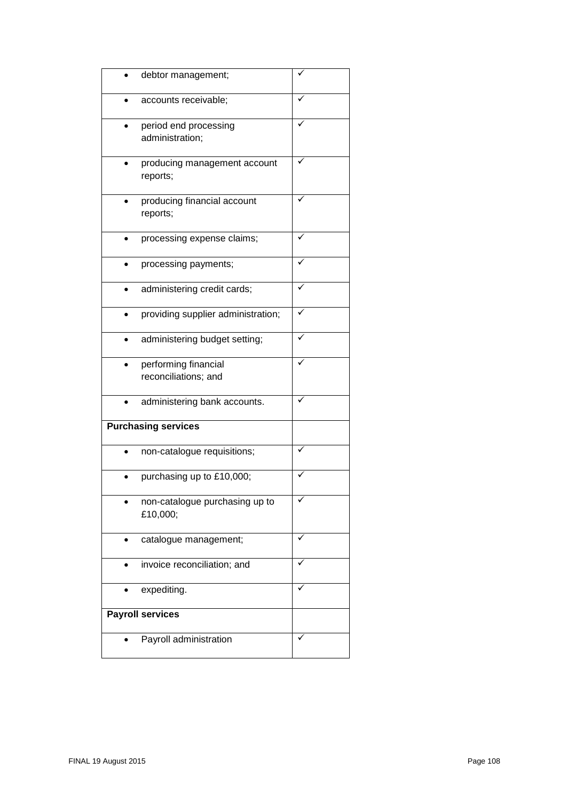|                         | debtor management;                           |  |
|-------------------------|----------------------------------------------|--|
|                         | accounts receivable;                         |  |
|                         | period end processing<br>administration;     |  |
|                         | producing management account<br>reports;     |  |
|                         | producing financial account<br>reports;      |  |
|                         | processing expense claims;                   |  |
|                         | processing payments;                         |  |
|                         | administering credit cards;                  |  |
|                         | providing supplier administration;           |  |
|                         | administering budget setting;                |  |
|                         | performing financial<br>reconciliations; and |  |
|                         | administering bank accounts.                 |  |
|                         | <b>Purchasing services</b>                   |  |
|                         | non-catalogue requisitions;                  |  |
|                         | purchasing up to £10,000;                    |  |
|                         | non-catalogue purchasing up to<br>£10,000;   |  |
|                         | catalogue management;                        |  |
|                         | invoice reconciliation; and                  |  |
|                         | expediting.                                  |  |
| <b>Payroll services</b> |                                              |  |
|                         | Payroll administration                       |  |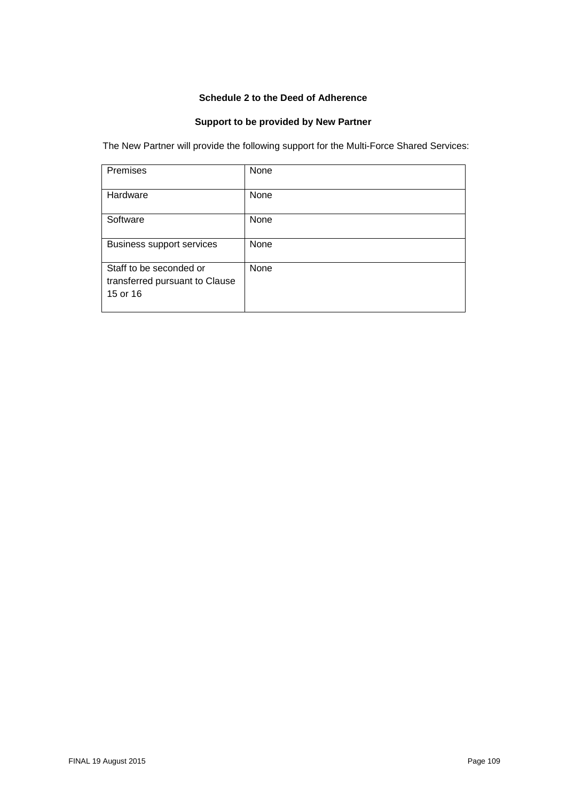### **Schedule 2 to the Deed of Adherence**

# **Support to be provided by New Partner**

The New Partner will provide the following support for the Multi-Force Shared Services:

| Premises                                                              | None |
|-----------------------------------------------------------------------|------|
| Hardware                                                              | None |
| Software                                                              | None |
| <b>Business support services</b>                                      | None |
| Staff to be seconded or<br>transferred pursuant to Clause<br>15 or 16 | None |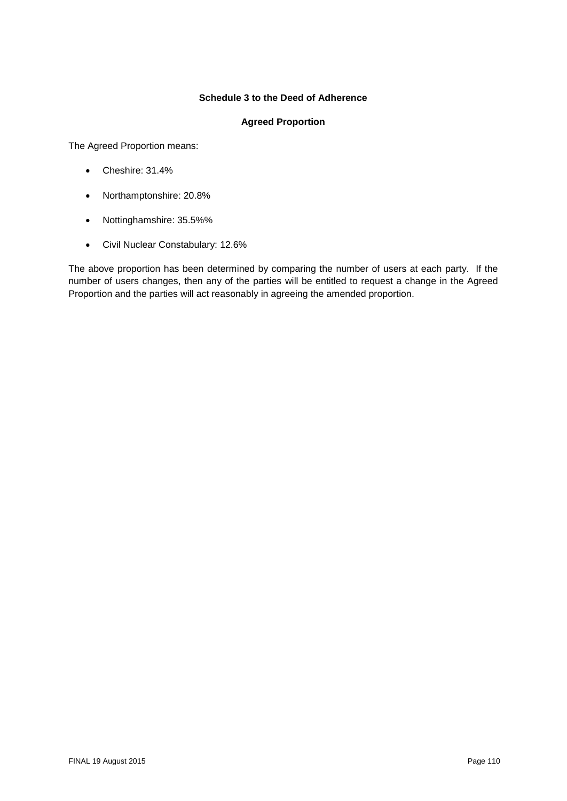#### **Schedule 3 to the Deed of Adherence**

#### **Agreed Proportion**

The Agreed Proportion means:

- Cheshire: 31.4%
- Northamptonshire: 20.8%
- Nottinghamshire: 35.5%%
- Civil Nuclear Constabulary: 12.6%

The above proportion has been determined by comparing the number of users at each party. If the number of users changes, then any of the parties will be entitled to request a change in the Agreed Proportion and the parties will act reasonably in agreeing the amended proportion.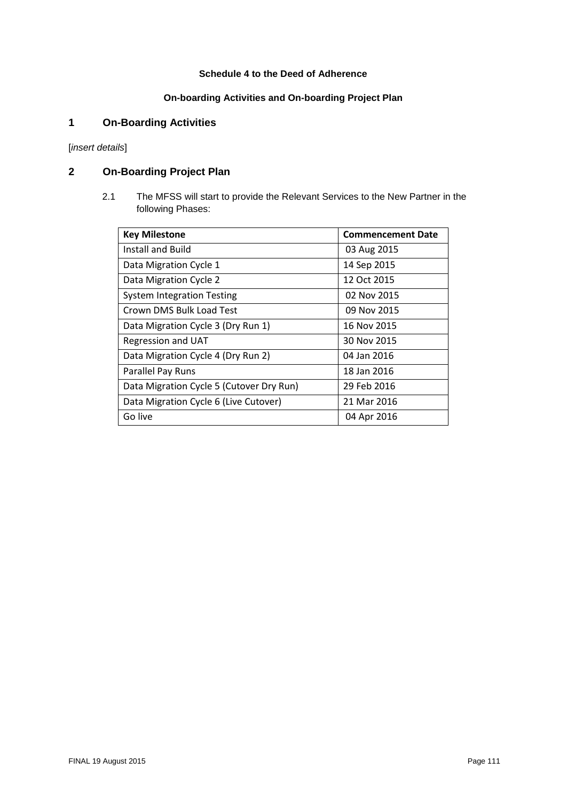### **Schedule 4 to the Deed of Adherence**

## **On-boarding Activities and On-boarding Project Plan**

# **1 On-Boarding Activities**

[*insert details*]

## **2 On-Boarding Project Plan**

2.1 The MFSS will start to provide the Relevant Services to the New Partner in the following Phases:

| <b>Key Milestone</b>                     | <b>Commencement Date</b> |
|------------------------------------------|--------------------------|
| Install and Build                        | 03 Aug 2015              |
| Data Migration Cycle 1                   | 14 Sep 2015              |
| Data Migration Cycle 2                   | 12 Oct 2015              |
| <b>System Integration Testing</b>        | 02 Nov 2015              |
| Crown DMS Bulk Load Test                 | 09 Nov 2015              |
| Data Migration Cycle 3 (Dry Run 1)       | 16 Nov 2015              |
| Regression and UAT                       | 30 Nov 2015              |
| Data Migration Cycle 4 (Dry Run 2)       | 04 Jan 2016              |
| Parallel Pay Runs                        | 18 Jan 2016              |
| Data Migration Cycle 5 (Cutover Dry Run) | 29 Feb 2016              |
| Data Migration Cycle 6 (Live Cutover)    | 21 Mar 2016              |
| Go live                                  | 04 Apr 2016              |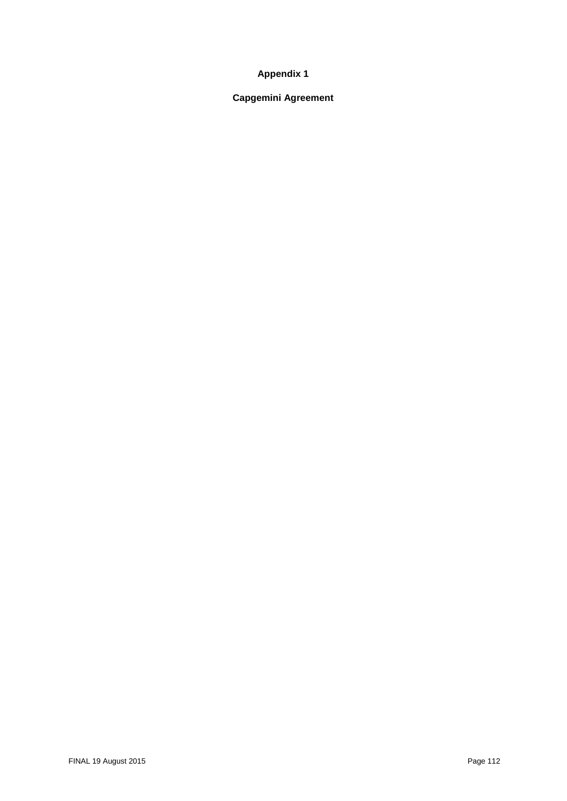### **Appendix 1**

# **Capgemini Agreement**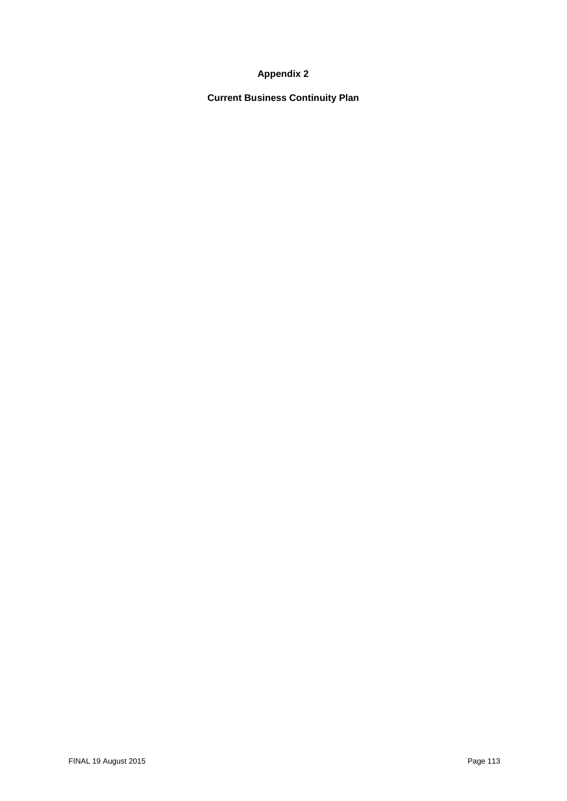### **Appendix 2**

**Current Business Continuity Plan**